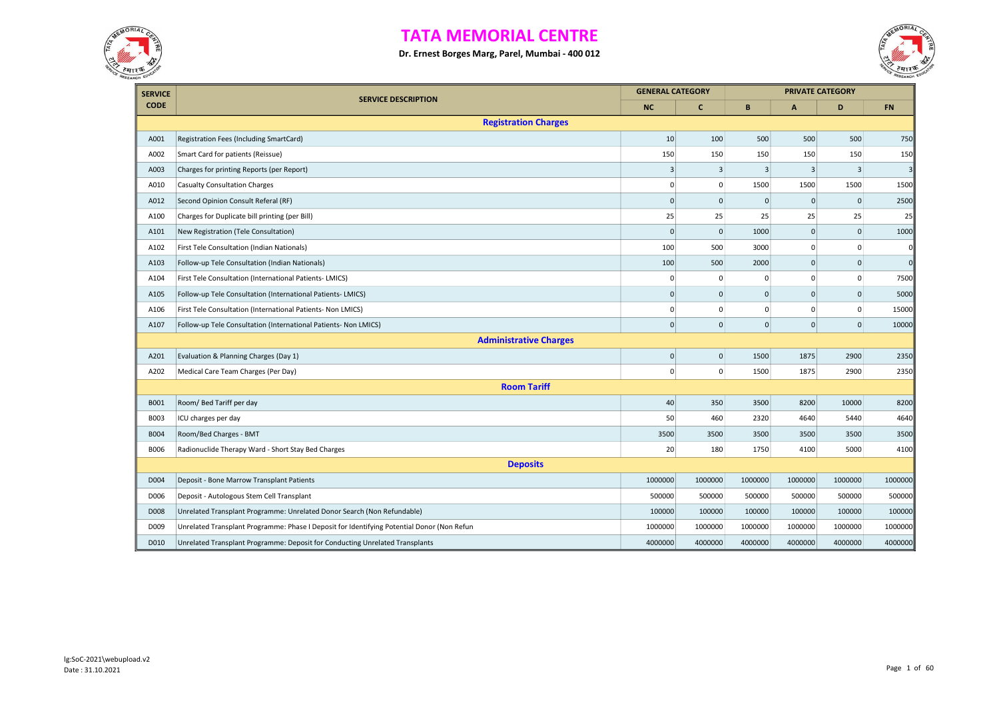



| <b>SERVICE</b> |                                                                                            | <b>GENERAL CATEGORY</b> |              |              |                         | <b>PRIVATE CATEGORY</b> |            |
|----------------|--------------------------------------------------------------------------------------------|-------------------------|--------------|--------------|-------------------------|-------------------------|------------|
| <b>CODE</b>    | <b>SERVICE DESCRIPTION</b>                                                                 | <b>NC</b>               | c            | B            | $\mathsf{A}$            | D                       | <b>FN</b>  |
|                | <b>Registration Charges</b>                                                                |                         |              |              |                         |                         |            |
| A001           | Registration Fees (Including SmartCard)                                                    | 10                      | 100          | 500          | 500                     | 500                     | 750        |
| A002           | Smart Card for patients (Reissue)                                                          | 150                     | 150          | 150          | 150                     | 150                     | 150        |
| A003           | Charges for printing Reports (per Report)                                                  | 3                       | 3            | 3            | $\overline{\mathbf{3}}$ | 3                       | 3          |
| A010           | <b>Casualty Consultation Charges</b>                                                       | $\mathbf 0$             | $\mathsf 0$  | 1500         | 1500                    | 1500                    | 1500       |
| A012           | Second Opinion Consult Referal (RF)                                                        | $\Omega$                | $\mathbf 0$  | $\mathbf 0$  | $\mathbf 0$             | $\mathbf 0$             | 2500       |
| A100           | Charges for Duplicate bill printing (per Bill)                                             | 25                      | 25           | 25           | 25                      | 25                      | 25         |
| A101           | New Registration (Tele Consultation)                                                       | $\mathbf{0}$            | $\mathbf 0$  | 1000         | $\mathbf 0$             | $\mathbf 0$             | 1000       |
| A102           | First Tele Consultation (Indian Nationals)                                                 | 100                     | 500          | 3000         | 0                       | 0                       | $\sqrt{2}$ |
| A103           | Follow-up Tele Consultation (Indian Nationals)                                             | 100                     | 500          | 2000         | $\mathsf{O}\xspace$     | $\mathbf{0}$            | $\Omega$   |
| A104           | First Tele Consultation (International Patients- LMICS)                                    | 0                       | $\Omega$     | $\mathbf 0$  | 0                       | $\mathbf 0$             | 7500       |
| A105           | Follow-up Tele Consultation (International Patients- LMICS)                                | $\Omega$                | $\Omega$     | $\Omega$     | $\mathbf{0}$            | $\Omega$                | 5000       |
| A106           | First Tele Consultation (International Patients- Non LMICS)                                | $\mathbf 0$             | 0            | $\mathbf 0$  | $\mathbf 0$             | $\mathbf 0$             | 15000      |
| A107           | Follow-up Tele Consultation (International Patients- Non LMICS)                            | $\Omega$                | $\mathbf{0}$ | $\mathbf{0}$ | $\Omega$                | $\mathbf{0}$            | 10000      |
|                | <b>Administrative Charges</b>                                                              |                         |              |              |                         |                         |            |
| A201           | Evaluation & Planning Charges (Day 1)                                                      | $\mathbf 0$             | $\mathbf{0}$ | 1500         | 1875                    | 2900                    | 2350       |
| A202           | Medical Care Team Charges (Per Day)                                                        | $\overline{0}$          | $\mathbf{0}$ | 1500         | 1875                    | 2900                    | 2350       |
|                | <b>Room Tariff</b>                                                                         |                         |              |              |                         |                         |            |
| B001           | Room/ Bed Tariff per day                                                                   | 40                      | 350          | 3500         | 8200                    | 10000                   | 8200       |
| B003           | ICU charges per day                                                                        | 50                      | 460          | 2320         | 4640                    | 5440                    | 4640       |
| <b>B004</b>    | Room/Bed Charges - BMT                                                                     | 3500                    | 3500         | 3500         | 3500                    | 3500                    | 3500       |
| <b>B006</b>    | Radionuclide Therapy Ward - Short Stay Bed Charges                                         | 20                      | 180          | 1750         | 4100                    | 5000                    | 4100       |
|                | <b>Deposits</b>                                                                            |                         |              |              |                         |                         |            |
| D004           | Deposit - Bone Marrow Transplant Patients                                                  | 1000000                 | 1000000      | 1000000      | 1000000                 | 1000000                 | 1000000    |
| D006           | Deposit - Autologous Stem Cell Transplant                                                  | 500000                  | 500000       | 500000       | 500000                  | 500000                  | 500000     |
| D008           | Unrelated Transplant Programme: Unrelated Donor Search (Non Refundable)                    | 100000                  | 100000       | 100000       | 100000                  | 100000                  | 100000     |
| D009           | Unrelated Transplant Programme: Phase I Deposit for Identifying Potential Donor (Non Refun | 1000000                 | 1000000      | 1000000      | 1000000                 | 1000000                 | 1000000    |
| D010           | Unrelated Transplant Programme: Deposit for Conducting Unrelated Transplants               | 4000000                 | 4000000      | 4000000      | 4000000                 | 4000000                 | 4000000    |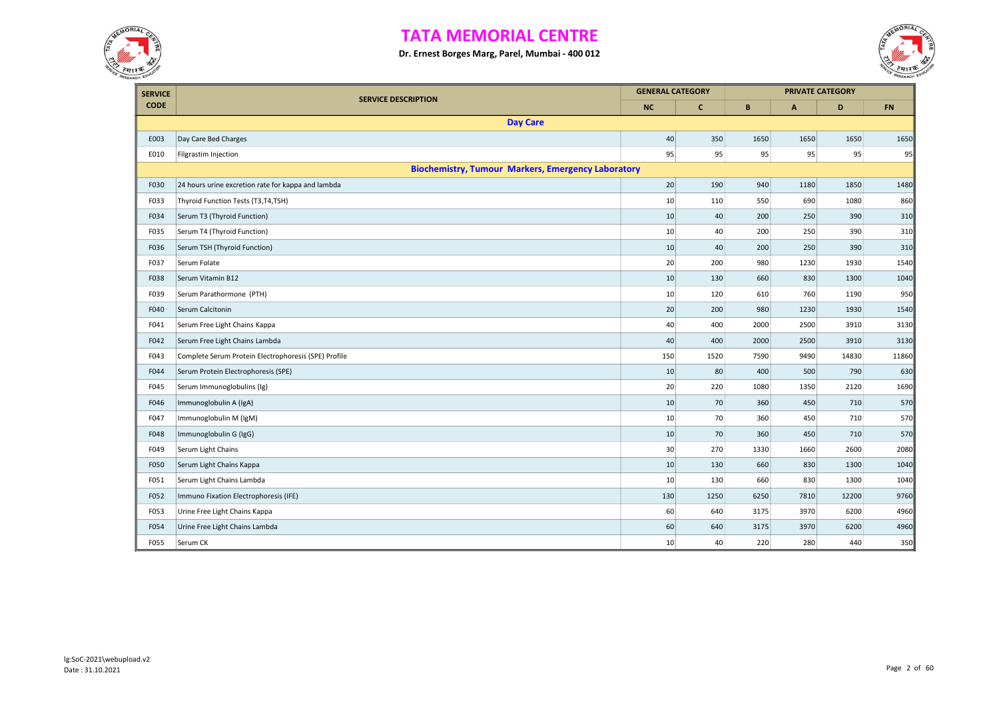



| <b>SERVICE</b> | <b>SERVICE DESCRIPTION</b>                                | <b>GENERAL CATEGORY</b> |             |      |              | <b>PRIVATE CATEGORY</b> |       |
|----------------|-----------------------------------------------------------|-------------------------|-------------|------|--------------|-------------------------|-------|
| <b>CODE</b>    |                                                           | <b>NC</b>               | $\mathbf c$ | B    | $\mathsf{A}$ | D                       | FN    |
|                | <b>Day Care</b>                                           |                         |             |      |              |                         |       |
| E003           | Day Care Bed Charges                                      | 40                      | 350         | 1650 | 1650         | 1650                    | 1650  |
| E010           | Filgrastim Injection                                      | 95                      | 95          | 95   | 95           | 95                      | 95    |
|                | <b>Biochemistry, Tumour Markers, Emergency Laboratory</b> |                         |             |      |              |                         |       |
| F030           | 24 hours urine excretion rate for kappa and lambda        | 20                      | 190         | 940  | 1180         | 1850                    | 1480  |
| F033           | Thyroid Function Tests (T3,T4,TSH)                        | 10                      | 110         | 550  | 690          | 1080                    | 860   |
| F034           | Serum T3 (Thyroid Function)                               | 10                      | 40          | 200  | 250          | 390                     | 310   |
| F035           | Serum T4 (Thyroid Function)                               | 10                      | 40          | 200  | 250          | 390                     | 310   |
| F036           | Serum TSH (Thyroid Function)                              | 10                      | 40          | 200  | 250          | 390                     | 310   |
| F037           | Serum Folate                                              | 20                      | 200         | 980  | 1230         | 1930                    | 1540  |
| F038           | Serum Vitamin B12                                         | 10                      | 130         | 660  | 830          | 1300                    | 1040  |
| F039           | Serum Parathormone (PTH)                                  | 10                      | 120         | 610  | 760          | 1190                    | 950   |
| F040           | Serum Calcitonin                                          | 20                      | 200         | 980  | 1230         | 1930                    | 1540  |
| F041           | Serum Free Light Chains Kappa                             | 40                      | 400         | 2000 | 2500         | 3910                    | 3130  |
| F042           | Serum Free Light Chains Lambda                            | 40                      | 400         | 2000 | 2500         | 3910                    | 3130  |
| F043           | Complete Serum Protein Electrophoresis (SPE) Profile      | 150                     | 1520        | 7590 | 9490         | 14830                   | 11860 |
| F044           | Serum Protein Electrophoresis (SPE)                       | 10                      | 80          | 400  | 500          | 790                     | 630   |
| F045           | Serum Immunoglobulins (Ig)                                | 20                      | 220         | 1080 | 1350         | 2120                    | 1690  |
| F046           | Immunoglobulin A (IgA)                                    | 10                      | 70          | 360  | 450          | 710                     | 570   |
| F047           | Immunoglobulin M (IgM)                                    | 10                      | 70          | 360  | 450          | 710                     | 570   |
| F048           | Immunoglobulin G (IgG)                                    | 10                      | 70          | 360  | 450          | 710                     | 570   |
| F049           | Serum Light Chains                                        | 30                      | 270         | 1330 | 1660         | 2600                    | 2080  |
| F050           | Serum Light Chains Kappa                                  | 10                      | 130         | 660  | 830          | 1300                    | 1040  |
| F051           | Serum Light Chains Lambda                                 | 10                      | 130         | 660  | 830          | 1300                    | 1040  |
| F052           | Immuno Fixation Electrophoresis (IFE)                     | 130                     | 1250        | 6250 | 7810         | 12200                   | 9760  |
| F053           | Urine Free Light Chains Kappa                             | 60                      | 640         | 3175 | 3970         | 6200                    | 4960  |
| F054           | Urine Free Light Chains Lambda                            | 60                      | 640         | 3175 | 3970         | 6200                    | 4960  |
| F055           | Serum CK                                                  | 10                      | 40          | 220  | 280          | 440                     | 350   |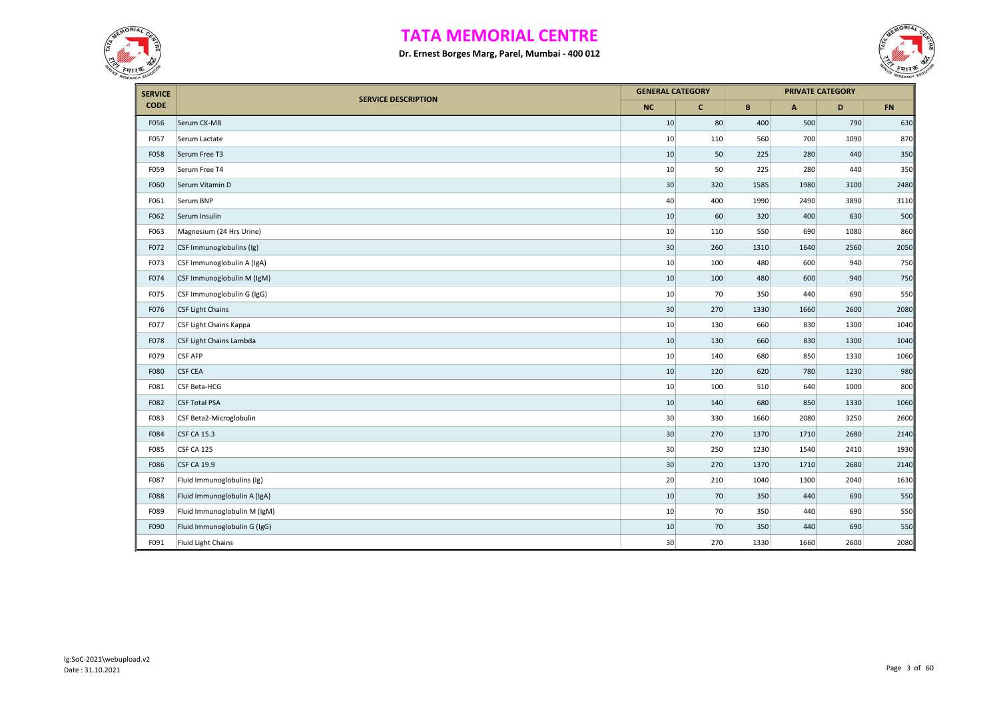



| <b>SERVICE</b> |                              |           | <b>GENERAL CATEGORY</b> |      | <b>PRIVATE CATEGORY</b> |      |           |
|----------------|------------------------------|-----------|-------------------------|------|-------------------------|------|-----------|
| <b>CODE</b>    | <b>SERVICE DESCRIPTION</b>   | <b>NC</b> | $\mathbf{C}$            | B    | A                       | D    | <b>FN</b> |
| F056           | Serum CK-MB                  | 10        | 80                      | 400  | 500                     | 790  | 630       |
| F057           | Serum Lactate                | 10        | 110                     | 560  | 700                     | 1090 | 870       |
| F058           | Serum Free T3                | 10        | 50                      | 225  | 280                     | 440  | 350       |
| F059           | Serum Free T4                | 10        | 50                      | 225  | 280                     | 440  | 350       |
| F060           | Serum Vitamin D              | 30        | 320                     | 1585 | 1980                    | 3100 | 2480      |
| F061           | Serum BNP                    | 40        | 400                     | 1990 | 2490                    | 3890 | 3110      |
| F062           | Serum Insulin                | 10        | 60                      | 320  | 400                     | 630  | 500       |
| F063           | Magnesium (24 Hrs Urine)     | 10        | 110                     | 550  | 690                     | 1080 | 860       |
| F072           | CSF Immunoglobulins (Ig)     | 30        | 260                     | 1310 | 1640                    | 2560 | 2050      |
| F073           | CSF Immunoglobulin A (IgA)   | 10        | 100                     | 480  | 600                     | 940  | 750       |
| F074           | CSF Immunoglobulin M (IgM)   | 10        | 100                     | 480  | 600                     | 940  | 750       |
| F075           | CSF Immunoglobulin G (IgG)   | 10        | 70                      | 350  | 440                     | 690  | 550       |
| F076           | CSF Light Chains             | 30        | 270                     | 1330 | 1660                    | 2600 | 2080      |
| F077           | CSF Light Chains Kappa       | 10        | 130                     | 660  | 830                     | 1300 | 1040      |
| F078           | CSF Light Chains Lambda      | 10        | 130                     | 660  | 830                     | 1300 | 1040      |
| F079           | <b>CSF AFP</b>               | 10        | 140                     | 680  | 850                     | 1330 | 1060      |
| F080           | <b>CSF CEA</b>               | 10        | 120                     | 620  | 780                     | 1230 | 980       |
| F081           | CSF Beta-HCG                 | 10        | 100                     | 510  | 640                     | 1000 | 800       |
| F082           | <b>CSF Total PSA</b>         | 10        | 140                     | 680  | 850                     | 1330 | 1060      |
| F083           | CSF Beta2-Microglobulin      | 30        | 330                     | 1660 | 2080                    | 3250 | 2600      |
| F084           | <b>CSF CA 15.3</b>           | 30        | 270                     | 1370 | 1710                    | 2680 | 2140      |
| F085           | CSF CA 125                   | 30        | 250                     | 1230 | 1540                    | 2410 | 1930      |
| F086           | <b>CSF CA 19.9</b>           | 30        | 270                     | 1370 | 1710                    | 2680 | 2140      |
| F087           | Fluid Immunoglobulins (Ig)   | 20        | 210                     | 1040 | 1300                    | 2040 | 1630      |
| F088           | Fluid Immunoglobulin A (IgA) | 10        | 70                      | 350  | 440                     | 690  | 550       |
| F089           | Fluid Immunoglobulin M (IgM) | 10        | 70                      | 350  | 440                     | 690  | 550       |
| F090           | Fluid Immunoglobulin G (IgG) | 10        | 70                      | 350  | 440                     | 690  | 550       |
| F091           | Fluid Light Chains           | 30        | 270                     | 1330 | 1660                    | 2600 | 2080      |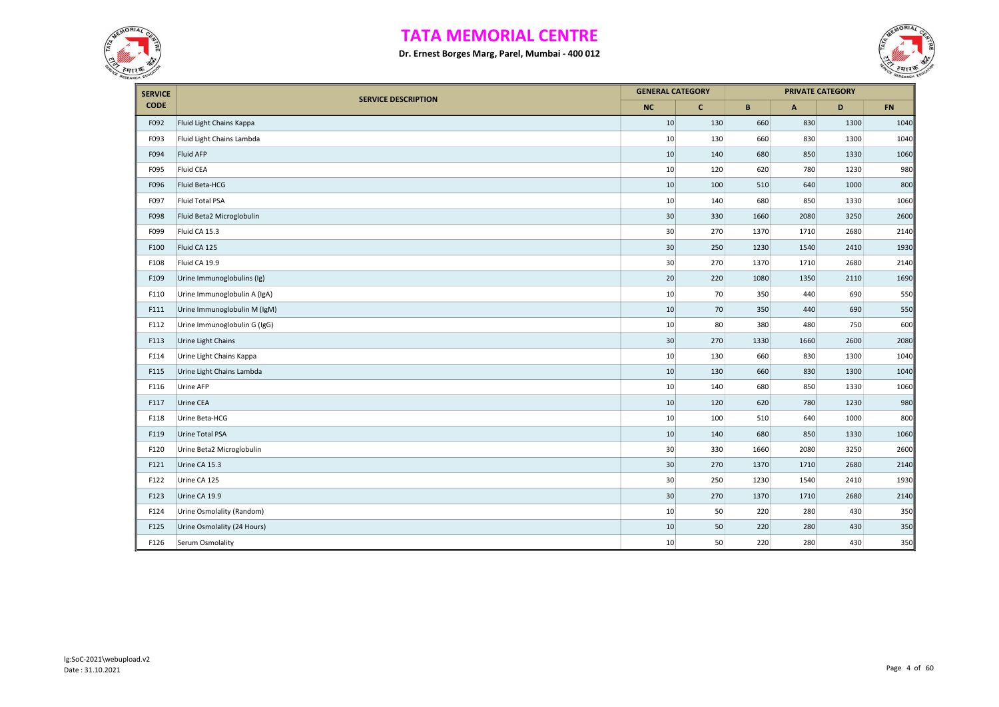



| <b>SERVICE</b> |                              | <b>GENERAL CATEGORY</b> |              |             | <b>PRIVATE CATEGORY</b>   |      |           |
|----------------|------------------------------|-------------------------|--------------|-------------|---------------------------|------|-----------|
| <b>CODE</b>    | <b>SERVICE DESCRIPTION</b>   | <b>NC</b>               | $\mathbf{C}$ | $\mathbf B$ | $\boldsymbol{\mathsf{A}}$ | D    | <b>FN</b> |
| F092           | Fluid Light Chains Kappa     | 10                      | 130          | 660         | 830                       | 1300 | 1040      |
| F093           | Fluid Light Chains Lambda    | 10                      | 130          | 660         | 830                       | 1300 | 1040      |
| F094           | <b>Fluid AFP</b>             | 10                      | 140          | 680         | 850                       | 1330 | 1060      |
| F095           | Fluid CEA                    | 10                      | 120          | 620         | 780                       | 1230 | 980       |
| F096           | Fluid Beta-HCG               | 10                      | 100          | 510         | 640                       | 1000 | 800       |
| F097           | Fluid Total PSA              | 10                      | 140          | 680         | 850                       | 1330 | 1060      |
| F098           | Fluid Beta2 Microglobulin    | 30                      | 330          | 1660        | 2080                      | 3250 | 2600      |
| F099           | Fluid CA 15.3                | 30                      | 270          | 1370        | 1710                      | 2680 | 2140      |
| F100           | Fluid CA 125                 | 30                      | 250          | 1230        | 1540                      | 2410 | 1930      |
| F108           | Fluid CA 19.9                | 30                      | 270          | 1370        | 1710                      | 2680 | 2140      |
| F109           | Urine Immunoglobulins (Ig)   | 20                      | 220          | 1080        | 1350                      | 2110 | 1690      |
| F110           | Urine Immunoglobulin A (IgA) | 10                      | 70           | 350         | 440                       | 690  | 550       |
| F111           | Urine Immunoglobulin M (IgM) | 10                      | 70           | 350         | 440                       | 690  | 550       |
| F112           | Urine Immunoglobulin G (IgG) | 10                      | 80           | 380         | 480                       | 750  | 600       |
| F113           | Urine Light Chains           | 30                      | 270          | 1330        | 1660                      | 2600 | 2080      |
| F114           | Urine Light Chains Kappa     | 10                      | 130          | 660         | 830                       | 1300 | 1040      |
| F115           | Urine Light Chains Lambda    | 10                      | 130          | 660         | 830                       | 1300 | 1040      |
| F116           | Urine AFP                    | 10                      | 140          | 680         | 850                       | 1330 | 1060      |
| F117           | Urine CEA                    | 10                      | 120          | 620         | 780                       | 1230 | 980       |
| F118           | Urine Beta-HCG               | 10                      | 100          | 510         | 640                       | 1000 | 800       |
| F119           | Urine Total PSA              | 10                      | 140          | 680         | 850                       | 1330 | 1060      |
| F120           | Urine Beta2 Microglobulin    | 30                      | 330          | 1660        | 2080                      | 3250 | 2600      |
| F121           | Urine CA 15.3                | 30                      | 270          | 1370        | 1710                      | 2680 | 2140      |
| F122           | Urine CA 125                 | 30                      | 250          | 1230        | 1540                      | 2410 | 1930      |
| F123           | Urine CA 19.9                | 30                      | 270          | 1370        | 1710                      | 2680 | 2140      |
| F124           | Urine Osmolality (Random)    | 10                      | 50           | 220         | 280                       | 430  | 350       |
| F125           | Urine Osmolality (24 Hours)  | 10                      | 50           | 220         | 280                       | 430  | 350       |
| F126           | Serum Osmolality             | 10                      | 50           | 220         | 280                       | 430  | 350       |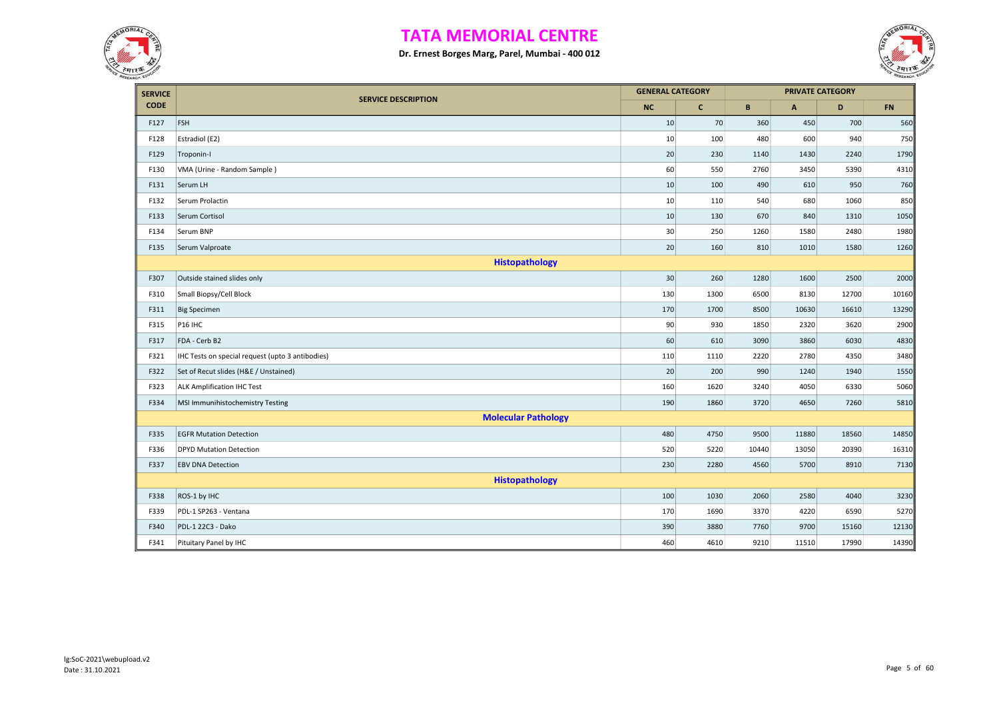



| <b>SERVICE</b> |                                                  | <b>GENERAL CATEGORY</b> |              |       | <b>PRIVATE CATEGORY</b> |       |           |
|----------------|--------------------------------------------------|-------------------------|--------------|-------|-------------------------|-------|-----------|
| <b>CODE</b>    | <b>SERVICE DESCRIPTION</b>                       | <b>NC</b>               | $\mathbf{C}$ | B     | $\mathsf{A}$            | D     | <b>FN</b> |
| F127           | FSH                                              | 10                      | 70           | 360   | 450                     | 700   | 560       |
| F128           | Estradiol (E2)                                   | 10                      | 100          | 480   | 600                     | 940   | 750       |
| F129           | Troponin-I                                       | 20                      | 230          | 1140  | 1430                    | 2240  | 1790      |
| F130           | VMA (Urine - Random Sample)                      | 60                      | 550          | 2760  | 3450                    | 5390  | 4310      |
| F131           | Serum LH                                         | 10                      | 100          | 490   | 610                     | 950   | 760       |
| F132           | Serum Prolactin                                  | 10                      | 110          | 540   | 680                     | 1060  | 850       |
| F133           | Serum Cortisol                                   | 10                      | 130          | 670   | 840                     | 1310  | 1050      |
| F134           | Serum BNP                                        | 30                      | 250          | 1260  | 1580                    | 2480  | 1980      |
| F135           | Serum Valproate                                  | 20                      | 160          | 810   | 1010                    | 1580  | 1260      |
|                | Histopathology                                   |                         |              |       |                         |       |           |
| F307           | Outside stained slides only                      | 30                      | 260          | 1280  | 1600                    | 2500  | 2000      |
| F310           | Small Biopsy/Cell Block                          | 130                     | 1300         | 6500  | 8130                    | 12700 | 10160     |
| F311           | <b>Big Specimen</b>                              | 170                     | 1700         | 8500  | 10630                   | 16610 | 13290     |
| F315           | <b>P16 IHC</b>                                   | 90                      | 930          | 1850  | 2320                    | 3620  | 2900      |
| F317           | FDA - Cerb B2                                    | 60                      | 610          | 3090  | 3860                    | 6030  | 4830      |
| F321           | IHC Tests on special request (upto 3 antibodies) | 110                     | 1110         | 2220  | 2780                    | 4350  | 3480      |
| F322           | Set of Recut slides (H&E / Unstained)            | 20                      | 200          | 990   | 1240                    | 1940  | 1550      |
| F323           | <b>ALK Amplification IHC Test</b>                | 160                     | 1620         | 3240  | 4050                    | 6330  | 5060      |
| F334           | MSI Immunihistochemistry Testing                 | 190                     | 1860         | 3720  | 4650                    | 7260  | 5810      |
|                | <b>Molecular Pathology</b>                       |                         |              |       |                         |       |           |
| F335           | <b>EGFR Mutation Detection</b>                   | 480                     | 4750         | 9500  | 11880                   | 18560 | 14850     |
| F336           | <b>DPYD Mutation Detection</b>                   | 520                     | 5220         | 10440 | 13050                   | 20390 | 16310     |
| F337           | <b>EBV DNA Detection</b>                         | 230                     | 2280         | 4560  | 5700                    | 8910  | 7130      |
|                | Histopathology                                   |                         |              |       |                         |       |           |
| F338           | ROS-1 by IHC                                     | 100                     | 1030         | 2060  | 2580                    | 4040  | 3230      |
| F339           | PDL-1 SP263 - Ventana                            | 170                     | 1690         | 3370  | 4220                    | 6590  | 5270      |
| F340           | PDL-1 22C3 - Dako                                | 390                     | 3880         | 7760  | 9700                    | 15160 | 12130     |
| F341           | Pituitary Panel by IHC                           | 460                     | 4610         | 9210  | 11510                   | 17990 | 14390     |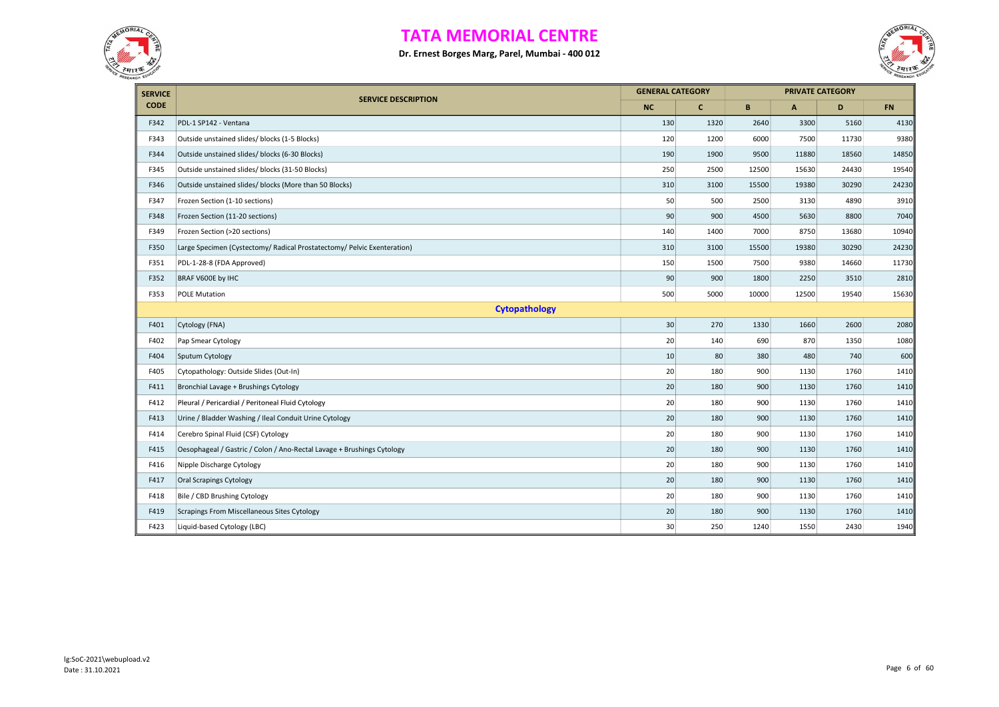



| <b>SERVICE</b> |                                                                         | <b>GENERAL CATEGORY</b> |              |       |       | <b>PRIVATE CATEGORY</b> |           |  |  |
|----------------|-------------------------------------------------------------------------|-------------------------|--------------|-------|-------|-------------------------|-----------|--|--|
| <b>CODE</b>    | <b>SERVICE DESCRIPTION</b>                                              | <b>NC</b>               | $\mathbf{C}$ | B     | A     | D                       | <b>FN</b> |  |  |
| F342           | PDL-1 SP142 - Ventana                                                   | 130                     | 1320         | 2640  | 3300  | 5160                    | 4130      |  |  |
| F343           | Outside unstained slides/ blocks (1-5 Blocks)                           | 120                     | 1200         | 6000  | 7500  | 11730                   | 9380      |  |  |
| F344           | Outside unstained slides/ blocks (6-30 Blocks)                          | 190                     | 1900         | 9500  | 11880 | 18560                   | 14850     |  |  |
| F345           | Outside unstained slides/ blocks (31-50 Blocks)                         | 250                     | 2500         | 12500 | 15630 | 24430                   | 19540     |  |  |
| F346           | Outside unstained slides/ blocks (More than 50 Blocks)                  | 310                     | 3100         | 15500 | 19380 | 30290                   | 24230     |  |  |
| F347           | Frozen Section (1-10 sections)                                          | 50                      | 500          | 2500  | 3130  | 4890                    | 3910      |  |  |
| F348           | Frozen Section (11-20 sections)                                         | 90                      | 900          | 4500  | 5630  | 8800                    | 7040      |  |  |
| F349           | Frozen Section (>20 sections)                                           | 140                     | 1400         | 7000  | 8750  | 13680                   | 10940     |  |  |
| F350           | Large Specimen (Cystectomy/ Radical Prostatectomy/ Pelvic Exenteration) | 310                     | 3100         | 15500 | 19380 | 30290                   | 24230     |  |  |
| F351           | PDL-1-28-8 (FDA Approved)                                               | 150                     | 1500         | 7500  | 9380  | 14660                   | 11730     |  |  |
| F352           | BRAF V600E by IHC                                                       | 90                      | 900          | 1800  | 2250  | 3510                    | 2810      |  |  |
| F353           | <b>POLE Mutation</b>                                                    | 500                     | 5000         | 10000 | 12500 | 19540                   | 15630     |  |  |
|                | <b>Cytopathology</b>                                                    |                         |              |       |       |                         |           |  |  |
| F401           | Cytology (FNA)                                                          | $30\,$                  | 270          | 1330  | 1660  | 2600                    | 2080      |  |  |
| F402           | Pap Smear Cytology                                                      | 20                      | 140          | 690   | 870   | 1350                    | 1080      |  |  |
| F404           | Sputum Cytology                                                         | 10                      | 80           | 380   | 480   | 740                     | 600       |  |  |
| F405           | Cytopathology: Outside Slides (Out-In)                                  | 20                      | 180          | 900   | 1130  | 1760                    | 1410      |  |  |
| F411           | Bronchial Lavage + Brushings Cytology                                   | 20                      | 180          | 900   | 1130  | 1760                    | 1410      |  |  |
| F412           | Pleural / Pericardial / Peritoneal Fluid Cytology                       | 20                      | 180          | 900   | 1130  | 1760                    | 1410      |  |  |
| F413           | Urine / Bladder Washing / Ileal Conduit Urine Cytology                  | 20                      | 180          | 900   | 1130  | 1760                    | 1410      |  |  |
| F414           | Cerebro Spinal Fluid (CSF) Cytology                                     | 20                      | 180          | 900   | 1130  | 1760                    | 1410      |  |  |
| F415           | Oesophageal / Gastric / Colon / Ano-Rectal Lavage + Brushings Cytology  | 20                      | 180          | 900   | 1130  | 1760                    | 1410      |  |  |
| F416           | Nipple Discharge Cytology                                               | 20                      | 180          | 900   | 1130  | 1760                    | 1410      |  |  |
| F417           | Oral Scrapings Cytology                                                 | 20                      | 180          | 900   | 1130  | 1760                    | 1410      |  |  |
| F418           | Bile / CBD Brushing Cytology                                            | 20                      | 180          | 900   | 1130  | 1760                    | 1410      |  |  |
| F419           | Scrapings From Miscellaneous Sites Cytology                             | 20                      | 180          | 900   | 1130  | 1760                    | 1410      |  |  |
| F423           | Liquid-based Cytology (LBC)                                             | 30                      | 250          | 1240  | 1550  | 2430                    | 1940      |  |  |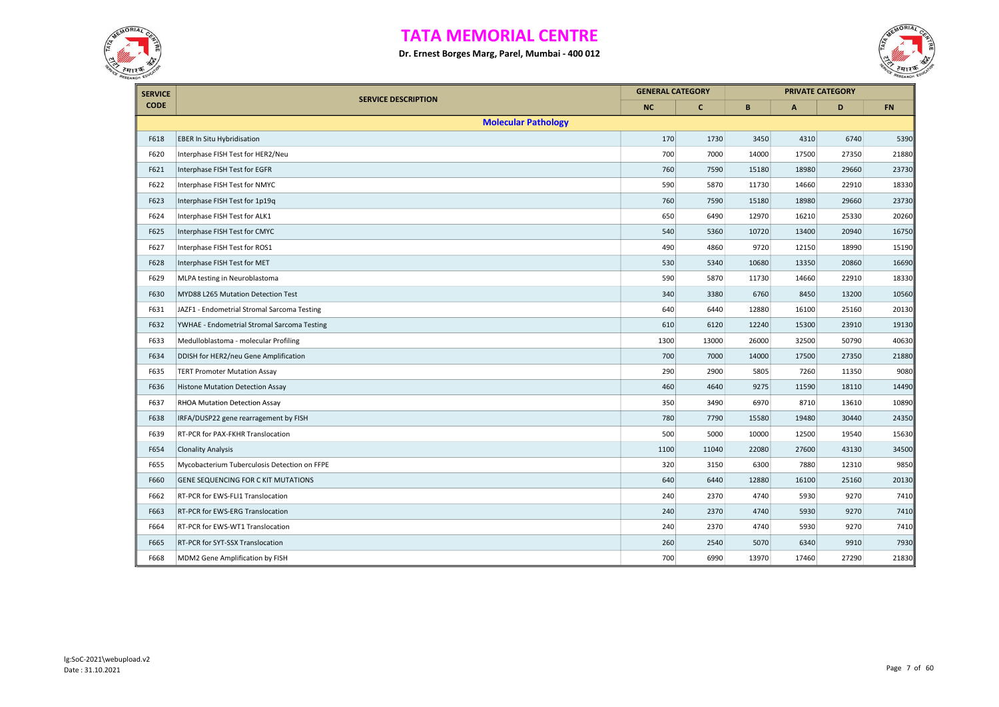



| <b>SERVICE</b> |                                              | <b>GENERAL CATEGORY</b> |              |       |              | <b>PRIVATE CATEGORY</b> |            |
|----------------|----------------------------------------------|-------------------------|--------------|-------|--------------|-------------------------|------------|
| <b>CODE</b>    | <b>SERVICE DESCRIPTION</b>                   | <b>NC</b>               | $\mathbf{C}$ | B     | $\mathsf{A}$ | D                       | ${\sf FN}$ |
|                | <b>Molecular Pathology</b>                   |                         |              |       |              |                         |            |
| F618           | <b>EBER In Situ Hybridisation</b>            | 170                     | 1730         | 3450  | 4310         | 6740                    | 5390       |
| F620           | Interphase FISH Test for HER2/Neu            | 700                     | 7000         | 14000 | 17500        | 27350                   | 21880      |
| F621           | Interphase FISH Test for EGFR                | 760                     | 7590         | 15180 | 18980        | 29660                   | 23730      |
| F622           | Interphase FISH Test for NMYC                | 590                     | 5870         | 11730 | 14660        | 22910                   | 18330      |
| F623           | Interphase FISH Test for 1p19q               | 760                     | 7590         | 15180 | 18980        | 29660                   | 23730      |
| F624           | Interphase FISH Test for ALK1                | 650                     | 6490         | 12970 | 16210        | 25330                   | 20260      |
| F625           | Interphase FISH Test for CMYC                | 540                     | 5360         | 10720 | 13400        | 20940                   | 16750      |
| F627           | Interphase FISH Test for ROS1                | 490                     | 4860         | 9720  | 12150        | 18990                   | 15190      |
| F628           | Interphase FISH Test for MET                 | 530                     | 5340         | 10680 | 13350        | 20860                   | 16690      |
| F629           | MLPA testing in Neuroblastoma                | 590                     | 5870         | 11730 | 14660        | 22910                   | 18330      |
| F630           | MYD88 L265 Mutation Detection Test           | 340                     | 3380         | 6760  | 8450         | 13200                   | 10560      |
| F631           | JAZF1 - Endometrial Stromal Sarcoma Testing  | 640                     | 6440         | 12880 | 16100        | 25160                   | 20130      |
| F632           | YWHAE - Endometrial Stromal Sarcoma Testing  | 610                     | 6120         | 12240 | 15300        | 23910                   | 19130      |
| F633           | Medulloblastoma - molecular Profiling        | 1300                    | 13000        | 26000 | 32500        | 50790                   | 40630      |
| F634           | DDISH for HER2/neu Gene Amplification        | 700                     | 7000         | 14000 | 17500        | 27350                   | 21880      |
| F635           | <b>TERT Promoter Mutation Assay</b>          | 290                     | 2900         | 5805  | 7260         | 11350                   | 9080       |
| F636           | Histone Mutation Detection Assay             | 460                     | 4640         | 9275  | 11590        | 18110                   | 14490      |
| F637           | RHOA Mutation Detection Assay                | 350                     | 3490         | 6970  | 8710         | 13610                   | 10890      |
| F638           | IRFA/DUSP22 gene rearragement by FISH        | 780                     | 7790         | 15580 | 19480        | 30440                   | 24350      |
| F639           | RT-PCR for PAX-FKHR Translocation            | 500                     | 5000         | 10000 | 12500        | 19540                   | 15630      |
| F654           | <b>Clonality Analysis</b>                    | 1100                    | 11040        | 22080 | 27600        | 43130                   | 34500      |
| F655           | Mycobacterium Tuberculosis Detection on FFPE | 320                     | 3150         | 6300  | 7880         | 12310                   | 9850       |
| F660           | GENE SEQUENCING FOR C KIT MUTATIONS          | 640                     | 6440         | 12880 | 16100        | 25160                   | 20130      |
| F662           | RT-PCR for EWS-FLI1 Translocation            | 240                     | 2370         | 4740  | 5930         | 9270                    | 7410       |
| F663           | RT-PCR for EWS-ERG Translocation             | 240                     | 2370         | 4740  | 5930         | 9270                    | 7410       |
| F664           | RT-PCR for EWS-WT1 Translocation             | 240                     | 2370         | 4740  | 5930         | 9270                    | 7410       |
| F665           | RT-PCR for SYT-SSX Translocation             | 260                     | 2540         | 5070  | 6340         | 9910                    | 7930       |
| F668           | MDM2 Gene Amplification by FISH              | 700                     | 6990         | 13970 | 17460        | 27290                   | 21830      |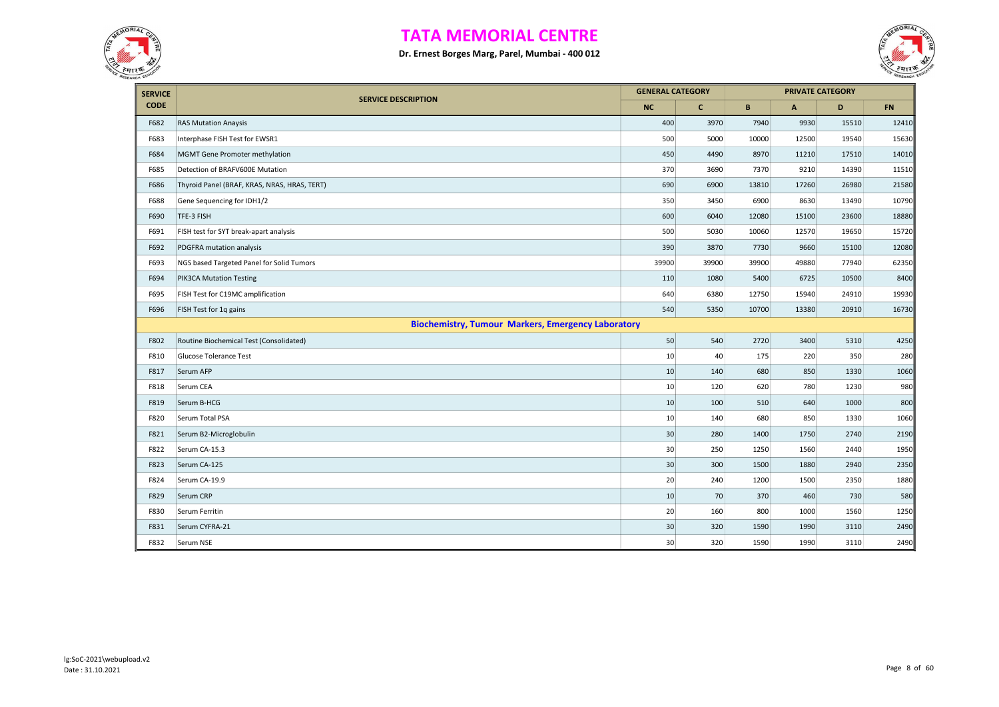



| <b>SERVICE</b> |                                                           | <b>GENERAL CATEGORY</b> |              |       |       | <b>PRIVATE CATEGORY</b> |       |
|----------------|-----------------------------------------------------------|-------------------------|--------------|-------|-------|-------------------------|-------|
| <b>CODE</b>    | <b>SERVICE DESCRIPTION</b>                                | <b>NC</b>               | $\mathbf{C}$ | B     | A     | D                       | FN    |
| F682           | <b>RAS Mutation Anaysis</b>                               | 400                     | 3970         | 7940  | 9930  | 15510                   | 12410 |
| F683           | Interphase FISH Test for EWSR1                            | 500                     | 5000         | 10000 | 12500 | 19540                   | 15630 |
| F684           | MGMT Gene Promoter methylation                            | 450                     | 4490         | 8970  | 11210 | 17510                   | 14010 |
| F685           | Detection of BRAFV600E Mutation                           | 370                     | 3690         | 7370  | 9210  | 14390                   | 11510 |
| F686           | Thyroid Panel (BRAF, KRAS, NRAS, HRAS, TERT)              | 690                     | 6900         | 13810 | 17260 | 26980                   | 21580 |
| F688           | Gene Sequencing for IDH1/2                                | 350                     | 3450         | 6900  | 8630  | 13490                   | 10790 |
| F690           | TFE-3 FISH                                                | 600                     | 6040         | 12080 | 15100 | 23600                   | 18880 |
| F691           | FISH test for SYT break-apart analysis                    | 500                     | 5030         | 10060 | 12570 | 19650                   | 15720 |
| F692           | PDGFRA mutation analysis                                  | 390                     | 3870         | 7730  | 9660  | 15100                   | 12080 |
| F693           | NGS based Targeted Panel for Solid Tumors                 | 39900                   | 39900        | 39900 | 49880 | 77940                   | 62350 |
| F694           | PIK3CA Mutation Testing                                   | 110                     | 1080         | 5400  | 6725  | 10500                   | 8400  |
| F695           | FISH Test for C19MC amplification                         | 640                     | 6380         | 12750 | 15940 | 24910                   | 19930 |
| F696           | FISH Test for 1q gains                                    | 540                     | 5350         | 10700 | 13380 | 20910                   | 16730 |
|                | <b>Biochemistry, Tumour Markers, Emergency Laboratory</b> |                         |              |       |       |                         |       |
| F802           | Routine Biochemical Test (Consolidated)                   | 50                      | 540          | 2720  | 3400  | 5310                    | 4250  |
| F810           | Glucose Tolerance Test                                    | 10                      | 40           | 175   | 220   | 350                     | 280   |
| F817           | Serum AFP                                                 | 10                      | 140          | 680   | 850   | 1330                    | 1060  |
| F818           | Serum CEA                                                 | 10                      | 120          | 620   | 780   | 1230                    | 980   |
| F819           | Serum B-HCG                                               | 10                      | 100          | 510   | 640   | 1000                    | 800   |
| F820           | Serum Total PSA                                           | 10                      | 140          | 680   | 850   | 1330                    | 1060  |
| F821           | Serum B2-Microglobulin                                    | 30                      | 280          | 1400  | 1750  | 2740                    | 2190  |
| F822           | Serum CA-15.3                                             | 30                      | 250          | 1250  | 1560  | 2440                    | 1950  |
| F823           | Serum CA-125                                              | 30                      | 300          | 1500  | 1880  | 2940                    | 2350  |
| F824           | Serum CA-19.9                                             | 20                      | 240          | 1200  | 1500  | 2350                    | 1880  |
| F829           | Serum CRP                                                 | 10                      | 70           | 370   | 460   | 730                     | 580   |
| F830           | Serum Ferritin                                            | 20                      | 160          | 800   | 1000  | 1560                    | 1250  |
| F831           | Serum CYFRA-21                                            | 30                      | 320          | 1590  | 1990  | 3110                    | 2490  |
| F832           | Serum NSE                                                 | 30                      | 320          | 1590  | 1990  | 3110                    | 2490  |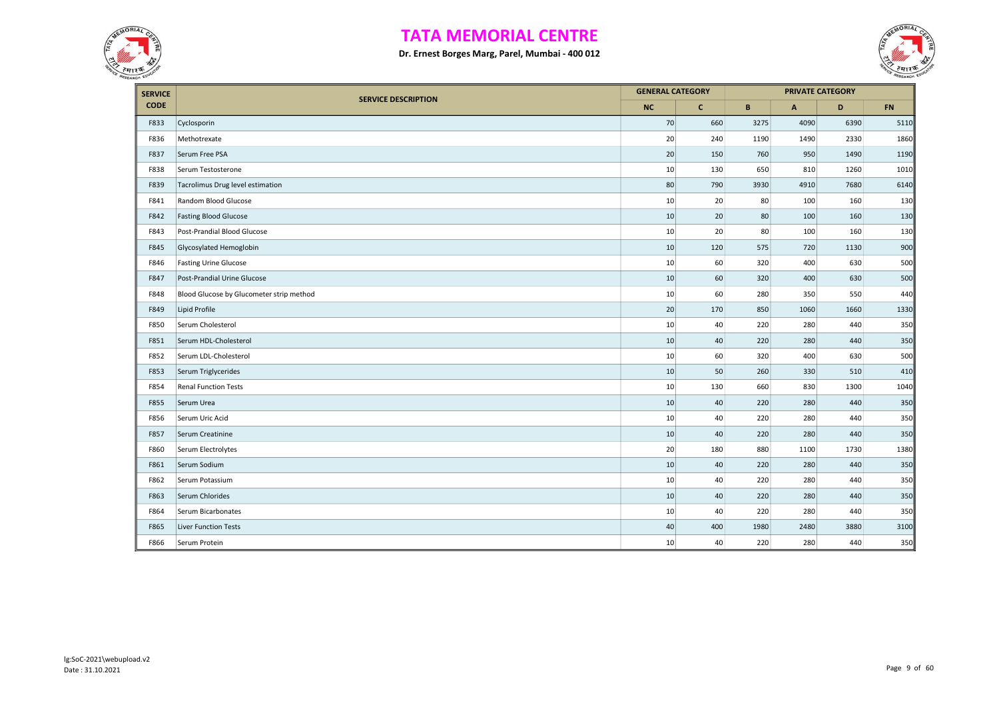



| <b>SERVICE</b> |                                          | <b>GENERAL CATEGORY</b> |              |      |      | <b>PRIVATE CATEGORY</b> |      |
|----------------|------------------------------------------|-------------------------|--------------|------|------|-------------------------|------|
| <b>CODE</b>    | <b>SERVICE DESCRIPTION</b>               | <b>NC</b>               | $\mathbf{C}$ | B    | A    | D                       | FN   |
| F833           | Cyclosporin                              | 70                      | 660          | 3275 | 4090 | 6390                    | 5110 |
| F836           | Methotrexate                             | 20                      | 240          | 1190 | 1490 | 2330                    | 1860 |
| F837           | Serum Free PSA                           | 20                      | 150          | 760  | 950  | 1490                    | 1190 |
| F838           | Serum Testosterone                       | 10                      | 130          | 650  | 810  | 1260                    | 1010 |
| F839           | Tacrolimus Drug level estimation         | 80                      | 790          | 3930 | 4910 | 7680                    | 6140 |
| F841           | Random Blood Glucose                     | 10                      | 20           | 80   | 100  | 160                     | 130  |
| F842           | <b>Fasting Blood Glucose</b>             | 10                      | 20           | 80   | 100  | 160                     | 130  |
| F843           | Post-Prandial Blood Glucose              | 10                      | 20           | 80   | 100  | 160                     | 130  |
| F845           | Glycosylated Hemoglobin                  | 10                      | 120          | 575  | 720  | 1130                    | 900  |
| F846           | <b>Fasting Urine Glucose</b>             | 10                      | 60           | 320  | 400  | 630                     | 500  |
| F847           | Post-Prandial Urine Glucose              | 10                      | 60           | 320  | 400  | 630                     | 500  |
| F848           | Blood Glucose by Glucometer strip method | 10                      | 60           | 280  | 350  | 550                     | 440  |
| F849           | Lipid Profile                            | 20                      | 170          | 850  | 1060 | 1660                    | 1330 |
| F850           | Serum Cholesterol                        | 10                      | 40           | 220  | 280  | 440                     | 350  |
| F851           | Serum HDL-Cholesterol                    | 10                      | 40           | 220  | 280  | 440                     | 350  |
| F852           | Serum LDL-Cholesterol                    | 10                      | 60           | 320  | 400  | 630                     | 500  |
| F853           | Serum Triglycerides                      | 10                      | 50           | 260  | 330  | 510                     | 410  |
| F854           | <b>Renal Function Tests</b>              | 10                      | 130          | 660  | 830  | 1300                    | 1040 |
| F855           | Serum Urea                               | 10                      | 40           | 220  | 280  | 440                     | 350  |
| F856           | Serum Uric Acid                          | 10                      | 40           | 220  | 280  | 440                     | 350  |
| F857           | Serum Creatinine                         | 10                      | 40           | 220  | 280  | 440                     | 350  |
| F860           | Serum Electrolytes                       | 20                      | 180          | 880  | 1100 | 1730                    | 1380 |
| F861           | Serum Sodium                             | 10                      | 40           | 220  | 280  | 440                     | 350  |
| F862           | Serum Potassium                          | 10                      | 40           | 220  | 280  | 440                     | 350  |
| F863           | Serum Chlorides                          | 10                      | 40           | 220  | 280  | 440                     | 350  |
| F864           | Serum Bicarbonates                       | 10                      | 40           | 220  | 280  | 440                     | 350  |
| F865           | <b>Liver Function Tests</b>              | 40                      | 400          | 1980 | 2480 | 3880                    | 3100 |
| F866           | Serum Protein                            | 10                      | 40           | 220  | 280  | 440                     | 350  |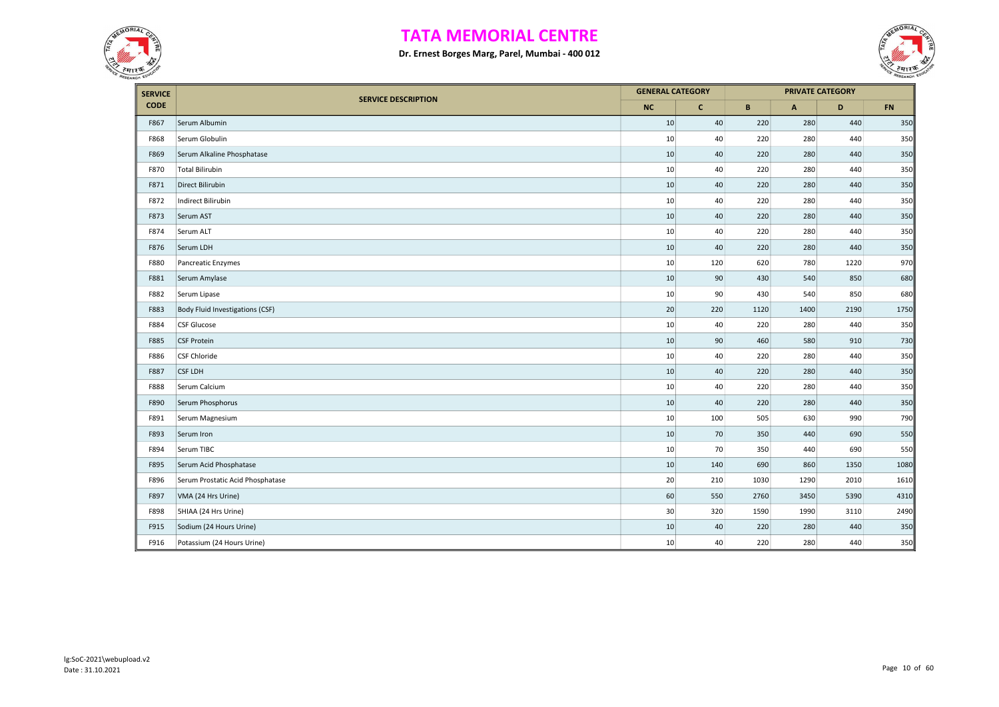



| <b>SERVICE</b> |                                  | <b>GENERAL CATEGORY</b> |              |      |              | <b>PRIVATE CATEGORY</b> |           |
|----------------|----------------------------------|-------------------------|--------------|------|--------------|-------------------------|-----------|
| <b>CODE</b>    | <b>SERVICE DESCRIPTION</b>       | <b>NC</b>               | $\mathbf{C}$ | B    | $\mathsf{A}$ | D                       | <b>FN</b> |
| F867           | Serum Albumin                    | 10                      | 40           | 220  | 280          | 440                     | 350       |
| F868           | Serum Globulin                   | 10                      | 40           | 220  | 280          | 440                     | 350       |
| F869           | Serum Alkaline Phosphatase       | 10                      | $40\,$       | 220  | 280          | 440                     | 350       |
| F870           | <b>Total Bilirubin</b>           | 10                      | 40           | 220  | 280          | 440                     | 350       |
| F871           | Direct Bilirubin                 | 10                      | 40           | 220  | 280          | 440                     | 350       |
| F872           | Indirect Bilirubin               | 10                      | 40           | 220  | 280          | 440                     | 350       |
| F873           | Serum AST                        | 10                      | $40\,$       | 220  | 280          | 440                     | 350       |
| F874           | Serum ALT                        | 10                      | 40           | 220  | 280          | 440                     | 350       |
| F876           | Serum LDH                        | 10                      | $40\,$       | 220  | 280          | 440                     | 350       |
| F880           | Pancreatic Enzymes               | 10                      | 120          | 620  | 780          | 1220                    | 970       |
| F881           | Serum Amylase                    | 10                      | 90           | 430  | 540          | 850                     | 680       |
| F882           | Serum Lipase                     | 10                      | 90           | 430  | 540          | 850                     | 680       |
| F883           | Body Fluid Investigations (CSF)  | 20                      | 220          | 1120 | 1400         | 2190                    | 1750      |
| F884           | CSF Glucose                      | 10                      | 40           | 220  | 280          | 440                     | 350       |
| F885           | <b>CSF Protein</b>               | 10                      | 90           | 460  | 580          | 910                     | 730       |
| F886           | <b>CSF Chloride</b>              | 10                      | 40           | 220  | 280          | 440                     | 350       |
| F887           | <b>CSF LDH</b>                   | 10                      | 40           | 220  | 280          | 440                     | 350       |
| F888           | Serum Calcium                    | 10                      | 40           | 220  | 280          | 440                     | 350       |
| F890           | Serum Phosphorus                 | 10                      | 40           | 220  | 280          | 440                     | 350       |
| F891           | Serum Magnesium                  | 10                      | 100          | 505  | 630          | 990                     | 790       |
| F893           | Serum Iron                       | 10                      | 70           | 350  | 440          | 690                     | 550       |
| F894           | Serum TIBC                       | 10                      | 70           | 350  | 440          | 690                     | 550       |
| F895           | Serum Acid Phosphatase           | 10                      | 140          | 690  | 860          | 1350                    | 1080      |
| F896           | Serum Prostatic Acid Phosphatase | 20                      | 210          | 1030 | 1290         | 2010                    | 1610      |
| F897           | VMA (24 Hrs Urine)               | 60                      | 550          | 2760 | 3450         | 5390                    | 4310      |
| F898           | 5HIAA (24 Hrs Urine)             | 30                      | 320          | 1590 | 1990         | 3110                    | 2490      |
| F915           | Sodium (24 Hours Urine)          | 10                      | $40\,$       | 220  | 280          | 440                     | 350       |
| F916           | Potassium (24 Hours Urine)       | 10                      | 40           | 220  | 280          | 440                     | 350       |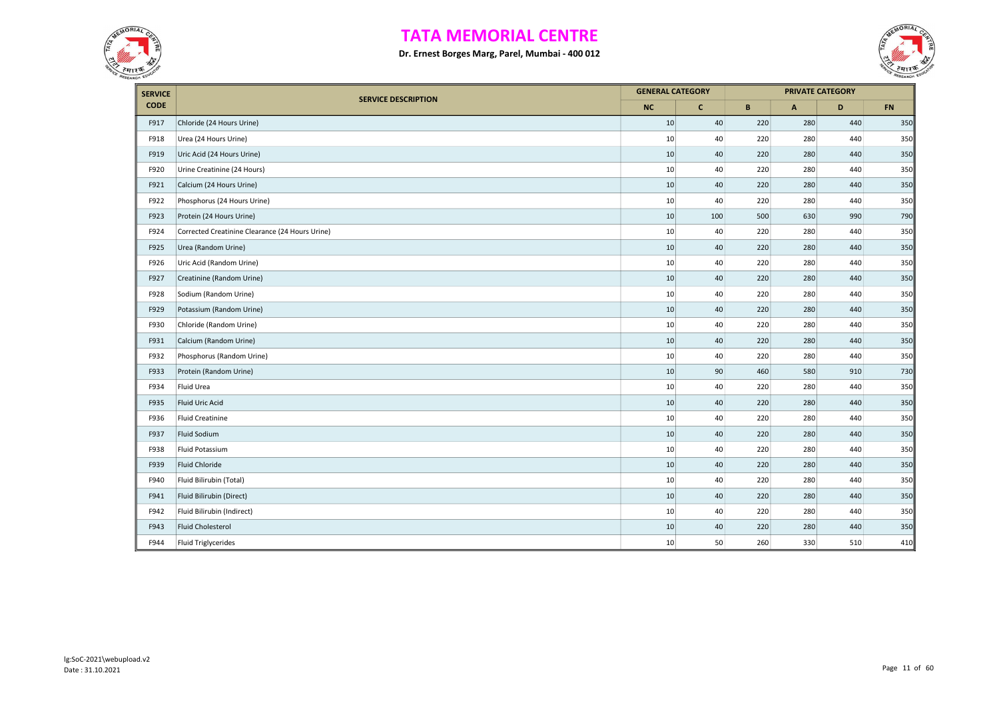



| <b>SERVICE</b> |                                                 | <b>GENERAL CATEGORY</b> |              |     | <b>PRIVATE CATEGORY</b> |     |           |
|----------------|-------------------------------------------------|-------------------------|--------------|-----|-------------------------|-----|-----------|
| <b>CODE</b>    | <b>SERVICE DESCRIPTION</b>                      | <b>NC</b>               | $\mathbf{C}$ | B   | $\mathsf{A}$            | D   | <b>FN</b> |
| F917           | Chloride (24 Hours Urine)                       | 10                      | 40           | 220 | 280                     | 440 | 350       |
| F918           | Urea (24 Hours Urine)                           | 10                      | 40           | 220 | 280                     | 440 | 350       |
| F919           | Uric Acid (24 Hours Urine)                      | 10                      | 40           | 220 | 280                     | 440 | 350       |
| F920           | Urine Creatinine (24 Hours)                     | 10                      | 40           | 220 | 280                     | 440 | 350       |
| F921           | Calcium (24 Hours Urine)                        | 10                      | 40           | 220 | 280                     | 440 | 350       |
| F922           | Phosphorus (24 Hours Urine)                     | 10                      | 40           | 220 | 280                     | 440 | 350       |
| F923           | Protein (24 Hours Urine)                        | 10                      | 100          | 500 | 630                     | 990 | 790       |
| F924           | Corrected Creatinine Clearance (24 Hours Urine) | 10                      | 40           | 220 | 280                     | 440 | 350       |
| F925           | Urea (Random Urine)                             | 10                      | 40           | 220 | 280                     | 440 | 350       |
| F926           | Uric Acid (Random Urine)                        | 10                      | 40           | 220 | 280                     | 440 | 350       |
| F927           | Creatinine (Random Urine)                       | 10                      | 40           | 220 | 280                     | 440 | 350       |
| F928           | Sodium (Random Urine)                           | 10                      | 40           | 220 | 280                     | 440 | 350       |
| F929           | Potassium (Random Urine)                        | 10                      | 40           | 220 | 280                     | 440 | 350       |
| F930           | Chloride (Random Urine)                         | 10                      | 40           | 220 | 280                     | 440 | 350       |
| F931           | Calcium (Random Urine)                          | 10                      | 40           | 220 | 280                     | 440 | 350       |
| F932           | Phosphorus (Random Urine)                       | 10                      | 40           | 220 | 280                     | 440 | 350       |
| F933           | Protein (Random Urine)                          | 10                      | 90           | 460 | 580                     | 910 | 730       |
| F934           | Fluid Urea                                      | 10                      | 40           | 220 | 280                     | 440 | 350       |
| F935           | Fluid Uric Acid                                 | 10                      | 40           | 220 | 280                     | 440 | 350       |
| F936           | <b>Fluid Creatinine</b>                         | 10                      | 40           | 220 | 280                     | 440 | 350       |
| F937           | Fluid Sodium                                    | 10                      | 40           | 220 | 280                     | 440 | 350       |
| F938           | Fluid Potassium                                 | 10                      | 40           | 220 | 280                     | 440 | 350       |
| F939           | <b>Fluid Chloride</b>                           | 10                      | 40           | 220 | 280                     | 440 | 350       |
| F940           | Fluid Bilirubin (Total)                         | 10                      | 40           | 220 | 280                     | 440 | 350       |
| F941           | Fluid Bilirubin (Direct)                        | 10                      | 40           | 220 | 280                     | 440 | 350       |
| F942           | Fluid Bilirubin (Indirect)                      | 10                      | 40           | 220 | 280                     | 440 | 350       |
| F943           | <b>Fluid Cholesterol</b>                        | 10                      | 40           | 220 | 280                     | 440 | 350       |
| F944           | <b>Fluid Triglycerides</b>                      | 10                      | 50           | 260 | 330                     | 510 | 410       |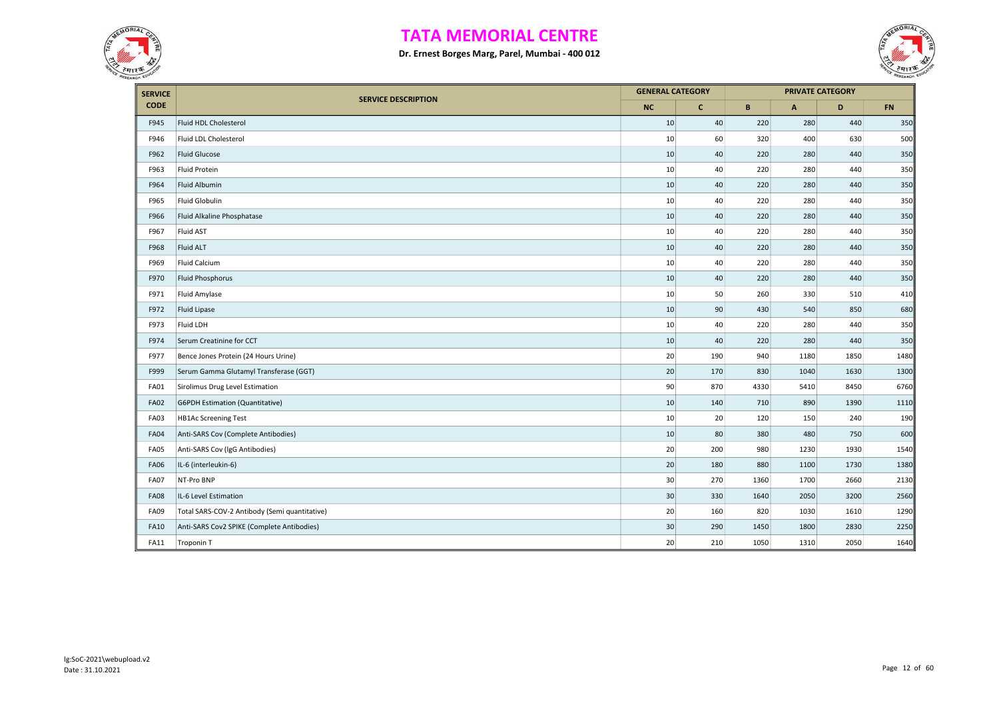



| <b>SERVICE</b> |                                               |           | <b>GENERAL CATEGORY</b> |      | <b>PRIVATE CATEGORY</b> |      |           |
|----------------|-----------------------------------------------|-----------|-------------------------|------|-------------------------|------|-----------|
| <b>CODE</b>    | <b>SERVICE DESCRIPTION</b>                    | <b>NC</b> | $\mathbf{C}$            | B    | $\overline{A}$          | D    | <b>FN</b> |
| F945           | Fluid HDL Cholesterol                         | 10        | 40                      | 220  | 280                     | 440  | 350       |
| F946           | Fluid LDL Cholesterol                         | 10        | 60                      | 320  | 400                     | 630  | 500       |
| F962           | <b>Fluid Glucose</b>                          | 10        | 40                      | 220  | 280                     | 440  | 350       |
| F963           | Fluid Protein                                 | 10        | 40                      | 220  | 280                     | 440  | 350       |
| F964           | Fluid Albumin                                 | 10        | 40                      | 220  | 280                     | 440  | 350       |
| F965           | Fluid Globulin                                | 10        | 40                      | 220  | 280                     | 440  | 350       |
| F966           | Fluid Alkaline Phosphatase                    | 10        | 40                      | 220  | 280                     | 440  | 350       |
| F967           | Fluid AST                                     | 10        | 40                      | 220  | 280                     | 440  | 350       |
| F968           | <b>Fluid ALT</b>                              | 10        | 40                      | 220  | 280                     | 440  | 350       |
| F969           | <b>Fluid Calcium</b>                          | 10        | 40                      | 220  | 280                     | 440  | 350       |
| F970           | Fluid Phosphorus                              | 10        | 40                      | 220  | 280                     | 440  | 350       |
| F971           | Fluid Amylase                                 | 10        | 50                      | 260  | 330                     | 510  | 410       |
| F972           | Fluid Lipase                                  | 10        | 90                      | 430  | 540                     | 850  | 680       |
| F973           | Fluid LDH                                     | 10        | 40                      | 220  | 280                     | 440  | 350       |
| F974           | Serum Creatinine for CCT                      | 10        | 40                      | 220  | 280                     | 440  | 350       |
| F977           | Bence Jones Protein (24 Hours Urine)          | 20        | 190                     | 940  | 1180                    | 1850 | 1480      |
| F999           | Serum Gamma Glutamyl Transferase (GGT)        | 20        | 170                     | 830  | 1040                    | 1630 | 1300      |
| <b>FA01</b>    | Sirolimus Drug Level Estimation               | 90        | 870                     | 4330 | 5410                    | 8450 | 6760      |
| <b>FA02</b>    | <b>G6PDH Estimation (Quantitative)</b>        | 10        | 140                     | 710  | 890                     | 1390 | 1110      |
| <b>FA03</b>    | <b>HB1Ac Screening Test</b>                   | 10        | 20                      | 120  | 150                     | 240  | 190       |
| <b>FA04</b>    | Anti-SARS Cov (Complete Antibodies)           | 10        | 80                      | 380  | 480                     | 750  | 600       |
| <b>FA05</b>    | Anti-SARS Cov (IgG Antibodies)                | 20        | 200                     | 980  | 1230                    | 1930 | 1540      |
| <b>FA06</b>    | IL-6 (interleukin-6)                          | 20        | 180                     | 880  | 1100                    | 1730 | 1380      |
| <b>FA07</b>    | NT-Pro BNP                                    | 30        | 270                     | 1360 | 1700                    | 2660 | 2130      |
| <b>FA08</b>    | IL-6 Level Estimation                         | 30        | 330                     | 1640 | 2050                    | 3200 | 2560      |
| <b>FA09</b>    | Total SARS-COV-2 Antibody (Semi quantitative) | 20        | 160                     | 820  | 1030                    | 1610 | 1290      |
| <b>FA10</b>    | Anti-SARS Cov2 SPIKE (Complete Antibodies)    | 30        | 290                     | 1450 | 1800                    | 2830 | 2250      |
| <b>FA11</b>    | Troponin T                                    | 20        | 210                     | 1050 | 1310                    | 2050 | 1640      |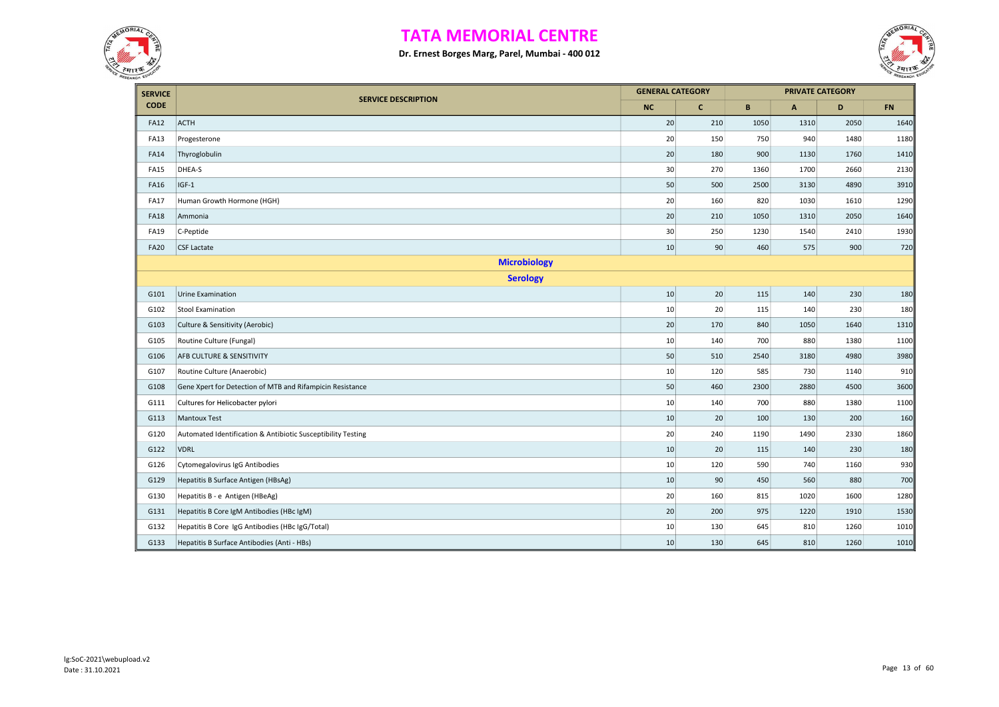



| <b>SERVICE</b> |                                                              | <b>GENERAL CATEGORY</b> |              |             |              | <b>PRIVATE CATEGORY</b> |            |
|----------------|--------------------------------------------------------------|-------------------------|--------------|-------------|--------------|-------------------------|------------|
| <b>CODE</b>    | <b>SERVICE DESCRIPTION</b>                                   | <b>NC</b>               | $\mathbf{C}$ | $\mathbf B$ | $\mathsf{A}$ | D                       | ${\sf FN}$ |
| <b>FA12</b>    | <b>ACTH</b>                                                  | 20                      | 210          | 1050        | 1310         | 2050                    | 1640       |
| <b>FA13</b>    | Progesterone                                                 | 20                      | 150          | 750         | 940          | 1480                    | 1180       |
| <b>FA14</b>    | Thyroglobulin                                                | 20                      | 180          | 900         | 1130         | 1760                    | 1410       |
| <b>FA15</b>    | DHEA-S                                                       | 30                      | 270          | 1360        | 1700         | 2660                    | 2130       |
| <b>FA16</b>    | $IGF-1$                                                      | 50                      | 500          | 2500        | 3130         | 4890                    | 3910       |
| <b>FA17</b>    | Human Growth Hormone (HGH)                                   | 20                      | 160          | 820         | 1030         | 1610                    | 1290       |
| <b>FA18</b>    | Ammonia                                                      | 20                      | 210          | 1050        | 1310         | 2050                    | 1640       |
| <b>FA19</b>    | C-Peptide                                                    | 30                      | 250          | 1230        | 1540         | 2410                    | 1930       |
| <b>FA20</b>    | <b>CSF Lactate</b>                                           | 10                      | 90           | 460         | 575          | 900                     | 720        |
|                | <b>Microbiology</b>                                          |                         |              |             |              |                         |            |
|                | <b>Serology</b>                                              |                         |              |             |              |                         |            |
| G101           | Urine Examination                                            | 10                      | 20           | 115         | 140          | 230                     | 180        |
| G102           | <b>Stool Examination</b>                                     | 10                      | 20           | 115         | 140          | 230                     | 180        |
| G103           | Culture & Sensitivity (Aerobic)                              | 20                      | 170          | 840         | 1050         | 1640                    | 1310       |
| G105           | Routine Culture (Fungal)                                     | 10                      | 140          | 700         | 880          | 1380                    | 1100       |
| G106           | AFB CULTURE & SENSITIVITY                                    | 50                      | 510          | 2540        | 3180         | 4980                    | 3980       |
| G107           | Routine Culture (Anaerobic)                                  | 10                      | 120          | 585         | 730          | 1140                    | 910        |
| G108           | Gene Xpert for Detection of MTB and Rifampicin Resistance    | 50                      | 460          | 2300        | 2880         | 4500                    | 3600       |
| G111           | Cultures for Helicobacter pylori                             | 10                      | 140          | 700         | 880          | 1380                    | 1100       |
| G113           | <b>Mantoux Test</b>                                          | 10                      | 20           | 100         | 130          | 200                     | 160        |
| G120           | Automated Identification & Antibiotic Susceptibility Testing | 20                      | 240          | 1190        | 1490         | 2330                    | 1860       |
| G122           | <b>VDRL</b>                                                  | 10                      | 20           | 115         | 140          | 230                     | 180        |
| G126           | Cytomegalovirus IgG Antibodies                               | 10                      | 120          | 590         | 740          | 1160                    | 930        |
| G129           | Hepatitis B Surface Antigen (HBsAg)                          | 10                      | 90           | 450         | 560          | 880                     | 700        |
| G130           | Hepatitis B - e Antigen (HBeAg)                              | 20                      | 160          | 815         | 1020         | 1600                    | 1280       |
| G131           | Hepatitis B Core IgM Antibodies (HBc IgM)                    | 20                      | 200          | 975         | 1220         | 1910                    | 1530       |
| G132           | Hepatitis B Core IgG Antibodies (HBc IgG/Total)              | 10                      | 130          | 645         | 810          | 1260                    | 1010       |
| G133           | Hepatitis B Surface Antibodies (Anti - HBs)                  | 10                      | 130          | 645         | 810          | 1260                    | 1010       |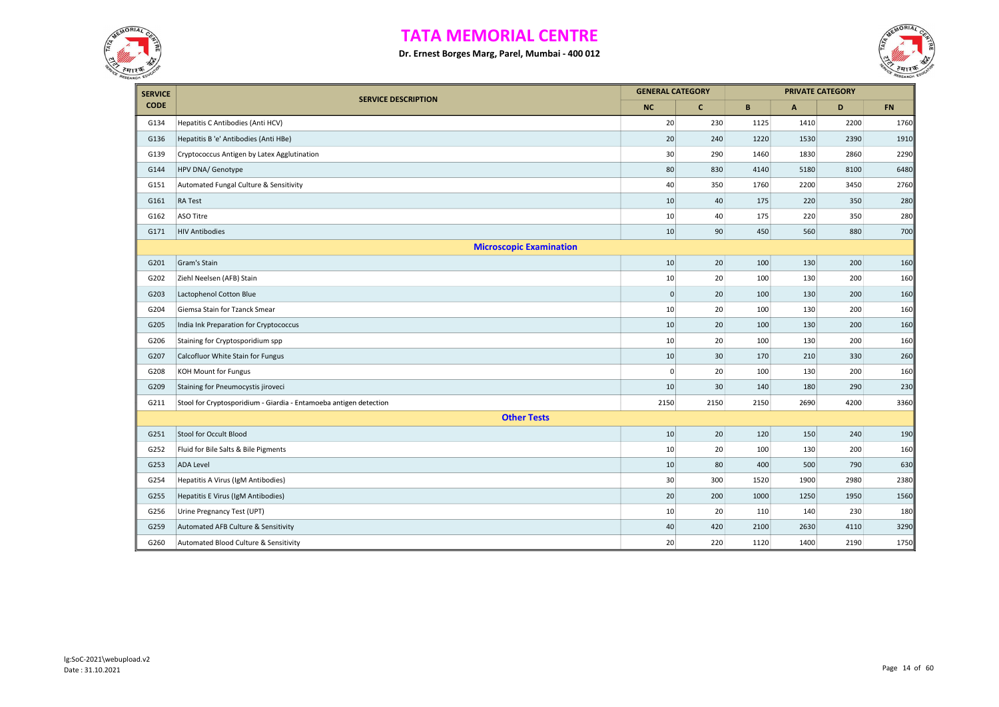



| <b>SERVICE</b> |                                                                   | <b>GENERAL CATEGORY</b> |              |      |                | <b>PRIVATE CATEGORY</b> |            |
|----------------|-------------------------------------------------------------------|-------------------------|--------------|------|----------------|-------------------------|------------|
| <b>CODE</b>    | <b>SERVICE DESCRIPTION</b>                                        | <b>NC</b>               | $\mathbf{C}$ | B    | $\overline{A}$ | D                       | ${\sf FN}$ |
| G134           | Hepatitis C Antibodies (Anti HCV)                                 | 20                      | 230          | 1125 | 1410           | 2200                    | 1760       |
| G136           | Hepatitis B 'e' Antibodies (Anti HBe)                             | 20                      | 240          | 1220 | 1530           | 2390                    | 1910       |
| G139           | Cryptococcus Antigen by Latex Agglutination                       | 30                      | 290          | 1460 | 1830           | 2860                    | 2290       |
| G144           | HPV DNA/ Genotype                                                 | 80                      | 830          | 4140 | 5180           | 8100                    | 6480       |
| G151           | Automated Fungal Culture & Sensitivity                            | 40                      | 350          | 1760 | 2200           | 3450                    | 2760       |
| G161           | RA Test                                                           | 10                      | 40           | 175  | 220            | 350                     | 280        |
| G162           | ASO Titre                                                         | 10                      | 40           | 175  | 220            | 350                     | 280        |
| G171           | <b>HIV Antibodies</b>                                             | 10                      | 90           | 450  | 560            | 880                     | 700        |
|                | <b>Microscopic Examination</b>                                    |                         |              |      |                |                         |            |
| G201           | Gram's Stain                                                      | 10                      | 20           | 100  | 130            | 200                     | 160        |
| G202           | Ziehl Neelsen (AFB) Stain                                         | $10\,$                  | 20           | 100  | 130            | 200                     | 160        |
| G203           | Lactophenol Cotton Blue                                           | $\mathbf 0$             | 20           | 100  | 130            | 200                     | 160        |
| G204           | Giemsa Stain for Tzanck Smear                                     | 10                      | 20           | 100  | 130            | 200                     | 160        |
| G205           | India Ink Preparation for Cryptococcus                            | 10                      | 20           | 100  | 130            | 200                     | 160        |
| G206           | Staining for Cryptosporidium spp                                  | 10                      | 20           | 100  | 130            | 200                     | 160        |
| G207           | Calcofluor White Stain for Fungus                                 | 10                      | 30           | 170  | 210            | 330                     | 260        |
| G208           | KOH Mount for Fungus                                              | $\mathbf 0$             | 20           | 100  | 130            | 200                     | 160        |
| G209           | Staining for Pneumocystis jiroveci                                | 10                      | 30           | 140  | 180            | 290                     | 230        |
| G211           | Stool for Cryptosporidium - Giardia - Entamoeba antigen detection | 2150                    | 2150         | 2150 | 2690           | 4200                    | 3360       |
|                | <b>Other Tests</b>                                                |                         |              |      |                |                         |            |
| G251           | Stool for Occult Blood                                            | 10                      | $20\,$       | 120  | 150            | 240                     | 190        |
| G252           | Fluid for Bile Salts & Bile Pigments                              | 10                      | 20           | 100  | 130            | 200                     | 160        |
| G253           | <b>ADA Level</b>                                                  | 10                      | 80           | 400  | 500            | 790                     | 630        |
| G254           | Hepatitis A Virus (IgM Antibodies)                                | 30                      | 300          | 1520 | 1900           | 2980                    | 2380       |
| G255           | Hepatitis E Virus (IgM Antibodies)                                | 20                      | 200          | 1000 | 1250           | 1950                    | 1560       |
| G256           | Urine Pregnancy Test (UPT)                                        | 10                      | 20           | 110  | 140            | 230                     | 180        |
| G259           | Automated AFB Culture & Sensitivity                               | 40                      | 420          | 2100 | 2630           | 4110                    | 3290       |
| G260           | Automated Blood Culture & Sensitivity                             | 20                      | 220          | 1120 | 1400           | 2190                    | 1750       |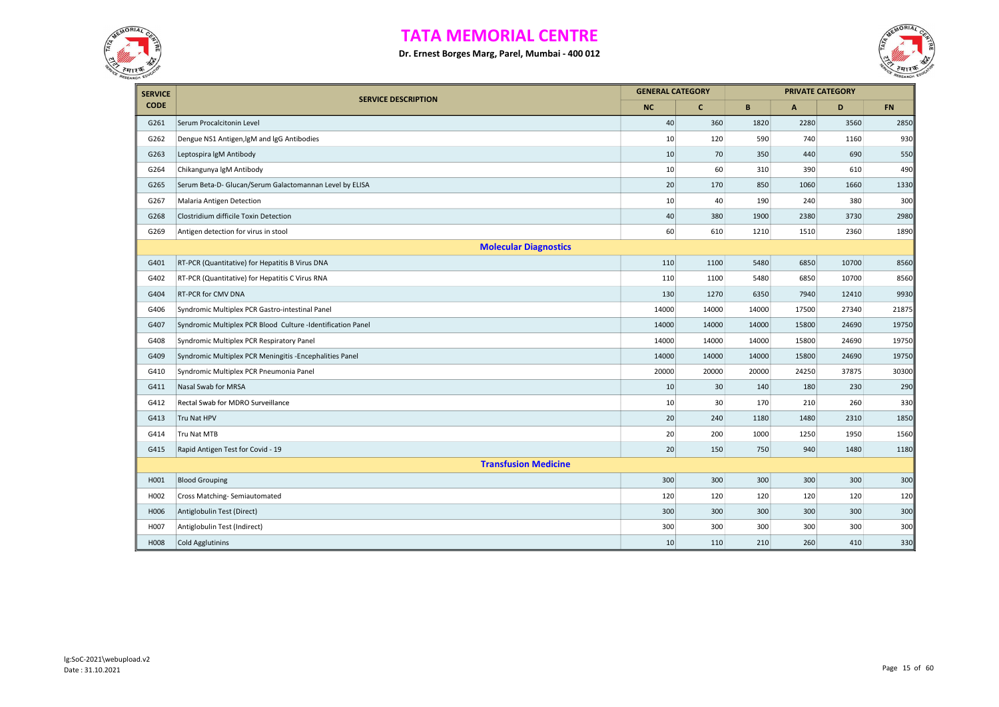



| <b>SERVICE</b> |                                                             | <b>GENERAL CATEGORY</b> |              |       |       | <b>PRIVATE CATEGORY</b> |           |
|----------------|-------------------------------------------------------------|-------------------------|--------------|-------|-------|-------------------------|-----------|
| <b>CODE</b>    | <b>SERVICE DESCRIPTION</b>                                  | NC                      | $\mathbf{C}$ | B     | A     | D                       | <b>FN</b> |
| G261           | Serum Procalcitonin Level                                   | 40                      | 360          | 1820  | 2280  | 3560                    | 2850      |
| G262           | Dengue NS1 Antigen, IgM and IgG Antibodies                  | 10                      | 120          | 590   | 740   | 1160                    | 930       |
| G263           | Leptospira IgM Antibody                                     | 10                      | 70           | 350   | 440   | 690                     | 550       |
| G264           | Chikangunya IgM Antibody                                    | 10                      | 60           | 310   | 390   | 610                     | 490       |
| G265           | Serum Beta-D- Glucan/Serum Galactomannan Level by ELISA     | 20                      | 170          | 850   | 1060  | 1660                    | 1330      |
| G267           | Malaria Antigen Detection                                   | 10                      | 40           | 190   | 240   | 380                     | 300       |
| G268           | Clostridium difficile Toxin Detection                       | 40                      | 380          | 1900  | 2380  | 3730                    | 2980      |
| G269           | Antigen detection for virus in stool                        | 60                      | 610          | 1210  | 1510  | 2360                    | 1890      |
|                | <b>Molecular Diagnostics</b>                                |                         |              |       |       |                         |           |
| G401           | RT-PCR (Quantitative) for Hepatitis B Virus DNA             | 110                     | 1100         | 5480  | 6850  | 10700                   | 8560      |
| G402           | RT-PCR (Quantitative) for Hepatitis C Virus RNA             | 110                     | 1100         | 5480  | 6850  | 10700                   | 8560      |
| G404           | RT-PCR for CMV DNA                                          | 130                     | 1270         | 6350  | 7940  | 12410                   | 9930      |
| G406           | Syndromic Multiplex PCR Gastro-intestinal Panel             | 14000                   | 14000        | 14000 | 17500 | 27340                   | 21875     |
| G407           | Syndromic Multiplex PCR Blood Culture -Identification Panel | 14000                   | 14000        | 14000 | 15800 | 24690                   | 19750     |
| G408           | Syndromic Multiplex PCR Respiratory Panel                   | 14000                   | 14000        | 14000 | 15800 | 24690                   | 19750     |
| G409           | Syndromic Multiplex PCR Meningitis - Encephalities Panel    | 14000                   | 14000        | 14000 | 15800 | 24690                   | 19750     |
| G410           | Syndromic Multiplex PCR Pneumonia Panel                     | 20000                   | 20000        | 20000 | 24250 | 37875                   | 30300     |
| G411           | Nasal Swab for MRSA                                         | 10                      | 30           | 140   | 180   | 230                     | 290       |
| G412           | Rectal Swab for MDRO Surveillance                           | 10                      | 30           | 170   | 210   | 260                     | 330       |
| G413           | Tru Nat HPV                                                 | 20                      | 240          | 1180  | 1480  | 2310                    | 1850      |
| G414           | Tru Nat MTB                                                 | 20                      | 200          | 1000  | 1250  | 1950                    | 1560      |
| G415           | Rapid Antigen Test for Covid - 19                           | 20                      | 150          | 750   | 940   | 1480                    | 1180      |
|                | <b>Transfusion Medicine</b>                                 |                         |              |       |       |                         |           |
| H001           | <b>Blood Grouping</b>                                       | 300                     | 300          | 300   | 300   | 300                     | 300       |
| H002           | Cross Matching-Semiautomated                                | 120                     | 120          | 120   | 120   | 120                     | 120       |
| H006           | Antiglobulin Test (Direct)                                  | 300                     | 300          | 300   | 300   | 300                     | 300       |
| H007           | Antiglobulin Test (Indirect)                                | 300                     | 300          | 300   | 300   | 300                     | 300       |
| H008           | <b>Cold Agglutinins</b>                                     | 10                      | 110          | 210   | 260   | 410                     | 330       |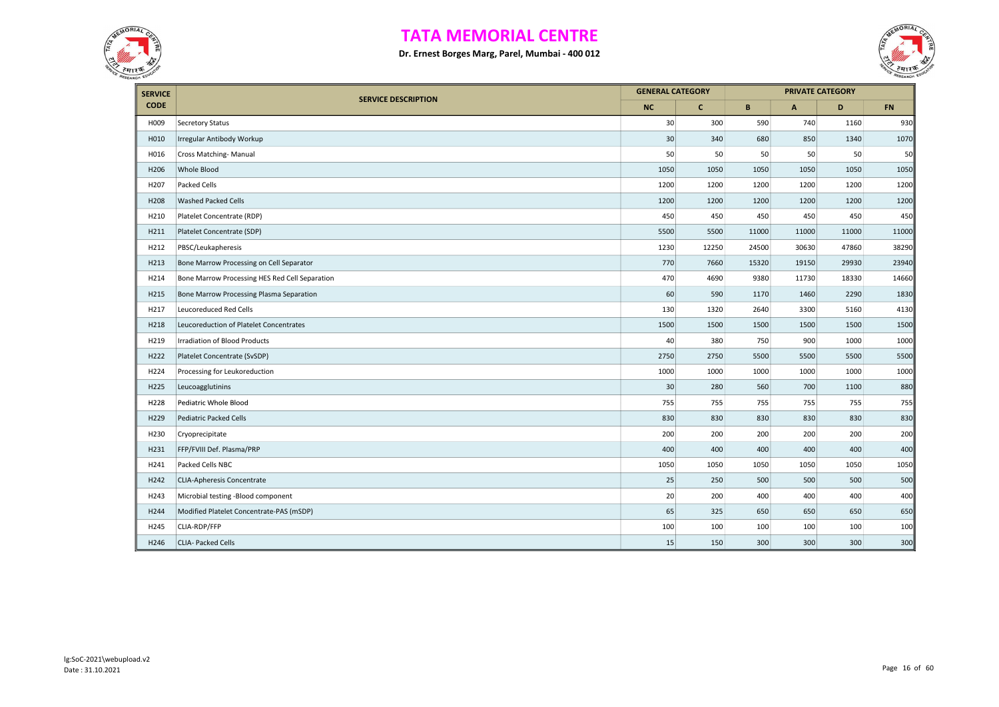



| <b>SERVICE</b> |                                                | <b>GENERAL CATEGORY</b> |             |       |              | <b>PRIVATE CATEGORY</b> |           |
|----------------|------------------------------------------------|-------------------------|-------------|-------|--------------|-------------------------|-----------|
| <b>CODE</b>    | <b>SERVICE DESCRIPTION</b>                     | <b>NC</b>               | $\mathbf c$ | B     | $\mathbf{A}$ | D                       | <b>FN</b> |
| H009           | <b>Secretory Status</b>                        | 30                      | 300         | 590   | 740          | 1160                    | 930       |
| H010           | Irregular Antibody Workup                      | 30                      | 340         | 680   | 850          | 1340                    | 1070      |
| H016           | Cross Matching-Manual                          | 50                      | 50          | 50    | 50           | 50                      | 50        |
| H206           | Whole Blood                                    | 1050                    | 1050        | 1050  | 1050         | 1050                    | 1050      |
| H207           | Packed Cells                                   | 1200                    | 1200        | 1200  | 1200         | 1200                    | 1200      |
| H208           | Washed Packed Cells                            | 1200                    | 1200        | 1200  | 1200         | 1200                    | 1200      |
| H210           | Platelet Concentrate (RDP)                     | 450                     | 450         | 450   | 450          | 450                     | 450       |
| H211           | Platelet Concentrate (SDP)                     | 5500                    | 5500        | 11000 | 11000        | 11000                   | 11000     |
| H212           | PBSC/Leukapheresis                             | 1230                    | 12250       | 24500 | 30630        | 47860                   | 38290     |
| H213           | Bone Marrow Processing on Cell Separator       | 770                     | 7660        | 15320 | 19150        | 29930                   | 23940     |
| H214           | Bone Marrow Processing HES Red Cell Separation | 470                     | 4690        | 9380  | 11730        | 18330                   | 14660     |
| H215           | Bone Marrow Processing Plasma Separation       | 60                      | 590         | 1170  | 1460         | 2290                    | 1830      |
| H217           | Leucoreduced Red Cells                         | 130                     | 1320        | 2640  | 3300         | 5160                    | 4130      |
| H218           | Leucoreduction of Platelet Concentrates        | 1500                    | 1500        | 1500  | 1500         | 1500                    | 1500      |
| H219           | <b>Irradiation of Blood Products</b>           | 40                      | 380         | 750   | 900          | 1000                    | 1000      |
| H222           | Platelet Concentrate (SvSDP)                   | 2750                    | 2750        | 5500  | 5500         | 5500                    | 5500      |
| H224           | Processing for Leukoreduction                  | 1000                    | 1000        | 1000  | 1000         | 1000                    | 1000      |
| H225           | Leucoagglutinins                               | 30                      | 280         | 560   | 700          | 1100                    | 880       |
| H228           | Pediatric Whole Blood                          | 755                     | 755         | 755   | 755          | 755                     | 755       |
| H229           | <b>Pediatric Packed Cells</b>                  | 830                     | 830         | 830   | 830          | 830                     | 830       |
| H230           | Cryoprecipitate                                | 200                     | 200         | 200   | 200          | 200                     | 200       |
| H231           | FFP/FVIII Def. Plasma/PRP                      | 400                     | 400         | 400   | 400          | 400                     | 400       |
| H241           | Packed Cells NBC                               | 1050                    | 1050        | 1050  | 1050         | 1050                    | 1050      |
| H242           | <b>CLIA-Apheresis Concentrate</b>              | 25                      | 250         | 500   | 500          | 500                     | 500       |
| H243           | Microbial testing -Blood component             | 20                      | 200         | 400   | 400          | 400                     | 400       |
| H244           | Modified Platelet Concentrate-PAS (mSDP)       | 65                      | 325         | 650   | 650          | 650                     | 650       |
| H245           | CLIA-RDP/FFP                                   | 100                     | 100         | 100   | 100          | 100                     | 100       |
| H246           | CLIA- Packed Cells                             | 15                      | 150         | 300   | 300          | 300                     | 300       |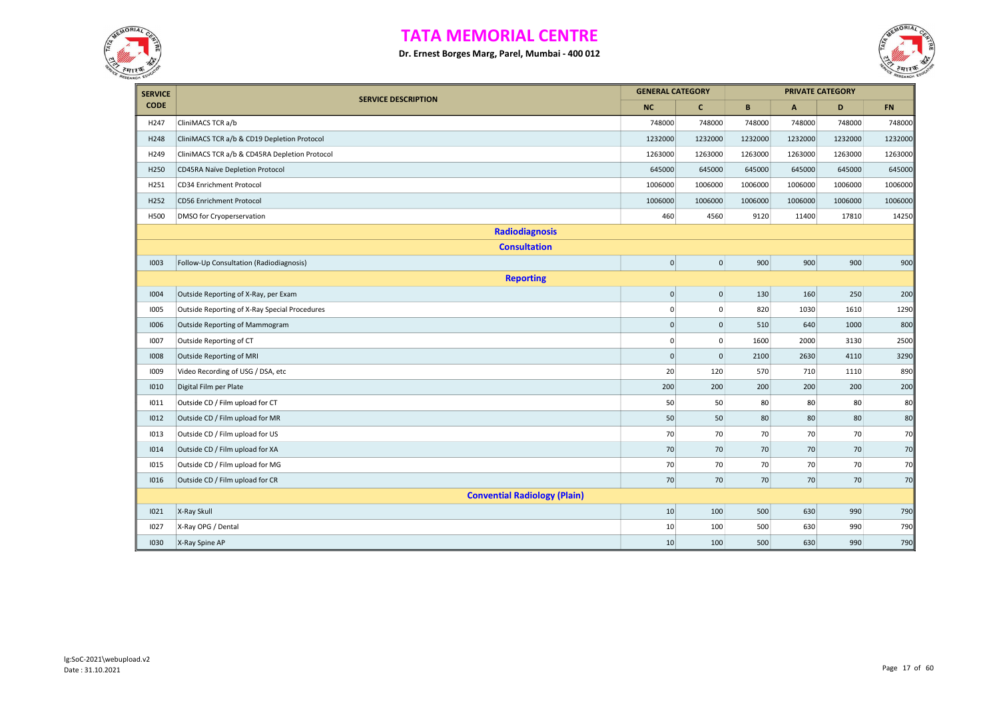



| <b>SERVICE</b> |                                               | <b>GENERAL CATEGORY</b> |                 | <b>PRIVATE CATEGORY</b> |              |         |           |
|----------------|-----------------------------------------------|-------------------------|-----------------|-------------------------|--------------|---------|-----------|
| <b>CODE</b>    | <b>SERVICE DESCRIPTION</b>                    | <b>NC</b>               | $\mathbf{C}$    | B                       | $\mathbf{A}$ | D       | <b>FN</b> |
| H247           | CliniMACS TCR a/b                             | 748000                  | 748000          | 748000                  | 748000       | 748000  | 748000    |
| H248           | CliniMACS TCR a/b & CD19 Depletion Protocol   | 1232000                 | 1232000         | 1232000                 | 1232000      | 1232000 | 1232000   |
| H249           | CliniMACS TCR a/b & CD45RA Depletion Protocol | 1263000                 | 1263000         | 1263000                 | 1263000      | 1263000 | 1263000   |
| H250           | CD45RA Naïve Depletion Protocol               | 645000                  | 645000          | 645000                  | 645000       | 645000  | 645000    |
| H251           | CD34 Enrichment Protocol                      | 1006000                 | 1006000         | 1006000                 | 1006000      | 1006000 | 1006000   |
| H252           | CD56 Enrichment Protocol                      | 1006000                 | 1006000         | 1006000                 | 1006000      | 1006000 | 1006000   |
| H500           | DMSO for Cryoperservation                     | 460                     | 4560            | 9120                    | 11400        | 17810   | 14250     |
|                | <b>Radiodiagnosis</b>                         |                         |                 |                         |              |         |           |
|                | <b>Consultation</b>                           |                         |                 |                         |              |         |           |
| 1003           | Follow-Up Consultation (Radiodiagnosis)       | $\overline{0}$          | $\mathbf{0}$    | 900                     | 900          | 900     | 900       |
|                | <b>Reporting</b>                              |                         |                 |                         |              |         |           |
| 1004           | Outside Reporting of X-Ray, per Exam          | $\mathsf{O}\xspace$     | $\vert 0 \vert$ | 130                     | 160          | 250     | 200       |
| 1005           | Outside Reporting of X-Ray Special Procedures | 0                       | $\mathbf{0}$    | 820                     | 1030         | 1610    | 1290      |
| 1006           | Outside Reporting of Mammogram                | $\mathsf{O}\xspace$     | $\mathsf 0$     | 510                     | 640          | 1000    | 800       |
| 1007           | Outside Reporting of CT                       | 0                       | $\mathbf 0$     | 1600                    | 2000         | 3130    | 2500      |
| 1008           | Outside Reporting of MRI                      | $\pmb{0}$               | $\mathsf 0$     | 2100                    | 2630         | 4110    | 3290      |
| 1009           | Video Recording of USG / DSA, etc             | 20                      | 120             | 570                     | 710          | 1110    | 890       |
| 1010           | Digital Film per Plate                        | 200                     | 200             | 200                     | 200          | 200     | 200       |
| 1011           | Outside CD / Film upload for CT               | 50                      | 50              | 80                      | 80           | 80      | 80        |
| 1012           | Outside CD / Film upload for MR               | 50                      | 50              | 80                      | 80           | 80      | 80        |
| 1013           | Outside CD / Film upload for US               | 70                      | 70              | 70                      | 70           | 70      | 70        |
| 1014           | Outside CD / Film upload for XA               | 70                      | 70              | 70                      | 70           | 70      | 70        |
| 1015           | Outside CD / Film upload for MG               | 70                      | 70              | 70                      | 70           | 70      | 70        |
| 1016           | Outside CD / Film upload for CR               | 70                      | 70              | 70                      | 70           | 70      | 70        |
|                | <b>Convential Radiology (Plain)</b>           |                         |                 |                         |              |         |           |
| 1021           | X-Ray Skull                                   | 10                      | 100             | 500                     | 630          | 990     | 790       |
| 1027           | X-Ray OPG / Dental                            | 10                      | 100             | 500                     | 630          | 990     | 790       |
| 1030           | X-Ray Spine AP                                | 10                      | 100             | 500                     | 630          | 990     | 790       |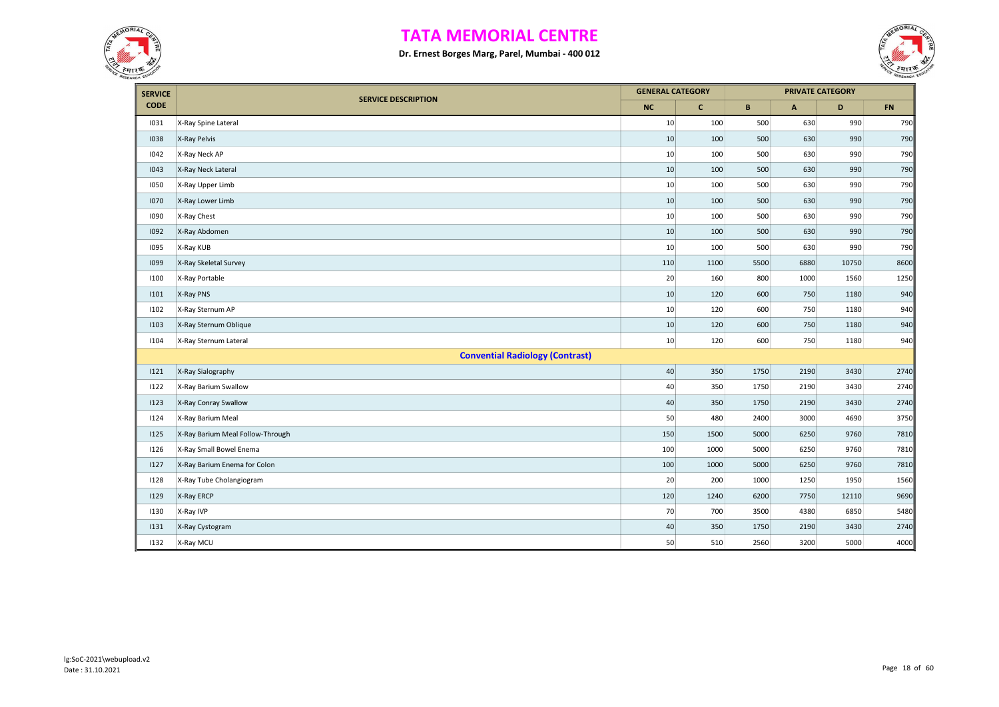



| <b>SERVICE</b> |                                        | <b>GENERAL CATEGORY</b> |              |      |              | <b>PRIVATE CATEGORY</b> |      |
|----------------|----------------------------------------|-------------------------|--------------|------|--------------|-------------------------|------|
| <b>CODE</b>    | <b>SERVICE DESCRIPTION</b>             | <b>NC</b>               | $\mathbf{C}$ | B    | $\mathsf{A}$ | D                       | FN   |
| 1031           | X-Ray Spine Lateral                    | 10                      | 100          | 500  | 630          | 990                     | 790  |
| 1038           | X-Ray Pelvis                           | 10                      | 100          | 500  | 630          | 990                     | 790  |
| 1042           | X-Ray Neck AP                          | 10                      | 100          | 500  | 630          | 990                     | 790  |
| 1043           | X-Ray Neck Lateral                     | 10                      | 100          | 500  | 630          | 990                     | 790  |
| 1050           | X-Ray Upper Limb                       | 10                      | 100          | 500  | 630          | 990                     | 790  |
| 1070           | X-Ray Lower Limb                       | 10                      | 100          | 500  | 630          | 990                     | 790  |
| 1090           | X-Ray Chest                            | 10                      | 100          | 500  | 630          | 990                     | 790  |
| 1092           | X-Ray Abdomen                          | 10                      | 100          | 500  | 630          | 990                     | 790  |
| 1095           | X-Ray KUB                              | 10                      | 100          | 500  | 630          | 990                     | 790  |
| 1099           | X-Ray Skeletal Survey                  | 110                     | 1100         | 5500 | 6880         | 10750                   | 8600 |
| 1100           | X-Ray Portable                         | 20                      | 160          | 800  | 1000         | 1560                    | 1250 |
| 1101           | X-Ray PNS                              | 10                      | 120          | 600  | 750          | 1180                    | 940  |
| 1102           | X-Ray Sternum AP                       | 10                      | 120          | 600  | 750          | 1180                    | 940  |
| 1103           | X-Ray Sternum Oblique                  | 10                      | 120          | 600  | 750          | 1180                    | 940  |
| 1104           | X-Ray Sternum Lateral                  | 10                      | 120          | 600  | 750          | 1180                    | 940  |
|                | <b>Convential Radiology (Contrast)</b> |                         |              |      |              |                         |      |
| 1121           | X-Ray Sialography                      | 40                      | 350          | 1750 | 2190         | 3430                    | 2740 |
| 1122           | X-Ray Barium Swallow                   | 40                      | 350          | 1750 | 2190         | 3430                    | 2740 |
| 1123           | X-Ray Conray Swallow                   | 40                      | 350          | 1750 | 2190         | 3430                    | 2740 |
| 1124           | X-Ray Barium Meal                      | 50                      | 480          | 2400 | 3000         | 4690                    | 3750 |
| 1125           | X-Ray Barium Meal Follow-Through       | 150                     | 1500         | 5000 | 6250         | 9760                    | 7810 |
| 1126           | X-Ray Small Bowel Enema                | 100                     | 1000         | 5000 | 6250         | 9760                    | 7810 |
| 1127           | X-Ray Barium Enema for Colon           | 100                     | 1000         | 5000 | 6250         | 9760                    | 7810 |
| 1128           | X-Ray Tube Cholangiogram               | 20                      | 200          | 1000 | 1250         | 1950                    | 1560 |
| 1129           | X-Ray ERCP                             | 120                     | 1240         | 6200 | 7750         | 12110                   | 9690 |
| 1130           | X-Ray IVP                              | 70                      | 700          | 3500 | 4380         | 6850                    | 5480 |
| 1131           | X-Ray Cystogram                        | 40                      | 350          | 1750 | 2190         | 3430                    | 2740 |
| 1132           | X-Ray MCU                              | 50                      | 510          | 2560 | 3200         | 5000                    | 4000 |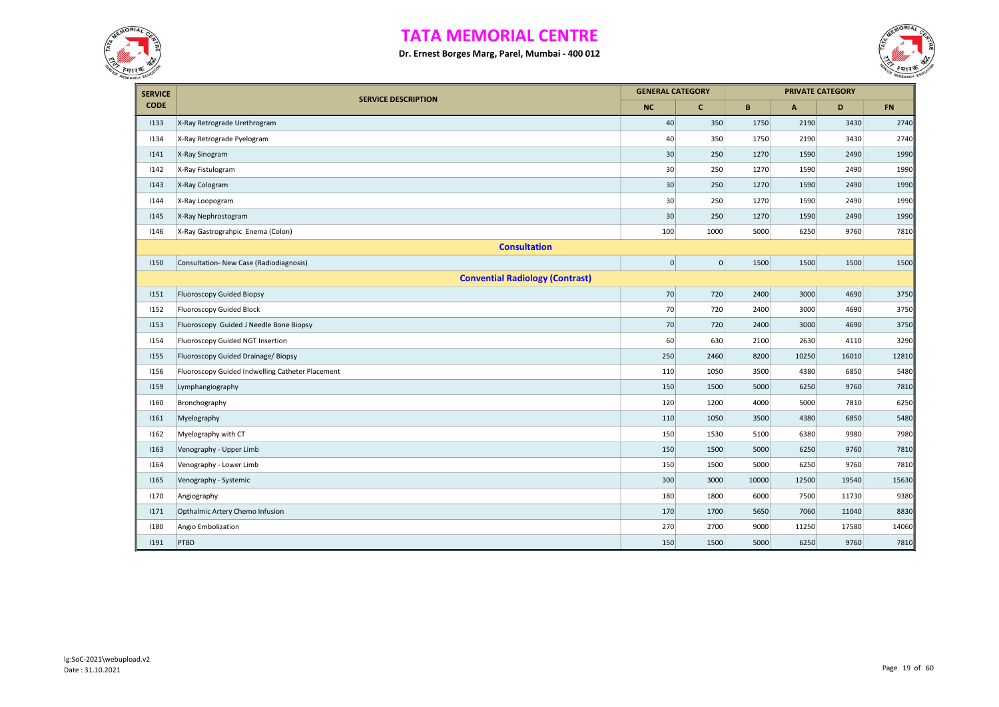



| <b>SERVICE</b> |                                                  | <b>GENERAL CATEGORY</b> |              |       |              | <b>PRIVATE CATEGORY</b> |           |
|----------------|--------------------------------------------------|-------------------------|--------------|-------|--------------|-------------------------|-----------|
| <b>CODE</b>    | <b>SERVICE DESCRIPTION</b>                       | <b>NC</b>               | $\mathbf{C}$ | B     | $\mathsf{A}$ | D                       | <b>FN</b> |
| 1133           | X-Ray Retrograde Urethrogram                     | 40                      | 350          | 1750  | 2190         | 3430                    | 2740      |
| 1134           | X-Ray Retrograde Pyelogram                       | 40                      | 350          | 1750  | 2190         | 3430                    | 2740      |
| 1141           | X-Ray Sinogram                                   | 30                      | 250          | 1270  | 1590         | 2490                    | 1990      |
| 1142           | X-Ray Fistulogram                                | 30                      | 250          | 1270  | 1590         | 2490                    | 1990      |
| 1143           | X-Ray Cologram                                   | 30                      | 250          | 1270  | 1590         | 2490                    | 1990      |
| 1144           | X-Ray Loopogram                                  | 30                      | 250          | 1270  | 1590         | 2490                    | 1990      |
| 1145           | X-Ray Nephrostogram                              | 30                      | 250          | 1270  | 1590         | 2490                    | 1990      |
| 1146           | X-Ray Gastrograhpic Enema (Colon)                | 100                     | 1000         | 5000  | 6250         | 9760                    | 7810      |
|                | <b>Consultation</b>                              |                         |              |       |              |                         |           |
| 1150           | Consultation- New Case (Radiodiagnosis)          | $\pmb{0}$               | 0            | 1500  | 1500         | 1500                    | 1500      |
|                | <b>Convential Radiology (Contrast)</b>           |                         |              |       |              |                         |           |
| 1151           | Fluoroscopy Guided Biopsy                        | 70                      | 720          | 2400  | 3000         | 4690                    | 3750      |
| 1152           | Fluoroscopy Guided Block                         | 70                      | 720          | 2400  | 3000         | 4690                    | 3750      |
| 1153           | Fluoroscopy Guided J Needle Bone Biopsy          | 70                      | 720          | 2400  | 3000         | 4690                    | 3750      |
| 1154           | Fluoroscopy Guided NGT Insertion                 | 60                      | 630          | 2100  | 2630         | 4110                    | 3290      |
| 1155           | Fluoroscopy Guided Drainage/ Biopsy              | 250                     | 2460         | 8200  | 10250        | 16010                   | 12810     |
| 1156           | Fluoroscopy Guided Indwelling Catheter Placement | 110                     | 1050         | 3500  | 4380         | 6850                    | 5480      |
| 1159           | Lymphangiography                                 | 150                     | 1500         | 5000  | 6250         | 9760                    | 7810      |
| 1160           | Bronchography                                    | 120                     | 1200         | 4000  | 5000         | 7810                    | 6250      |
| 1161           | Myelography                                      | 110                     | 1050         | 3500  | 4380         | 6850                    | 5480      |
| 1162           | Myelography with CT                              | 150                     | 1530         | 5100  | 6380         | 9980                    | 7980      |
| 1163           | Venography - Upper Limb                          | 150                     | 1500         | 5000  | 6250         | 9760                    | 7810      |
| 1164           | Venography - Lower Limb                          | 150                     | 1500         | 5000  | 6250         | 9760                    | 7810      |
| 1165           | Venography - Systemic                            | 300                     | 3000         | 10000 | 12500        | 19540                   | 15630     |
| 1170           | Angiography                                      | 180                     | 1800         | 6000  | 7500         | 11730                   | 9380      |
| 1171           | Opthalmic Artery Chemo Infusion                  | 170                     | 1700         | 5650  | 7060         | 11040                   | 8830      |
| 1180           | Angio Embolization                               | 270                     | 2700         | 9000  | 11250        | 17580                   | 14060     |
| 1191           | PTBD                                             | 150                     | 1500         | 5000  | 6250         | 9760                    | 7810      |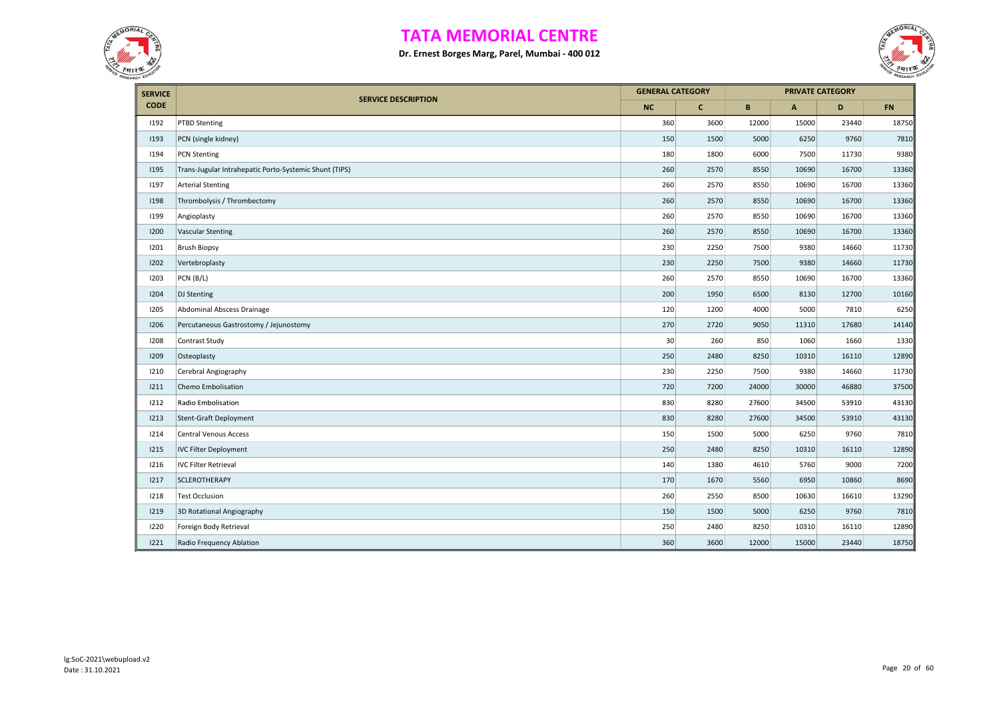



| <b>SERVICE</b> |                                                        | <b>GENERAL CATEGORY</b> |              |       |                           | <b>PRIVATE CATEGORY</b> |       |
|----------------|--------------------------------------------------------|-------------------------|--------------|-------|---------------------------|-------------------------|-------|
| <b>CODE</b>    | <b>SERVICE DESCRIPTION</b>                             | <b>NC</b>               | $\mathbf{C}$ | B     | $\boldsymbol{\mathsf{A}}$ | D                       | FN    |
| 1192           | <b>PTBD Stenting</b>                                   | 360                     | 3600         | 12000 | 15000                     | 23440                   | 18750 |
| 1193           | PCN (single kidney)                                    | 150                     | 1500         | 5000  | 6250                      | 9760                    | 7810  |
| 1194           | <b>PCN Stenting</b>                                    | 180                     | 1800         | 6000  | 7500                      | 11730                   | 9380  |
| 1195           | Trans-Jugular Intrahepatic Porto-Systemic Shunt (TIPS) | 260                     | 2570         | 8550  | 10690                     | 16700                   | 13360 |
| 1197           | <b>Arterial Stenting</b>                               | 260                     | 2570         | 8550  | 10690                     | 16700                   | 13360 |
| 1198           | Thrombolysis / Thrombectomy                            | 260                     | 2570         | 8550  | 10690                     | 16700                   | 13360 |
| 1199           | Angioplasty                                            | 260                     | 2570         | 8550  | 10690                     | 16700                   | 13360 |
| 1200           | <b>Vascular Stenting</b>                               | 260                     | 2570         | 8550  | 10690                     | 16700                   | 13360 |
| 1201           | <b>Brush Biopsy</b>                                    | 230                     | 2250         | 7500  | 9380                      | 14660                   | 11730 |
| 1202           | Vertebroplasty                                         | 230                     | 2250         | 7500  | 9380                      | 14660                   | 11730 |
| 1203           | PCN (B/L)                                              | 260                     | 2570         | 8550  | 10690                     | 16700                   | 13360 |
| 1204           | DJ Stenting                                            | 200                     | 1950         | 6500  | 8130                      | 12700                   | 10160 |
| 1205           | Abdominal Abscess Drainage                             | 120                     | 1200         | 4000  | 5000                      | 7810                    | 6250  |
| 1206           | Percutaneous Gastrostomy / Jejunostomy                 | 270                     | 2720         | 9050  | 11310                     | 17680                   | 14140 |
| 1208           | Contrast Study                                         | 30                      | 260          | 850   | 1060                      | 1660                    | 1330  |
| 1209           | Osteoplasty                                            | 250                     | 2480         | 8250  | 10310                     | 16110                   | 12890 |
| 1210           | Cerebral Angiography                                   | 230                     | 2250         | 7500  | 9380                      | 14660                   | 11730 |
| 1211           | Chemo Embolisation                                     | 720                     | 7200         | 24000 | 30000                     | 46880                   | 37500 |
| 1212           | Radio Embolisation                                     | 830                     | 8280         | 27600 | 34500                     | 53910                   | 43130 |
| 1213           | Stent-Graft Deployment                                 | 830                     | 8280         | 27600 | 34500                     | 53910                   | 43130 |
| 1214           | <b>Central Venous Access</b>                           | 150                     | 1500         | 5000  | 6250                      | 9760                    | 7810  |
| 1215           | <b>IVC Filter Deployment</b>                           | 250                     | 2480         | 8250  | 10310                     | 16110                   | 12890 |
| 1216           | <b>IVC Filter Retrieval</b>                            | 140                     | 1380         | 4610  | 5760                      | 9000                    | 7200  |
| 1217           | SCLEROTHERAPY                                          | 170                     | 1670         | 5560  | 6950                      | 10860                   | 8690  |
| 1218           | <b>Test Occlusion</b>                                  | 260                     | 2550         | 8500  | 10630                     | 16610                   | 13290 |
| 1219           | 3D Rotational Angiography                              | 150                     | 1500         | 5000  | 6250                      | 9760                    | 7810  |
| 1220           | Foreign Body Retrieval                                 | 250                     | 2480         | 8250  | 10310                     | 16110                   | 12890 |
| 1221           | Radio Frequency Ablation                               | 360                     | 3600         | 12000 | 15000                     | 23440                   | 18750 |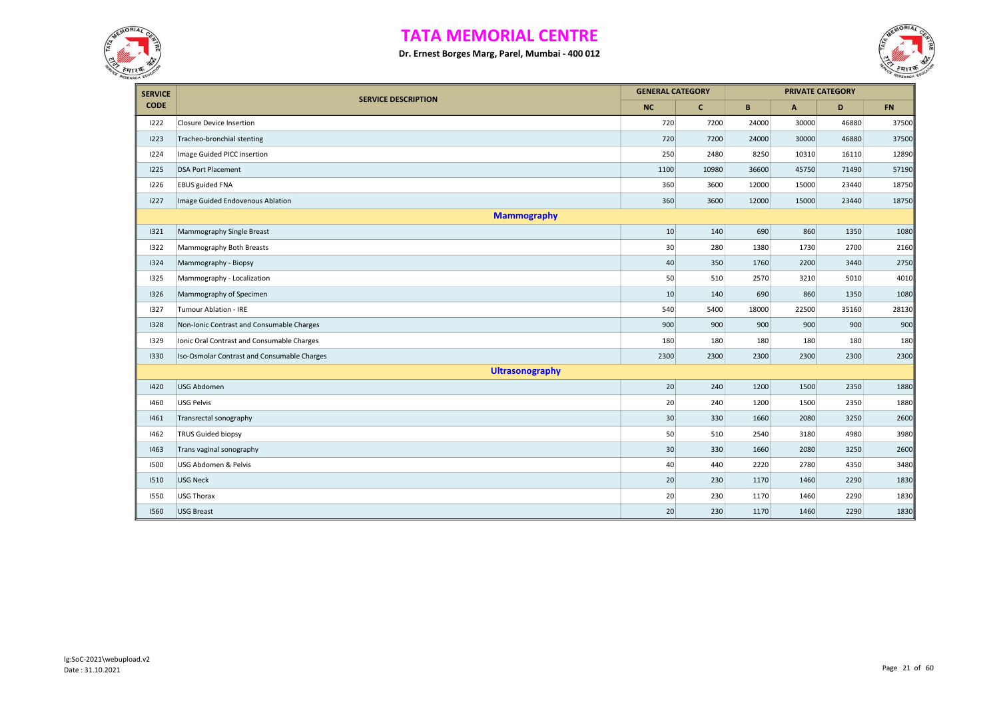



| <b>SERVICE</b> |                                             | <b>GENERAL CATEGORY</b> |              |       | <b>PRIVATE CATEGORY</b> |       |           |
|----------------|---------------------------------------------|-------------------------|--------------|-------|-------------------------|-------|-----------|
| <b>CODE</b>    | <b>SERVICE DESCRIPTION</b>                  | <b>NC</b>               | $\mathbf{C}$ | B     | $\overline{A}$          | D     | <b>FN</b> |
| 1222           | <b>Closure Device Insertion</b>             | 720                     | 7200         | 24000 | 30000                   | 46880 | 37500     |
| 1223           | Tracheo-bronchial stenting                  | 720                     | 7200         | 24000 | 30000                   | 46880 | 37500     |
| 1224           | Image Guided PICC insertion                 | 250                     | 2480         | 8250  | 10310                   | 16110 | 12890     |
| 1225           | <b>DSA Port Placement</b>                   | 1100                    | 10980        | 36600 | 45750                   | 71490 | 57190     |
| 1226           | <b>EBUS guided FNA</b>                      | 360                     | 3600         | 12000 | 15000                   | 23440 | 18750     |
| 1227           | Image Guided Endovenous Ablation            | 360                     | 3600         | 12000 | 15000                   | 23440 | 18750     |
|                | <b>Mammography</b>                          |                         |              |       |                         |       |           |
| 1321           | Mammography Single Breast                   | 10                      | 140          | 690   | 860                     | 1350  | 1080      |
| 1322           | Mammography Both Breasts                    | 30                      | 280          | 1380  | 1730                    | 2700  | 2160      |
| 1324           | Mammography - Biopsy                        | 40                      | 350          | 1760  | 2200                    | 3440  | 2750      |
| 1325           | Mammography - Localization                  | 50                      | 510          | 2570  | 3210                    | 5010  | 4010      |
| 1326           | Mammography of Specimen                     | 10                      | 140          | 690   | 860                     | 1350  | 1080      |
| 1327           | Tumour Ablation - IRE                       | 540                     | 5400         | 18000 | 22500                   | 35160 | 28130     |
| 1328           | Non-Ionic Contrast and Consumable Charges   | 900                     | 900          | 900   | 900                     | 900   | 900       |
| 1329           | Ionic Oral Contrast and Consumable Charges  | 180                     | 180          | 180   | 180                     | 180   | 180       |
| 1330           | Iso-Osmolar Contrast and Consumable Charges | 2300                    | 2300         | 2300  | 2300                    | 2300  | 2300      |
|                | <b>Ultrasonography</b>                      |                         |              |       |                         |       |           |
| 1420           | USG Abdomen                                 | 20                      | 240          | 1200  | 1500                    | 2350  | 1880      |
| 1460           | USG Pelvis                                  | 20                      | 240          | 1200  | 1500                    | 2350  | 1880      |
| 1461           | Transrectal sonography                      | 30                      | 330          | 1660  | 2080                    | 3250  | 2600      |
| 1462           | <b>TRUS Guided biopsy</b>                   | 50                      | 510          | 2540  | 3180                    | 4980  | 3980      |
| 1463           | Trans vaginal sonography                    | 30                      | 330          | 1660  | 2080                    | 3250  | 2600      |
| 1500           | USG Abdomen & Pelvis                        | 40                      | 440          | 2220  | 2780                    | 4350  | 3480      |
| 1510           | USG Neck                                    | 20                      | 230          | 1170  | 1460                    | 2290  | 1830      |
| 1550           | USG Thorax                                  | 20                      | 230          | 1170  | 1460                    | 2290  | 1830      |
| 1560           | <b>USG Breast</b>                           | 20                      | 230          | 1170  | 1460                    | 2290  | 1830      |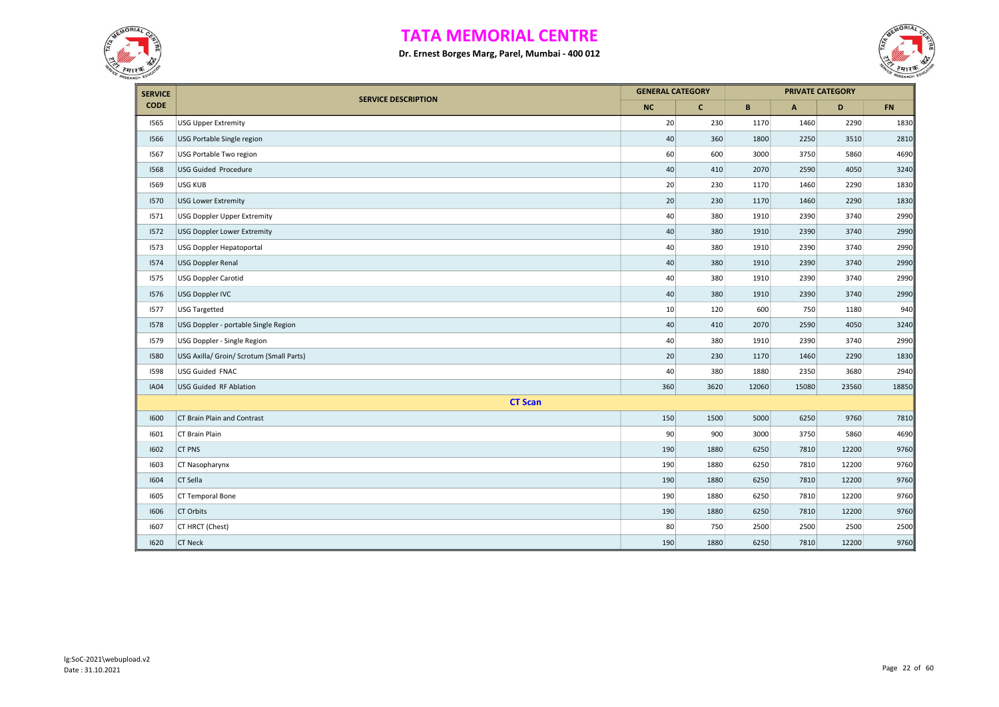



| <b>SERVICE</b> |                                          | <b>GENERAL CATEGORY</b> |              |       |              | <b>PRIVATE CATEGORY</b> |       |
|----------------|------------------------------------------|-------------------------|--------------|-------|--------------|-------------------------|-------|
| <b>CODE</b>    | <b>SERVICE DESCRIPTION</b>               | <b>NC</b>               | $\mathbf{C}$ | B     | $\mathsf{A}$ | D                       | FN    |
| 1565           | <b>USG Upper Extremity</b>               | 20                      | 230          | 1170  | 1460         | 2290                    | 1830  |
| 1566           | USG Portable Single region               | 40                      | 360          | 1800  | 2250         | 3510                    | 2810  |
| 1567           | USG Portable Two region                  | 60                      | 600          | 3000  | 3750         | 5860                    | 4690  |
| 1568           | <b>USG Guided Procedure</b>              | 40                      | 410          | 2070  | 2590         | 4050                    | 3240  |
| 1569           | USG KUB                                  | 20                      | 230          | 1170  | 1460         | 2290                    | 1830  |
| 1570           | <b>USG Lower Extremity</b>               | $20\,$                  | 230          | 1170  | 1460         | 2290                    | 1830  |
| 1571           | <b>USG Doppler Upper Extremity</b>       | 40                      | 380          | 1910  | 2390         | 3740                    | 2990  |
| 1572           | <b>USG Doppler Lower Extremity</b>       | 40                      | 380          | 1910  | 2390         | 3740                    | 2990  |
| 1573           | USG Doppler Hepatoportal                 | 40                      | 380          | 1910  | 2390         | 3740                    | 2990  |
| 1574           | <b>USG Doppler Renal</b>                 | 40                      | 380          | 1910  | 2390         | 3740                    | 2990  |
| 1575           | <b>USG Doppler Carotid</b>               | 40                      | 380          | 1910  | 2390         | 3740                    | 2990  |
| 1576           | USG Doppler IVC                          | 40                      | 380          | 1910  | 2390         | 3740                    | 2990  |
| 1577           | <b>USG Targetted</b>                     | 10                      | 120          | 600   | 750          | 1180                    | 940   |
| 1578           | USG Doppler - portable Single Region     | 40                      | 410          | 2070  | 2590         | 4050                    | 3240  |
| 1579           | USG Doppler - Single Region              | 40                      | 380          | 1910  | 2390         | 3740                    | 2990  |
| 1580           | USG Axilla/ Groin/ Scrotum (Small Parts) | 20                      | 230          | 1170  | 1460         | 2290                    | 1830  |
| 1598           | <b>USG Guided FNAC</b>                   | 40                      | 380          | 1880  | 2350         | 3680                    | 2940  |
| <b>IA04</b>    | USG Guided RF Ablation                   | 360                     | 3620         | 12060 | 15080        | 23560                   | 18850 |
|                | <b>CT Scan</b>                           |                         |              |       |              |                         |       |
| 1600           | CT Brain Plain and Contrast              | 150                     | 1500         | 5000  | 6250         | 9760                    | 7810  |
| 1601           | CT Brain Plain                           | 90                      | 900          | 3000  | 3750         | 5860                    | 4690  |
| 1602           | <b>CT PNS</b>                            | 190                     | 1880         | 6250  | 7810         | 12200                   | 9760  |
| 1603           | CT Nasopharynx                           | 190                     | 1880         | 6250  | 7810         | 12200                   | 9760  |
| 1604           | CT Sella                                 | 190                     | 1880         | 6250  | 7810         | 12200                   | 9760  |
| 1605           | CT Temporal Bone                         | 190                     | 1880         | 6250  | 7810         | 12200                   | 9760  |
| 1606           | CT Orbits                                | 190                     | 1880         | 6250  | 7810         | 12200                   | 9760  |
| 1607           | CT HRCT (Chest)                          | 80                      | 750          | 2500  | 2500         | 2500                    | 2500  |
| 1620           | <b>CT Neck</b>                           | 190                     | 1880         | 6250  | 7810         | 12200                   | 9760  |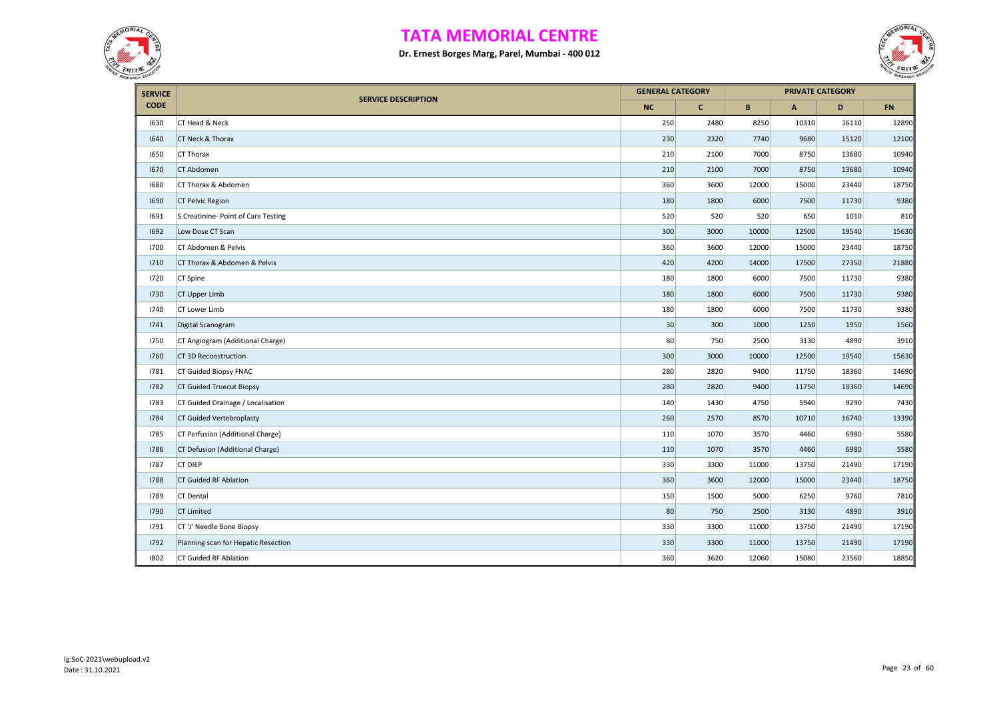



| <b>SERVICE</b> |                                     | <b>GENERAL CATEGORY</b> |              |       |       | <b>PRIVATE CATEGORY</b> |       |
|----------------|-------------------------------------|-------------------------|--------------|-------|-------|-------------------------|-------|
| <b>CODE</b>    | <b>SERVICE DESCRIPTION</b>          | <b>NC</b>               | $\mathbf{C}$ | B     | A     | D                       | FN    |
| 1630           | CT Head & Neck                      | 250                     | 2480         | 8250  | 10310 | 16110                   | 12890 |
| 1640           | CT Neck & Thorax                    | 230                     | 2320         | 7740  | 9680  | 15120                   | 12100 |
| 1650           | CT Thorax                           | 210                     | 2100         | 7000  | 8750  | 13680                   | 10940 |
| 1670           | CT Abdomen                          | 210                     | 2100         | 7000  | 8750  | 13680                   | 10940 |
| 1680           | CT Thorax & Abdomen                 | 360                     | 3600         | 12000 | 15000 | 23440                   | 18750 |
| 1690           | <b>CT Pelvic Region</b>             | 180                     | 1800         | 6000  | 7500  | 11730                   | 9380  |
| 1691           | S.Creatinine- Point of Care Testing | 520                     | 520          | 520   | 650   | 1010                    | 810   |
| 1692           | Low Dose CT Scan                    | 300                     | 3000         | 10000 | 12500 | 19540                   | 15630 |
| 1700           | CT Abdomen & Pelvis                 | 360                     | 3600         | 12000 | 15000 | 23440                   | 18750 |
| 1710           | CT Thorax & Abdomen & Pelvis        | 420                     | 4200         | 14000 | 17500 | 27350                   | 21880 |
| 1720           | CT Spine                            | 180                     | 1800         | 6000  | 7500  | 11730                   | 9380  |
| 1730           | CT Upper Limb                       | 180                     | 1800         | 6000  | 7500  | 11730                   | 9380  |
| 1740           | CT Lower Limb                       | 180                     | 1800         | 6000  | 7500  | 11730                   | 9380  |
| 1741           | Digital Scanogram                   | 30                      | 300          | 1000  | 1250  | 1950                    | 1560  |
| 1750           | CT Angiogram (Additional Charge)    | 80                      | 750          | 2500  | 3130  | 4890                    | 3910  |
| 1760           | CT 3D Reconstruction                | 300                     | 3000         | 10000 | 12500 | 19540                   | 15630 |
| 1781           | CT Guided Biopsy FNAC               | 280                     | 2820         | 9400  | 11750 | 18360                   | 14690 |
| 1782           | <b>CT Guided Truecut Biopsy</b>     | 280                     | 2820         | 9400  | 11750 | 18360                   | 14690 |
| 1783           | CT Guided Drainage / Localisation   | 140                     | 1430         | 4750  | 5940  | 9290                    | 7430  |
| 1784           | CT Guided Vertebroplasty            | 260                     | 2570         | 8570  | 10710 | 16740                   | 13390 |
| 1785           | CT Perfusion (Additional Charge)    | 110                     | 1070         | 3570  | 4460  | 6980                    | 5580  |
| 1786           | CT Defusion (Additional Charge)     | 110                     | 1070         | 3570  | 4460  | 6980                    | 5580  |
| 1787           | <b>CT DIEP</b>                      | 330                     | 3300         | 11000 | 13750 | 21490                   | 17190 |
| 1788           | <b>CT Guided RF Ablation</b>        | 360                     | 3600         | 12000 | 15000 | 23440                   | 18750 |
| 1789           | CT Dental                           | 150                     | 1500         | 5000  | 6250  | 9760                    | 7810  |
| 1790           | <b>CT Limited</b>                   | 80                      | 750          | 2500  | 3130  | 4890                    | 3910  |
| 1791           | CT 'J' Needle Bone Biopsy           | 330                     | 3300         | 11000 | 13750 | 21490                   | 17190 |
| 1792           | Planning scan for Hepatic Resection | 330                     | 3300         | 11000 | 13750 | 21490                   | 17190 |
| <b>IB02</b>    | CT Guided RF Ablation               | 360                     | 3620         | 12060 | 15080 | 23560                   | 18850 |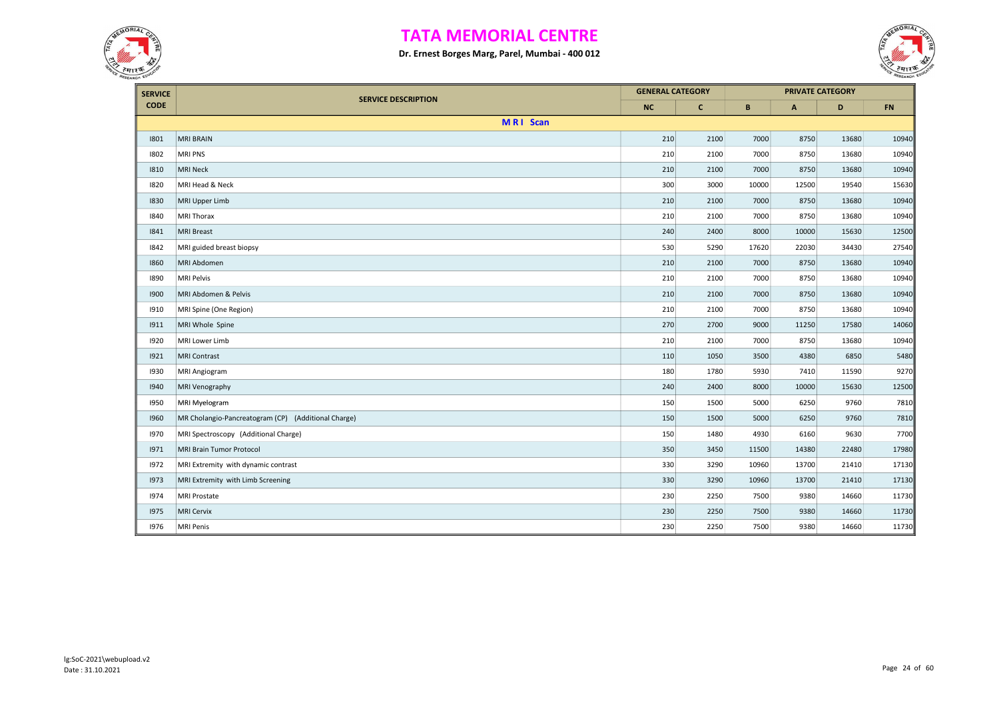



| <b>SERVICE</b> |                                                     | <b>GENERAL CATEGORY</b> |              |       |       | <b>PRIVATE CATEGORY</b> |       |
|----------------|-----------------------------------------------------|-------------------------|--------------|-------|-------|-------------------------|-------|
| <b>CODE</b>    | <b>SERVICE DESCRIPTION</b>                          | <b>NC</b>               | $\mathbf{C}$ | B     | A     | D                       | FN    |
|                | MRI Scan                                            |                         |              |       |       |                         |       |
| 1801           | <b>MRI BRAIN</b>                                    | 210                     | 2100         | 7000  | 8750  | 13680                   | 10940 |
| 1802           | <b>MRI PNS</b>                                      | 210                     | 2100         | 7000  | 8750  | 13680                   | 10940 |
| 1810           | <b>MRI Neck</b>                                     | 210                     | 2100         | 7000  | 8750  | 13680                   | 10940 |
| 1820           | MRI Head & Neck                                     | 300                     | 3000         | 10000 | 12500 | 19540                   | 15630 |
| 1830           | MRI Upper Limb                                      | 210                     | 2100         | 7000  | 8750  | 13680                   | 10940 |
| 1840           | MRI Thorax                                          | 210                     | 2100         | 7000  | 8750  | 13680                   | 10940 |
| 1841           | <b>MRI Breast</b>                                   | 240                     | 2400         | 8000  | 10000 | 15630                   | 12500 |
| 1842           | MRI guided breast biopsy                            | 530                     | 5290         | 17620 | 22030 | 34430                   | 27540 |
| 1860           | MRI Abdomen                                         | 210                     | 2100         | 7000  | 8750  | 13680                   | 10940 |
| 1890           | <b>MRI Pelvis</b>                                   | 210                     | 2100         | 7000  | 8750  | 13680                   | 10940 |
| 1900           | MRI Abdomen & Pelvis                                | 210                     | 2100         | 7000  | 8750  | 13680                   | 10940 |
| 1910           | MRI Spine (One Region)                              | 210                     | 2100         | 7000  | 8750  | 13680                   | 10940 |
| 1911           | MRI Whole Spine                                     | 270                     | 2700         | 9000  | 11250 | 17580                   | 14060 |
| 1920           | MRI Lower Limb                                      | 210                     | 2100         | 7000  | 8750  | 13680                   | 10940 |
| 1921           | <b>MRI Contrast</b>                                 | 110                     | 1050         | 3500  | 4380  | 6850                    | 5480  |
| 1930           | MRI Angiogram                                       | 180                     | 1780         | 5930  | 7410  | 11590                   | 9270  |
| 1940           | <b>MRI Venography</b>                               | 240                     | 2400         | 8000  | 10000 | 15630                   | 12500 |
| 1950           | MRI Myelogram                                       | 150                     | 1500         | 5000  | 6250  | 9760                    | 7810  |
| 1960           | MR Cholangio-Pancreatogram (CP) (Additional Charge) | 150                     | 1500         | 5000  | 6250  | 9760                    | 7810  |
| 1970           | MRI Spectroscopy (Additional Charge)                | 150                     | 1480         | 4930  | 6160  | 9630                    | 7700  |
| 1971           | MRI Brain Tumor Protocol                            | 350                     | 3450         | 11500 | 14380 | 22480                   | 17980 |
| 1972           | MRI Extremity with dynamic contrast                 | 330                     | 3290         | 10960 | 13700 | 21410                   | 17130 |
| 1973           | MRI Extremity with Limb Screening                   | 330                     | 3290         | 10960 | 13700 | 21410                   | 17130 |
| 1974           | <b>MRI Prostate</b>                                 | 230                     | 2250         | 7500  | 9380  | 14660                   | 11730 |
| 1975           | <b>MRI Cervix</b>                                   | 230                     | 2250         | 7500  | 9380  | 14660                   | 11730 |
| 1976           | <b>MRI Penis</b>                                    | 230                     | 2250         | 7500  | 9380  | 14660                   | 11730 |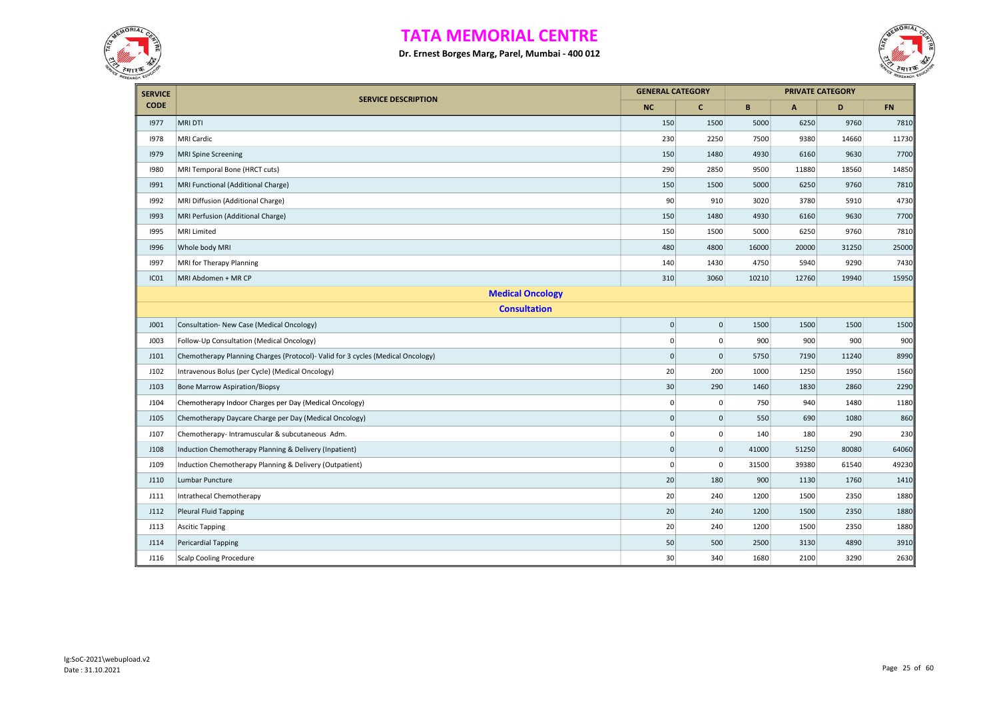



| <b>SERVICE</b>          |                                                                                 | <b>GENERAL CATEGORY</b> |                     |       |              | <b>PRIVATE CATEGORY</b> |       |  |  |  |
|-------------------------|---------------------------------------------------------------------------------|-------------------------|---------------------|-------|--------------|-------------------------|-------|--|--|--|
| <b>CODE</b>             | <b>SERVICE DESCRIPTION</b>                                                      | <b>NC</b>               | $\mathbf{C}$        | B     | $\mathbf{A}$ | D                       | FN    |  |  |  |
| 1977                    | <b>MRI DTI</b>                                                                  | 150                     | 1500                | 5000  | 6250         | 9760                    | 7810  |  |  |  |
| 1978                    | <b>MRI Cardic</b>                                                               | 230                     | 2250                | 7500  | 9380         | 14660                   | 11730 |  |  |  |
| 1979                    | <b>MRI Spine Screening</b>                                                      | 150                     | 1480                | 4930  | 6160         | 9630                    | 7700  |  |  |  |
| 1980                    | MRI Temporal Bone (HRCT cuts)                                                   | 290                     | 2850                | 9500  | 11880        | 18560                   | 14850 |  |  |  |
| 1991                    | MRI Functional (Additional Charge)                                              | 150                     | 1500                | 5000  | 6250         | 9760                    | 7810  |  |  |  |
| 1992                    | MRI Diffusion (Additional Charge)                                               | 90                      | 910                 | 3020  | 3780         | 5910                    | 4730  |  |  |  |
| 1993                    | MRI Perfusion (Additional Charge)                                               | 150                     | 1480                | 4930  | 6160         | 9630                    | 7700  |  |  |  |
| 1995                    | <b>MRI Limited</b>                                                              | 150                     | 1500                | 5000  | 6250         | 9760                    | 7810  |  |  |  |
| 1996                    | Whole body MRI                                                                  | 480                     | 4800                | 16000 | 20000        | 31250                   | 25000 |  |  |  |
| 1997                    | MRI for Therapy Planning                                                        | 140                     | 1430                | 4750  | 5940         | 9290                    | 7430  |  |  |  |
| IC01                    | MRI Abdomen + MR CP                                                             | 310                     | 3060                | 10210 | 12760        | 19940                   | 15950 |  |  |  |
| <b>Medical Oncology</b> |                                                                                 |                         |                     |       |              |                         |       |  |  |  |
|                         | <b>Consultation</b>                                                             |                         |                     |       |              |                         |       |  |  |  |
| <b>JO01</b>             | Consultation- New Case (Medical Oncology)                                       | $\pmb{0}$               | $\mathsf{O}\xspace$ | 1500  | 1500         | 1500                    | 1500  |  |  |  |
| J003                    | Follow-Up Consultation (Medical Oncology)                                       | $\mathbf 0$             | 0                   | 900   | 900          | 900                     | 900   |  |  |  |
| J101                    | Chemotherapy Planning Charges (Protocol)- Valid for 3 cycles (Medical Oncology) | $\mathbf 0$             | $\mathbf{0}$        | 5750  | 7190         | 11240                   | 8990  |  |  |  |
| J102                    | Intravenous Bolus (per Cycle) (Medical Oncology)                                | 20                      | 200                 | 1000  | 1250         | 1950                    | 1560  |  |  |  |
| J103                    | <b>Bone Marrow Aspiration/Biopsy</b>                                            | 30                      | 290                 | 1460  | 1830         | 2860                    | 2290  |  |  |  |
| J104                    | Chemotherapy Indoor Charges per Day (Medical Oncology)                          | $\mathbf 0$             | $\mathbf 0$         | 750   | 940          | 1480                    | 1180  |  |  |  |
| J105                    | Chemotherapy Daycare Charge per Day (Medical Oncology)                          | $\mathbf 0$             | $\mathsf{O}\xspace$ | 550   | 690          | 1080                    | 860   |  |  |  |
| J107                    | Chemotherapy- Intramuscular & subcutaneous Adm.                                 | $\mathbf 0$             | 0                   | 140   | 180          | 290                     | 230   |  |  |  |
| <b>J108</b>             | Induction Chemotherapy Planning & Delivery (Inpatient)                          | $\mathbf 0$             | $\mathsf{O}\xspace$ | 41000 | 51250        | 80080                   | 64060 |  |  |  |
| J109                    | Induction Chemotherapy Planning & Delivery (Outpatient)                         | $\mathbf 0$             | $\mathbf 0$         | 31500 | 39380        | 61540                   | 49230 |  |  |  |
| J110                    | Lumbar Puncture                                                                 | 20                      | 180                 | 900   | 1130         | 1760                    | 1410  |  |  |  |
| J111                    | Intrathecal Chemotherapy                                                        | 20                      | 240                 | 1200  | 1500         | 2350                    | 1880  |  |  |  |
| J112                    | Pleural Fluid Tapping                                                           | 20                      | 240                 | 1200  | 1500         | 2350                    | 1880  |  |  |  |
| J113                    | <b>Ascitic Tapping</b>                                                          | 20                      | 240                 | 1200  | 1500         | 2350                    | 1880  |  |  |  |
| J114                    | <b>Pericardial Tapping</b>                                                      | 50                      | 500                 | 2500  | 3130         | 4890                    | 3910  |  |  |  |
| J116                    | <b>Scalp Cooling Procedure</b>                                                  | 30                      | 340                 | 1680  | 2100         | 3290                    | 2630  |  |  |  |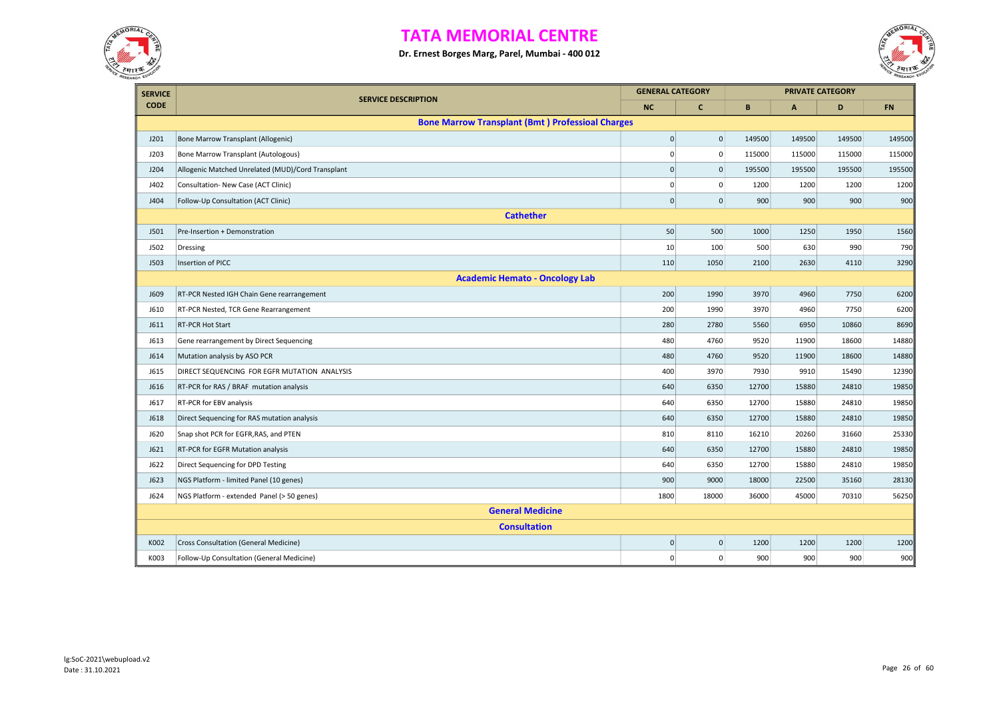



| <b>SERVICE</b> |                                                         |              | <b>GENERAL CATEGORY</b> | <b>PRIVATE CATEGORY</b> |        |        |           |
|----------------|---------------------------------------------------------|--------------|-------------------------|-------------------------|--------|--------|-----------|
| <b>CODE</b>    | <b>SERVICE DESCRIPTION</b>                              | <b>NC</b>    | $\mathbf{C}$            | B                       | A      | D      | <b>FN</b> |
|                | <b>Bone Marrow Transplant (Bmt) Professioal Charges</b> |              |                         |                         |        |        |           |
| J201           | Bone Marrow Transplant (Allogenic)                      | $\mathbf 0$  | $\overline{0}$          | 149500                  | 149500 | 149500 | 149500    |
| J203           | Bone Marrow Transplant (Autologous)                     | $\Omega$     | $\pmb{0}$               | 115000                  | 115000 | 115000 | 115000    |
| J204           | Allogenic Matched Unrelated (MUD)/Cord Transplant       | $\mathbf{0}$ | $\mathbf{0}$            | 195500                  | 195500 | 195500 | 195500    |
| J402           | Consultation- New Case (ACT Clinic)                     | $\mathbf 0$  | $\pmb{0}$               | 1200                    | 1200   | 1200   | 1200      |
| J404           | Follow-Up Consultation (ACT Clinic)                     | $\mathbf{0}$ | $\pmb{0}$               | 900                     | 900    | 900    | 900       |
|                | <b>Cathether</b>                                        |              |                         |                         |        |        |           |
| J501           | Pre-Insertion + Demonstration                           | 50           | 500                     | 1000                    | 1250   | 1950   | 1560      |
| J502           | Dressing                                                | 10           | 100                     | 500                     | 630    | 990    | 790       |
| <b>J503</b>    | <b>Insertion of PICC</b>                                | 110          | 1050                    | 2100                    | 2630   | 4110   | 3290      |
|                | <b>Academic Hemato - Oncology Lab</b>                   |              |                         |                         |        |        |           |
| <b>J609</b>    | RT-PCR Nested IGH Chain Gene rearrangement              | 200          | 1990                    | 3970                    | 4960   | 7750   | 6200      |
| J610           | RT-PCR Nested, TCR Gene Rearrangement                   | 200          | 1990                    | 3970                    | 4960   | 7750   | 6200      |
| <b>J611</b>    | RT-PCR Hot Start                                        | 280          | 2780                    | 5560                    | 6950   | 10860  | 8690      |
| <b>J613</b>    | Gene rearrangement by Direct Sequencing                 | 480          | 4760                    | 9520                    | 11900  | 18600  | 14880     |
| J614           | Mutation analysis by ASO PCR                            | 480          | 4760                    | 9520                    | 11900  | 18600  | 14880     |
| J615           | DIRECT SEQUENCING FOR EGFR MUTATION ANALYSIS            | 400          | 3970                    | 7930                    | 9910   | 15490  | 12390     |
| J616           | RT-PCR for RAS / BRAF mutation analysis                 | 640          | 6350                    | 12700                   | 15880  | 24810  | 19850     |
| J617           | RT-PCR for EBV analysis                                 | 640          | 6350                    | 12700                   | 15880  | 24810  | 19850     |
| <b>J618</b>    | Direct Sequencing for RAS mutation analysis             | 640          | 6350                    | 12700                   | 15880  | 24810  | 19850     |
| <b>J620</b>    | Snap shot PCR for EGFR, RAS, and PTEN                   | 810          | 8110                    | 16210                   | 20260  | 31660  | 25330     |
| J621           | RT-PCR for EGFR Mutation analysis                       | 640          | 6350                    | 12700                   | 15880  | 24810  | 19850     |
| J622           | Direct Sequencing for DPD Testing                       | 640          | 6350                    | 12700                   | 15880  | 24810  | 19850     |
| <b>J623</b>    | NGS Platform - limited Panel (10 genes)                 | 900          | 9000                    | 18000                   | 22500  | 35160  | 28130     |
| J624           | NGS Platform - extended Panel (> 50 genes)              | 1800         | 18000                   | 36000                   | 45000  | 70310  | 56250     |
|                | <b>General Medicine</b>                                 |              |                         |                         |        |        |           |
|                | <b>Consultation</b>                                     |              |                         |                         |        |        |           |
| K002           | Cross Consultation (General Medicine)                   | $\mathbf 0$  | $\overline{0}$          | 1200                    | 1200   | 1200   | 1200      |
| K003           | Follow-Up Consultation (General Medicine)               | $\mathbf 0$  | $\mathbf 0$             | 900                     | 900    | 900    | 900       |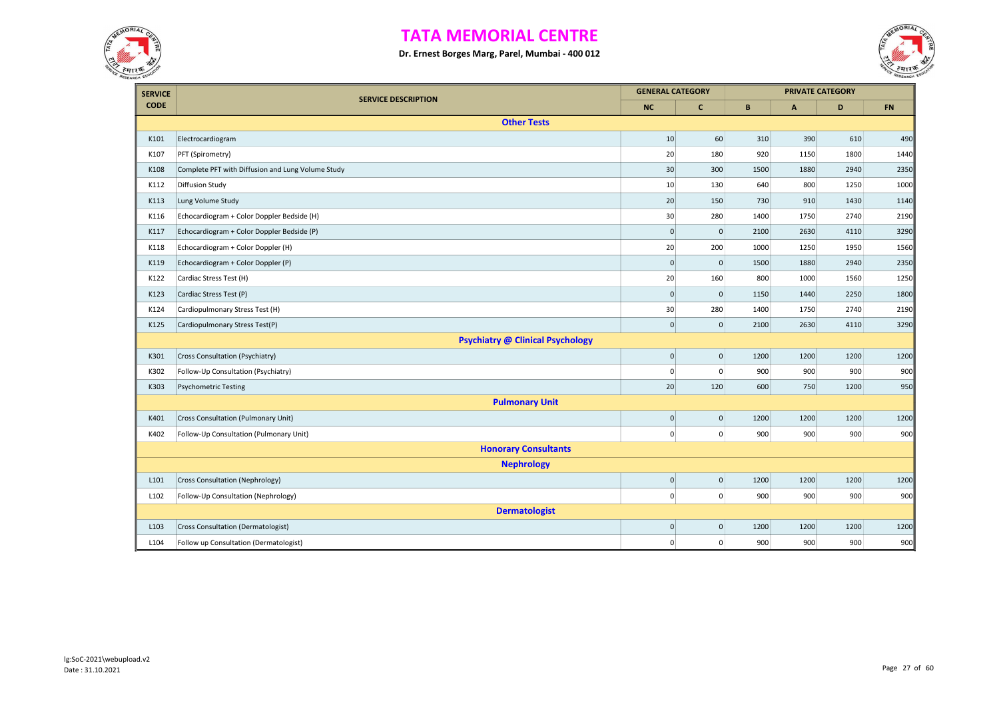



| <b>SERVICE</b> |                                                   | <b>GENERAL CATEGORY</b> |                     |      |      | <b>PRIVATE CATEGORY</b> |      |
|----------------|---------------------------------------------------|-------------------------|---------------------|------|------|-------------------------|------|
| <b>CODE</b>    | <b>SERVICE DESCRIPTION</b>                        | <b>NC</b>               | $\mathbf{C}$        | B    | A    | D                       | FN   |
|                | <b>Other Tests</b>                                |                         |                     |      |      |                         |      |
| K101           | Electrocardiogram                                 | 10                      | 60                  | 310  | 390  | 610                     | 490  |
| K107           | PFT (Spirometry)                                  | 20                      | 180                 | 920  | 1150 | 1800                    | 1440 |
| K108           | Complete PFT with Diffusion and Lung Volume Study | 30                      | 300                 | 1500 | 1880 | 2940                    | 2350 |
| K112           | <b>Diffusion Study</b>                            | 10                      | 130                 | 640  | 800  | 1250                    | 1000 |
| K113           | Lung Volume Study                                 | 20                      | 150                 | 730  | 910  | 1430                    | 1140 |
| K116           | Echocardiogram + Color Doppler Bedside (H)        | 30                      | 280                 | 1400 | 1750 | 2740                    | 2190 |
| K117           | Echocardiogram + Color Doppler Bedside (P)        | $\mathbf{0}$            | $\mathbf{0}$        | 2100 | 2630 | 4110                    | 3290 |
| K118           | Echocardiogram + Color Doppler (H)                | 20                      | 200                 | 1000 | 1250 | 1950                    | 1560 |
| K119           | Echocardiogram + Color Doppler (P)                | $\mathbf 0$             | $\mathbf{0}$        | 1500 | 1880 | 2940                    | 2350 |
| K122           | Cardiac Stress Test (H)                           | 20                      | 160                 | 800  | 1000 | 1560                    | 1250 |
| K123           | Cardiac Stress Test (P)                           | $\mathbf 0$             | $\mathsf{O}\xspace$ | 1150 | 1440 | 2250                    | 1800 |
| K124           | Cardiopulmonary Stress Test (H)                   | 30                      | 280                 | 1400 | 1750 | 2740                    | 2190 |
| K125           | Cardiopulmonary Stress Test(P)                    | $\mathbf 0$             | $\overline{0}$      | 2100 | 2630 | 4110                    | 3290 |
|                | <b>Psychiatry @ Clinical Psychology</b>           |                         |                     |      |      |                         |      |
| K301           | Cross Consultation (Psychiatry)                   | $\overline{0}$          | $\vert 0 \vert$     | 1200 | 1200 | 1200                    | 1200 |
| K302           | Follow-Up Consultation (Psychiatry)               | $\mathbf 0$             | 0                   | 900  | 900  | 900                     | 900  |
| K303           | <b>Psychometric Testing</b>                       | 20                      | 120                 | 600  | 750  | 1200                    | 950  |
|                | <b>Pulmonary Unit</b>                             |                         |                     |      |      |                         |      |
| K401           | <b>Cross Consultation (Pulmonary Unit)</b>        | $\overline{0}$          | 0                   | 1200 | 1200 | 1200                    | 1200 |
| K402           | Follow-Up Consultation (Pulmonary Unit)           | $\overline{0}$          | $\overline{0}$      | 900  | 900  | 900                     | 900  |
|                | <b>Honorary Consultants</b>                       |                         |                     |      |      |                         |      |
|                | <b>Nephrology</b>                                 |                         |                     |      |      |                         |      |
| L101           | Cross Consultation (Nephrology)                   | $\circ$                 | $\mathbf{0}$        | 1200 | 1200 | 1200                    | 1200 |
| L102           | Follow-Up Consultation (Nephrology)               | $\overline{0}$          | $\overline{0}$      | 900  | 900  | 900                     | 900  |
|                | <b>Dermatologist</b>                              |                         |                     |      |      |                         |      |
| L103           | Cross Consultation (Dermatologist)                | $\overline{0}$          | $\overline{0}$      | 1200 | 1200 | 1200                    | 1200 |
| L104           | Follow up Consultation (Dermatologist)            | $\mathbf 0$             | $\mathbf{0}$        | 900  | 900  | 900                     | 900  |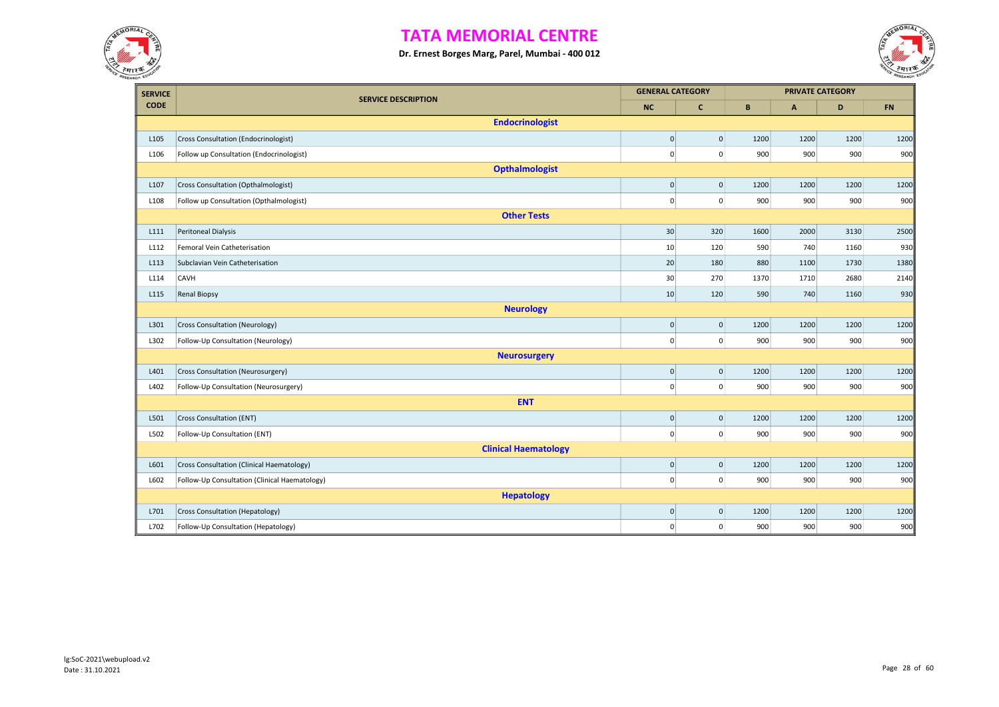



| <b>SERVICE</b> |                                               | <b>GENERAL CATEGORY</b> |                |      |              | <b>PRIVATE CATEGORY</b> |      |
|----------------|-----------------------------------------------|-------------------------|----------------|------|--------------|-------------------------|------|
| <b>CODE</b>    | <b>SERVICE DESCRIPTION</b>                    | <b>NC</b>               | $\mathbf{C}$   | B    | $\mathbf{A}$ | D                       | FN   |
|                | <b>Endocrinologist</b>                        |                         |                |      |              |                         |      |
| L105           | Cross Consultation (Endocrinologist)          | $\mathbf 0$             | $\pmb{0}$      | 1200 | 1200         | 1200                    | 1200 |
| L106           | Follow up Consultation (Endocrinologist)      | $\pmb{0}$               | $\overline{0}$ | 900  | 900          | 900                     | 900  |
|                | <b>Opthalmologist</b>                         |                         |                |      |              |                         |      |
| L107           | Cross Consultation (Opthalmologist)           | $\pmb{0}$               | $\mathbf{0}$   | 1200 | 1200         | 1200                    | 1200 |
| L108           | Follow up Consultation (Opthalmologist)       | $\mathbf 0$             | $\overline{0}$ | 900  | 900          | 900                     | 900  |
|                | <b>Other Tests</b>                            |                         |                |      |              |                         |      |
| L111           | Peritoneal Dialysis                           | 30                      | 320            | 1600 | 2000         | 3130                    | 2500 |
| L112           | Femoral Vein Catheterisation                  | 10                      | 120            | 590  | 740          | 1160                    | 930  |
| L113           | Subclavian Vein Catheterisation               | 20                      | 180            | 880  | 1100         | 1730                    | 1380 |
| L114           | CAVH                                          | 30                      | 270            | 1370 | 1710         | 2680                    | 2140 |
| L115           | <b>Renal Biopsy</b>                           | 10                      | 120            | 590  | 740          | 1160                    | 930  |
|                | <b>Neurology</b>                              |                         |                |      |              |                         |      |
| L301           | <b>Cross Consultation (Neurology)</b>         | $\pmb{0}$               | $\mathbf{0}$   | 1200 | 1200         | 1200                    | 1200 |
| L302           | Follow-Up Consultation (Neurology)            | $\pmb{0}$               | $\mathbf{0}$   | 900  | 900          | 900                     | 900  |
|                | <b>Neurosurgery</b>                           |                         |                |      |              |                         |      |
| L401           | Cross Consultation (Neurosurgery)             | $\pmb{0}$               | $\mathbf{0}$   | 1200 | 1200         | 1200                    | 1200 |
| L402           | Follow-Up Consultation (Neurosurgery)         | $\mathbf 0$             | $\overline{0}$ | 900  | 900          | 900                     | 900  |
|                | <b>ENT</b>                                    |                         |                |      |              |                         |      |
| L501           | Cross Consultation (ENT)                      | $\mathbf 0$             | $\mathbf 0$    | 1200 | 1200         | 1200                    | 1200 |
| L502           | Follow-Up Consultation (ENT)                  | $\mathbf 0$             | $\mathbf{0}$   | 900  | 900          | 900                     | 900  |
|                | <b>Clinical Haematology</b>                   |                         |                |      |              |                         |      |
| L601           | Cross Consultation (Clinical Haematology)     | $\mathbf 0$             | $\overline{0}$ | 1200 | 1200         | 1200                    | 1200 |
| L602           | Follow-Up Consultation (Clinical Haematology) | $\pmb{0}$               | $\overline{0}$ | 900  | 900          | 900                     | 900  |
|                | <b>Hepatology</b>                             |                         |                |      |              |                         |      |
| L701           | Cross Consultation (Hepatology)               | $\pmb{0}$               | $\mathbf{0}$   | 1200 | 1200         | 1200                    | 1200 |
| L702           | Follow-Up Consultation (Hepatology)           | $\Omega$                | $\pmb{0}$      | 900  | 900          | 900                     | 900  |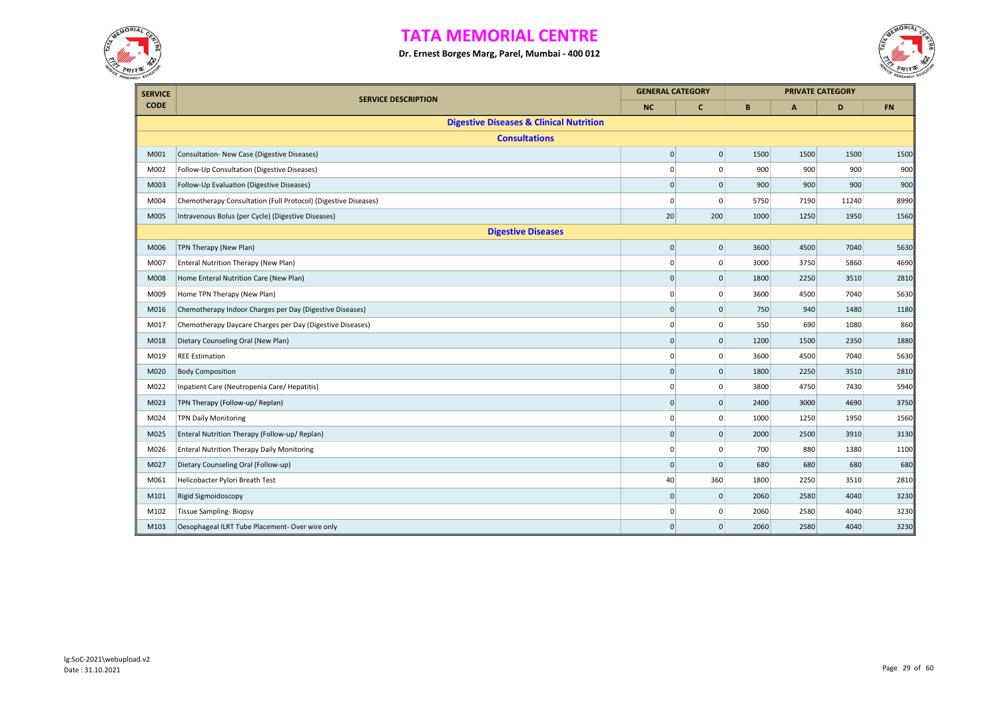



| <b>SERVICE</b> |                                                                | <b>GENERAL CATEGORY</b> |                     |      |              | <b>PRIVATE CATEGORY</b> |           |
|----------------|----------------------------------------------------------------|-------------------------|---------------------|------|--------------|-------------------------|-----------|
| <b>CODE</b>    | <b>SERVICE DESCRIPTION</b>                                     | <b>NC</b>               | $\mathbf{C}$        | B    | $\mathbf{A}$ | D                       | <b>FN</b> |
|                | <b>Digestive Diseases &amp; Clinical Nutrition</b>             |                         |                     |      |              |                         |           |
|                | <b>Consultations</b>                                           |                         |                     |      |              |                         |           |
| M001           | Consultation- New Case (Digestive Diseases)                    | $\mathbf 0$             | $\mathsf{O}\xspace$ | 1500 | 1500         | 1500                    | 1500      |
| M002           | Follow-Up Consultation (Digestive Diseases)                    | $\mathbf 0$             | 0                   | 900  | 900          | 900                     | 900       |
| M003           | Follow-Up Evaluation (Digestive Diseases)                      | $\mathbf 0$             | $\pmb{0}$           | 900  | 900          | 900                     | 900       |
| M004           | Chemotherapy Consultation (Full Protocol) (Digestive Diseases) | 0                       | 0                   | 5750 | 7190         | 11240                   | 8990      |
| M005           | Intravenous Bolus (per Cycle) (Digestive Diseases)             | 20                      | 200                 | 1000 | 1250         | 1950                    | 1560      |
|                | <b>Digestive Diseases</b>                                      |                         |                     |      |              |                         |           |
| M006           | TPN Therapy (New Plan)                                         | $\pmb{0}$               | $\mathbf 0$         | 3600 | 4500         | 7040                    | 5630      |
| M007           | Enteral Nutrition Therapy (New Plan)                           | $\mathbf 0$             | 0                   | 3000 | 3750         | 5860                    | 4690      |
| M008           | Home Enteral Nutrition Care (New Plan)                         | $\mathbf 0$             | $\mathsf{O}\xspace$ | 1800 | 2250         | 3510                    | 2810      |
| M009           | Home TPN Therapy (New Plan)                                    | 0                       | 0                   | 3600 | 4500         | 7040                    | 5630      |
| M016           | Chemotherapy Indoor Charges per Day (Digestive Diseases)       | $\mathbf 0$             | $\mathbf 0$         | 750  | 940          | 1480                    | 1180      |
| M017           | Chemotherapy Daycare Charges per Day (Digestive Diseases)      | $\mathbf 0$             | $\mathbf 0$         | 550  | 690          | 1080                    | 860       |
| M018           | Dietary Counseling Oral (New Plan)                             | $\mathbf 0$             | $\mathbf 0$         | 1200 | 1500         | 2350                    | 1880      |
| M019           | <b>REE Estimation</b>                                          | $\mathbf 0$             | 0                   | 3600 | 4500         | 7040                    | 5630      |
| M020           | <b>Body Composition</b>                                        | $\mathbf 0$             | $\mathbf 0$         | 1800 | 2250         | 3510                    | 2810      |
| M022           | Inpatient Care (Neutropenia Care/ Hepatitis)                   | $\mathbf 0$             | $\mathbf 0$         | 3800 | 4750         | 7430                    | 5940      |
| M023           | TPN Therapy (Follow-up/ Replan)                                | $\mathbf 0$             | $\mathbf 0$         | 2400 | 3000         | 4690                    | 3750      |
| M024           | <b>TPN Daily Monitoring</b>                                    | $\mathbf 0$             | 0                   | 1000 | 1250         | 1950                    | 1560      |
| M025           | Enteral Nutrition Therapy (Follow-up/ Replan)                  | $\mathbf 0$             | $\mathsf{O}\xspace$ | 2000 | 2500         | 3910                    | 3130      |
| M026           | <b>Enteral Nutrition Therapy Daily Monitoring</b>              | $\mathbf 0$             | 0                   | 700  | 880          | 1380                    | 1100      |
| M027           | Dietary Counseling Oral (Follow-up)                            | $\mathbf 0$             | $\mathbf 0$         | 680  | 680          | 680                     | 680       |
| M061           | Helicobacter Pylori Breath Test                                | 40                      | 360                 | 1800 | 2250         | 3510                    | 2810      |
| M101           | Rigid Sigmoidoscopy                                            | $\mathbf 0$             | 0                   | 2060 | 2580         | 4040                    | 3230      |
| M102           | <b>Tissue Sampling-Biopsy</b>                                  | $\mathbf 0$             | 0                   | 2060 | 2580         | 4040                    | 3230      |
| M103           | Oesophageal ILRT Tube Placement- Over wire only                | $\mathbf{0}$            | $\mathbf{0}$        | 2060 | 2580         | 4040                    | 3230      |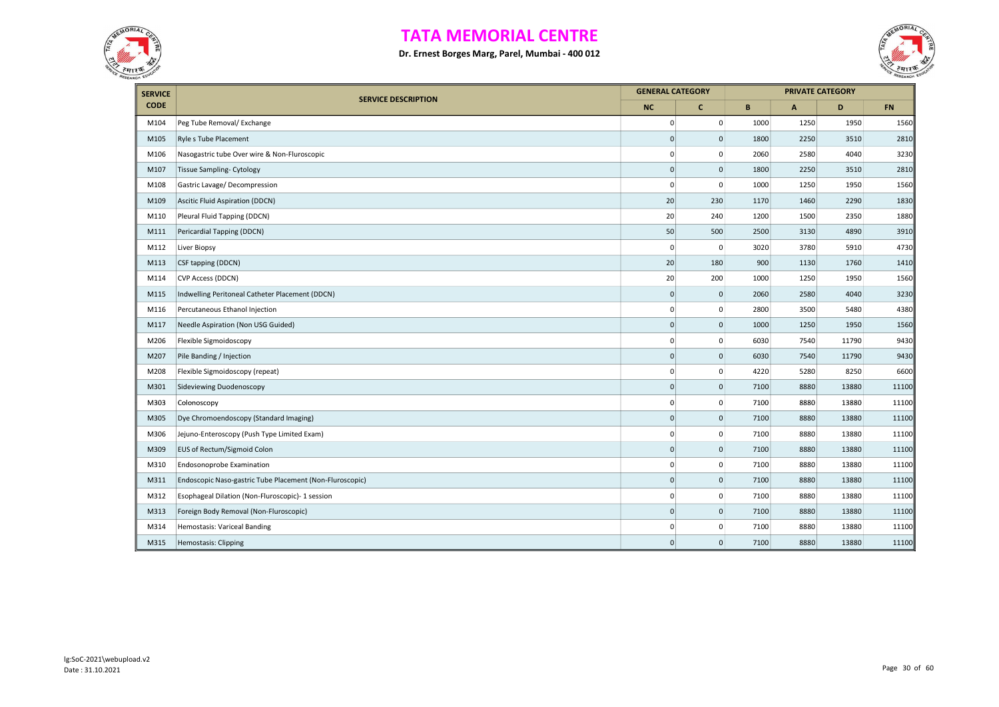



| <b>SERVICE</b> |                                                          | <b>GENERAL CATEGORY</b> |                     |      |                           | <b>PRIVATE CATEGORY</b> |           |
|----------------|----------------------------------------------------------|-------------------------|---------------------|------|---------------------------|-------------------------|-----------|
| <b>CODE</b>    | <b>SERVICE DESCRIPTION</b>                               | <b>NC</b>               | $\mathbf{C}$        | B    | $\boldsymbol{\mathsf{A}}$ | D                       | <b>FN</b> |
| M104           | Peg Tube Removal/ Exchange                               | $\mathbf 0$             | $\mathbf{0}$        | 1000 | 1250                      | 1950                    | 1560      |
| M105           | Ryle s Tube Placement                                    | $\mathbf 0$             | $\mathsf{O}\xspace$ | 1800 | 2250                      | 3510                    | 2810      |
| M106           | Nasogastric tube Over wire & Non-Fluroscopic             | $\mathbf 0$             | $\mathbf 0$         | 2060 | 2580                      | 4040                    | 3230      |
| M107           | Tissue Sampling- Cytology                                | $\mathbf 0$             | $\mathbf{0}$        | 1800 | 2250                      | 3510                    | 2810      |
| M108           | Gastric Lavage/Decompression                             | $\mathbf 0$             | $\mathsf 0$         | 1000 | 1250                      | 1950                    | 1560      |
| M109           | Ascitic Fluid Aspiration (DDCN)                          | 20                      | 230                 | 1170 | 1460                      | 2290                    | 1830      |
| M110           | Pleural Fluid Tapping (DDCN)                             | 20                      | 240                 | 1200 | 1500                      | 2350                    | 1880      |
| M111           | Pericardial Tapping (DDCN)                               | 50                      | 500                 | 2500 | 3130                      | 4890                    | 3910      |
| M112           | Liver Biopsy                                             | $\mathbf 0$             | $\mathbf 0$         | 3020 | 3780                      | 5910                    | 4730      |
| M113           | CSF tapping (DDCN)                                       | 20                      | 180                 | 900  | 1130                      | 1760                    | 1410      |
| M114           | <b>CVP Access (DDCN)</b>                                 | 20                      | 200                 | 1000 | 1250                      | 1950                    | 1560      |
| M115           | Indwelling Peritoneal Catheter Placement (DDCN)          | $\mathbf 0$             | $\mathbf 0$         | 2060 | 2580                      | 4040                    | 3230      |
| M116           | Percutaneous Ethanol Injection                           | 0                       | 0                   | 2800 | 3500                      | 5480                    | 4380      |
| M117           | Needle Aspiration (Non USG Guided)                       | $\mathbf 0$             | $\mathsf{O}\xspace$ | 1000 | 1250                      | 1950                    | 1560      |
| M206           | Flexible Sigmoidoscopy                                   | 0                       | 0                   | 6030 | 7540                      | 11790                   | 9430      |
| M207           | Pile Banding / Injection                                 | $\pmb{0}$               | $\mathbf 0$         | 6030 | 7540                      | 11790                   | 9430      |
| M208           | Flexible Sigmoidoscopy (repeat)                          | $\pmb{0}$               | $\mathbf 0$         | 4220 | 5280                      | 8250                    | 6600      |
| M301           | Sideviewing Duodenoscopy                                 | $\mathbf 0$             | $\mathbf 0$         | 7100 | 8880                      | 13880                   | 11100     |
| M303           | Colonoscopy                                              | 0                       | $\mathbf 0$         | 7100 | 8880                      | 13880                   | 11100     |
| M305           | Dye Chromoendoscopy (Standard Imaging)                   | $\pmb{0}$               | $\pmb{0}$           | 7100 | 8880                      | 13880                   | 11100     |
| M306           | Jejuno-Enteroscopy (Push Type Limited Exam)              | 0                       | $\pmb{0}$           | 7100 | 8880                      | 13880                   | 11100     |
| M309           | EUS of Rectum/Sigmoid Colon                              | $\mathsf 0$             | $\mathbf 0$         | 7100 | 8880                      | 13880                   | 11100     |
| M310           | Endosonoprobe Examination                                | $\pmb{0}$               | $\mathbf 0$         | 7100 | 8880                      | 13880                   | 11100     |
| M311           | Endoscopic Naso-gastric Tube Placement (Non-Fluroscopic) | $\mathbf 0$             | $\mathbf 0$         | 7100 | 8880                      | 13880                   | 11100     |
| M312           | Esophageal Dilation (Non-Fluroscopic)- 1 session         | 0                       | $\mathbf 0$         | 7100 | 8880                      | 13880                   | 11100     |
| M313           | Foreign Body Removal (Non-Fluroscopic)                   | $\pmb{0}$               | $\mathbf 0$         | 7100 | 8880                      | 13880                   | 11100     |
| M314           | Hemostasis: Variceal Banding                             | $\mathbf 0$             | $\mathbf 0$         | 7100 | 8880                      | 13880                   | 11100     |
| M315           | <b>Hemostasis: Clipping</b>                              | $\Omega$                | $\mathbf{0}$        | 7100 | 8880                      | 13880                   | 11100     |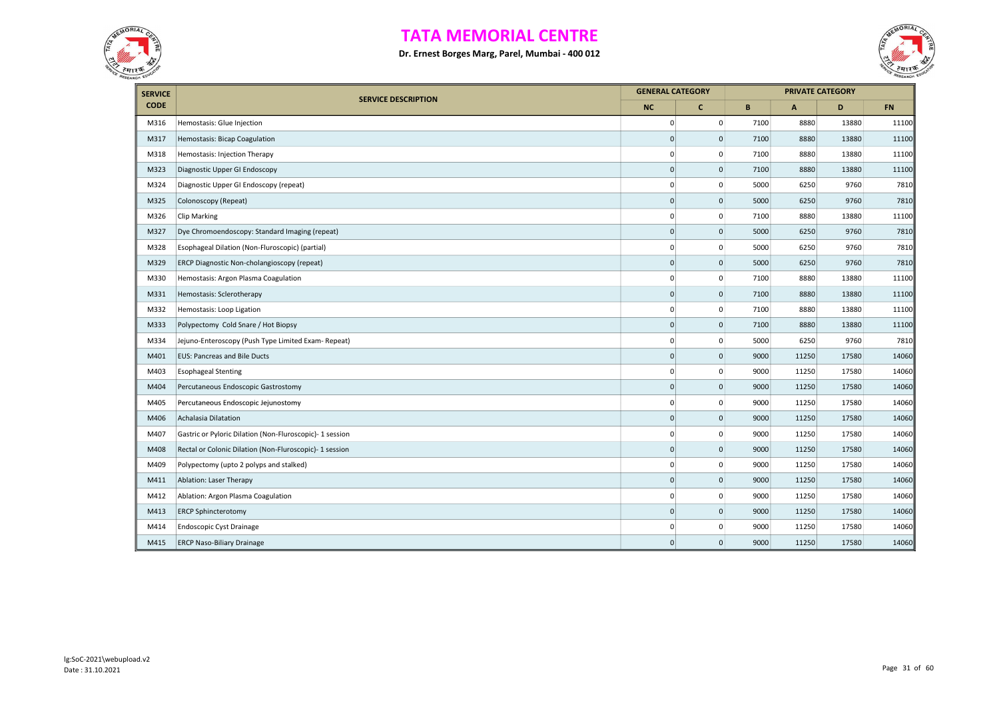



| <b>SERVICE</b> | <b>SERVICE DESCRIPTION</b>                               |                     | <b>GENERAL CATEGORY</b> |      | <b>PRIVATE CATEGORY</b> |       |           |
|----------------|----------------------------------------------------------|---------------------|-------------------------|------|-------------------------|-------|-----------|
| <b>CODE</b>    |                                                          | <b>NC</b>           | $\mathbf{C}$            | B    | $\mathbf{A}$            | D     | <b>FN</b> |
| M316           | Hemostasis: Glue Injection                               | 0                   | $\mathbf{0}$            | 7100 | 8880                    | 13880 | 11100     |
| M317           | Hemostasis: Bicap Coagulation                            | $\mathbf 0$         | 0                       | 7100 | 8880                    | 13880 | 11100     |
| M318           | Hemostasis: Injection Therapy                            | $\mathbf 0$         | $\mathbf{0}$            | 7100 | 8880                    | 13880 | 11100     |
| M323           | Diagnostic Upper GI Endoscopy                            | $\mathbf 0$         | $\mathbf 0$             | 7100 | 8880                    | 13880 | 11100     |
| M324           | Diagnostic Upper GI Endoscopy (repeat)                   | $\Omega$            | 0                       | 5000 | 6250                    | 9760  | 7810      |
| M325           | Colonoscopy (Repeat)                                     | $\mathbf 0$         | $\mathsf{O}\xspace$     | 5000 | 6250                    | 9760  | 7810      |
| M326           | Clip Marking                                             | $\pmb{0}$           | $\pmb{0}$               | 7100 | 8880                    | 13880 | 11100     |
| M327           | Dye Chromoendoscopy: Standard Imaging (repeat)           | $\mathsf{O}\xspace$ | $\mathsf{O}\xspace$     | 5000 | 6250                    | 9760  | 7810      |
| M328           | Esophageal Dilation (Non-Fluroscopic) (partial)          | $\mathbf 0$         | 0                       | 5000 | 6250                    | 9760  | 7810      |
| M329           | ERCP Diagnostic Non-cholangioscopy (repeat)              | $\mathbf 0$         | $\mathbf 0$             | 5000 | 6250                    | 9760  | 7810      |
| M330           | Hemostasis: Argon Plasma Coagulation                     | $\mathbf 0$         | 0                       | 7100 | 8880                    | 13880 | 11100     |
| M331           | Hemostasis: Sclerotherapy                                | $\mathbf{0}$        | $\mathbf 0$             | 7100 | 8880                    | 13880 | 11100     |
| M332           | Hemostasis: Loop Ligation                                | $\mathbf 0$         | $\mathbf 0$             | 7100 | 8880                    | 13880 | 11100     |
| M333           | Polypectomy Cold Snare / Hot Biopsy                      | $\mathbf{0}$        | $\mathbf{0}$            | 7100 | 8880                    | 13880 | 11100     |
| M334           | Jejuno-Enteroscopy (Push Type Limited Exam- Repeat)      | $\mathbf 0$         | 0                       | 5000 | 6250                    | 9760  | 7810      |
| M401           | <b>EUS: Pancreas and Bile Ducts</b>                      | $\mathsf{O}\xspace$ | $\mathbf 0$             | 9000 | 11250                   | 17580 | 14060     |
| M403           | <b>Esophageal Stenting</b>                               | $\mathbf 0$         | 0                       | 9000 | 11250                   | 17580 | 14060     |
| M404           | Percutaneous Endoscopic Gastrostomy                      | $\mathsf{O}\xspace$ | $\mathbf 0$             | 9000 | 11250                   | 17580 | 14060     |
| M405           | Percutaneous Endoscopic Jejunostomy                      | 0                   | 0                       | 9000 | 11250                   | 17580 | 14060     |
| M406           | Achalasia Dilatation                                     | $\pmb{0}$           | $\mathsf{O}\xspace$     | 9000 | 11250                   | 17580 | 14060     |
| M407           | Gastric or Pyloric Dilation (Non-Fluroscopic)- 1 session | $\mathbf 0$         | 0                       | 9000 | 11250                   | 17580 | 14060     |
| M408           | Rectal or Colonic Dilation (Non-Fluroscopic)- 1 session  | $\pmb{0}$           | $\mathsf{O}\xspace$     | 9000 | 11250                   | 17580 | 14060     |
| M409           | Polypectomy (upto 2 polyps and stalked)                  | $\mathbf 0$         | $\mathsf 0$             | 9000 | 11250                   | 17580 | 14060     |
| M411           | Ablation: Laser Therapy                                  | $\mathsf{O}\xspace$ | $\mathbf 0$             | 9000 | 11250                   | 17580 | 14060     |
| M412           | Ablation: Argon Plasma Coagulation                       | $\mathbf 0$         | 0                       | 9000 | 11250                   | 17580 | 14060     |
| M413           | <b>ERCP Sphincterotomy</b>                               | $\mathsf{O}\xspace$ | $\mathbf 0$             | 9000 | 11250                   | 17580 | 14060     |
| M414           | <b>Endoscopic Cyst Drainage</b>                          | $\mathbf 0$         | 0                       | 9000 | 11250                   | 17580 | 14060     |
| M415           | <b>ERCP Naso-Biliary Drainage</b>                        | $\mathsf{O}\xspace$ | $\mathsf{O}\xspace$     | 9000 | 11250                   | 17580 | 14060     |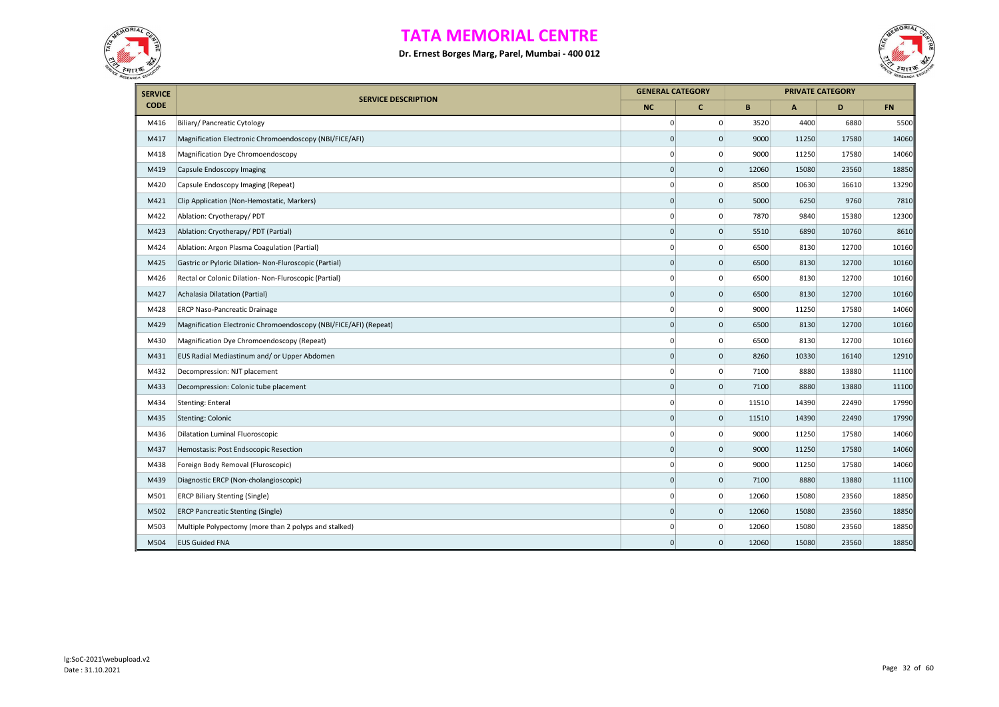



| <b>SERVICE</b> |                                                                  | <b>GENERAL CATEGORY</b> |                     |       |       | <b>PRIVATE CATEGORY</b> |           |
|----------------|------------------------------------------------------------------|-------------------------|---------------------|-------|-------|-------------------------|-----------|
| <b>CODE</b>    | <b>SERVICE DESCRIPTION</b>                                       | <b>NC</b>               | $\mathbf{C}$        | B     | A     | D                       | <b>FN</b> |
| M416           | Biliary/ Pancreatic Cytology                                     | $\mathbf 0$             | 0                   | 3520  | 4400  | 6880                    | 5500      |
| M417           | Magnification Electronic Chromoendoscopy (NBI/FICE/AFI)          | $\Omega$                | 0                   | 9000  | 11250 | 17580                   | 14060     |
| M418           | Magnification Dye Chromoendoscopy                                | $\mathbf 0$             | $\mathbf 0$         | 9000  | 11250 | 17580                   | 14060     |
| M419           | Capsule Endoscopy Imaging                                        | $\mathbf{0}$            | $\mathbf{0}$        | 12060 | 15080 | 23560                   | 18850     |
| M420           | Capsule Endoscopy Imaging (Repeat)                               | $\mathbf 0$             | $\mathbf 0$         | 8500  | 10630 | 16610                   | 13290     |
| M421           | Clip Application (Non-Hemostatic, Markers)                       | $\mathbf{0}$            | $\mathbf{0}$        | 5000  | 6250  | 9760                    | 7810      |
| M422           | Ablation: Cryotherapy/ PDT                                       | $\mathbf 0$             | $\mathsf 0$         | 7870  | 9840  | 15380                   | 12300     |
| M423           | Ablation: Cryotherapy/ PDT (Partial)                             | $\mathbf{0}$            | $\mathbf{0}$        | 5510  | 6890  | 10760                   | 8610      |
| M424           | Ablation: Argon Plasma Coagulation (Partial)                     | $\mathbf 0$             | 0                   | 6500  | 8130  | 12700                   | 10160     |
| M425           | Gastric or Pyloric Dilation- Non-Fluroscopic (Partial)           | $\mathbf{0}$            | $\mathbf{0}$        | 6500  | 8130  | 12700                   | 10160     |
| M426           | Rectal or Colonic Dilation- Non-Fluroscopic (Partial)            | $\mathbf 0$             | $\mathbf 0$         | 6500  | 8130  | 12700                   | 10160     |
| M427           | Achalasia Dilatation (Partial)                                   | $\mathbf{0}$            | $\mathbf{0}$        | 6500  | 8130  | 12700                   | 10160     |
| M428           | <b>ERCP Naso-Pancreatic Drainage</b>                             | $\mathbf 0$             | $\mathbf 0$         | 9000  | 11250 | 17580                   | 14060     |
| M429           | Magnification Electronic Chromoendoscopy (NBI/FICE/AFI) (Repeat) | $\mathbf{0}$            | $\mathbf{0}$        | 6500  | 8130  | 12700                   | 10160     |
| M430           | Magnification Dye Chromoendoscopy (Repeat)                       | $\mathbf 0$             | 0                   | 6500  | 8130  | 12700                   | 10160     |
| M431           | EUS Radial Mediastinum and/ or Upper Abdomen                     | $\mathbf 0$             | $\mathbf 0$         | 8260  | 10330 | 16140                   | 12910     |
| M432           | Decompression: NJT placement                                     | 0                       | 0                   | 7100  | 8880  | 13880                   | 11100     |
| M433           | Decompression: Colonic tube placement                            | $\mathbf 0$             | $\mathbf 0$         | 7100  | 8880  | 13880                   | 11100     |
| M434           | <b>Stenting: Enteral</b>                                         | $\mathbf 0$             | 0                   | 11510 | 14390 | 22490                   | 17990     |
| M435           | Stenting: Colonic                                                | $\mathbf{0}$            | $\mathbf 0$         | 11510 | 14390 | 22490                   | 17990     |
| M436           | Dilatation Luminal Fluoroscopic                                  | $\mathbf 0$             | 0                   | 9000  | 11250 | 17580                   | 14060     |
| M437           | Hemostasis: Post Endsocopic Resection                            | $\mathbf{0}$            | $\mathbf{0}$        | 9000  | 11250 | 17580                   | 14060     |
| M438           | Foreign Body Removal (Fluroscopic)                               | $\mathbf 0$             | $\mathbf 0$         | 9000  | 11250 | 17580                   | 14060     |
| M439           | Diagnostic ERCP (Non-cholangioscopic)                            | $\mathbf 0$             | $\mathbf 0$         | 7100  | 8880  | 13880                   | 11100     |
| M501           | <b>ERCP Biliary Stenting (Single)</b>                            | $\mathbf 0$             | $\mathbf 0$         | 12060 | 15080 | 23560                   | 18850     |
| M502           | <b>ERCP Pancreatic Stenting (Single)</b>                         | $\mathbf 0$             | $\mathsf{O}\xspace$ | 12060 | 15080 | 23560                   | 18850     |
| M503           | Multiple Polypectomy (more than 2 polyps and stalked)            | $\mathbf 0$             | 0                   | 12060 | 15080 | 23560                   | 18850     |
| M504           | <b>EUS Guided FNA</b>                                            | $\mathbf{0}$            | $\mathbf{0}$        | 12060 | 15080 | 23560                   | 18850     |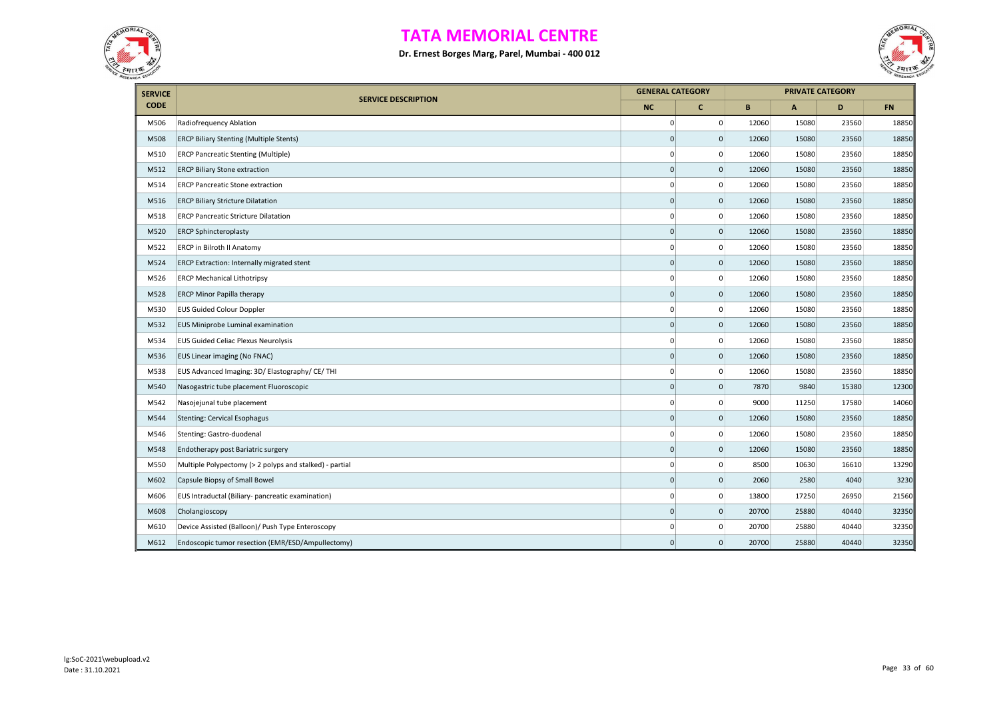



| <b>SERVICE</b> |                                                         | <b>GENERAL CATEGORY</b> |                |       |              | <b>PRIVATE CATEGORY</b> |           |
|----------------|---------------------------------------------------------|-------------------------|----------------|-------|--------------|-------------------------|-----------|
| <b>CODE</b>    | <b>SERVICE DESCRIPTION</b>                              | <b>NC</b>               | $\mathbf{C}$   | B     | $\mathbf{A}$ | D                       | <b>FN</b> |
| M506           | Radiofrequency Ablation                                 | $\mathbf{0}$            | $\mathbf 0$    | 12060 | 15080        | 23560                   | 18850     |
| M508           | <b>ERCP Biliary Stenting (Multiple Stents)</b>          | $\mathbf 0$             | $\mathbf 0$    | 12060 | 15080        | 23560                   | 18850     |
| M510           | <b>ERCP Pancreatic Stenting (Multiple)</b>              | 0                       | $\mathbf 0$    | 12060 | 15080        | 23560                   | 18850     |
| M512           | <b>ERCP Biliary Stone extraction</b>                    | $\Omega$                | $\mathbf 0$    | 12060 | 15080        | 23560                   | 18850     |
| M514           | <b>ERCP Pancreatic Stone extraction</b>                 | $\overline{0}$          | $\mathsf 0$    | 12060 | 15080        | 23560                   | 18850     |
| M516           | <b>ERCP Biliary Stricture Dilatation</b>                | $\mathbf 0$             | $\mathbf 0$    | 12060 | 15080        | 23560                   | 18850     |
| M518           | <b>ERCP Pancreatic Stricture Dilatation</b>             | $\mathbf{0}$            | $\mathbf 0$    | 12060 | 15080        | 23560                   | 18850     |
| M520           | <b>ERCP Sphincteroplasty</b>                            | $\Omega$                | $\mathbf 0$    | 12060 | 15080        | 23560                   | 18850     |
| M522           | ERCP in Bilroth II Anatomy                              | $\mathbf{0}$            | $\mathbf 0$    | 12060 | 15080        | 23560                   | 18850     |
| M524           | <b>ERCP Extraction: Internally migrated stent</b>       | $\mathbf{0}$            | $\mathbf 0$    | 12060 | 15080        | 23560                   | 18850     |
| M526           | <b>ERCP Mechanical Lithotripsy</b>                      | $\overline{0}$          | $\mathbf 0$    | 12060 | 15080        | 23560                   | 18850     |
| M528           | <b>ERCP Minor Papilla therapy</b>                       | $\mathbf{0}$            | $\mathbf 0$    | 12060 | 15080        | 23560                   | 18850     |
| M530           | <b>EUS Guided Colour Doppler</b>                        | $\mathbf{0}$            | $\mathbf 0$    | 12060 | 15080        | 23560                   | 18850     |
| M532           | EUS Miniprobe Luminal examination                       | $\mathbf{0}$            | $\mathbf 0$    | 12060 | 15080        | 23560                   | 18850     |
| M534           | <b>EUS Guided Celiac Plexus Neurolysis</b>              | $\overline{0}$          | $\mathbf 0$    | 12060 | 15080        | 23560                   | 18850     |
| M536           | EUS Linear imaging (No FNAC)                            | $\overline{0}$          | $\mathbf 0$    | 12060 | 15080        | 23560                   | 18850     |
| M538           | EUS Advanced Imaging: 3D/ Elastography/ CE/ THI         | $\overline{0}$          | $\mathbf 0$    | 12060 | 15080        | 23560                   | 18850     |
| M540           | Nasogastric tube placement Fluoroscopic                 | $\mathbf{0}$            | $\mathbf 0$    | 7870  | 9840         | 15380                   | 12300     |
| M542           | Nasojejunal tube placement                              | $\mathbf{0}$            | $\pmb{0}$      | 9000  | 11250        | 17580                   | 14060     |
| M544           | <b>Stenting: Cervical Esophagus</b>                     | $\mathbf{0}$            | $\mathbf 0$    | 12060 | 15080        | 23560                   | 18850     |
| M546           | Stenting: Gastro-duodenal                               | 0                       | $\mathbf 0$    | 12060 | 15080        | 23560                   | 18850     |
| M548           | Endotherapy post Bariatric surgery                      | $\overline{0}$          | $\mathbf 0$    | 12060 | 15080        | 23560                   | 18850     |
| M550           | Multiple Polypectomy (> 2 polyps and stalked) - partial | $\overline{0}$          | 0              | 8500  | 10630        | 16610                   | 13290     |
| M602           | Capsule Biopsy of Small Bowel                           | $\overline{0}$          | $\mathbf 0$    | 2060  | 2580         | 4040                    | 3230      |
| M606           | EUS Intraductal (Biliary- pancreatic examination)       | $\overline{0}$          | $\mathbf 0$    | 13800 | 17250        | 26950                   | 21560     |
| M608           | Cholangioscopy                                          | $\mathbf{0}$            | $\overline{0}$ | 20700 | 25880        | 40440                   | 32350     |
| M610           | Device Assisted (Balloon)/ Push Type Enteroscopy        | $\Omega$                | $\mathbf 0$    | 20700 | 25880        | 40440                   | 32350     |
| M612           | Endoscopic tumor resection (EMR/ESD/Ampullectomy)       | $\mathbf 0$             | $\overline{0}$ | 20700 | 25880        | 40440                   | 32350     |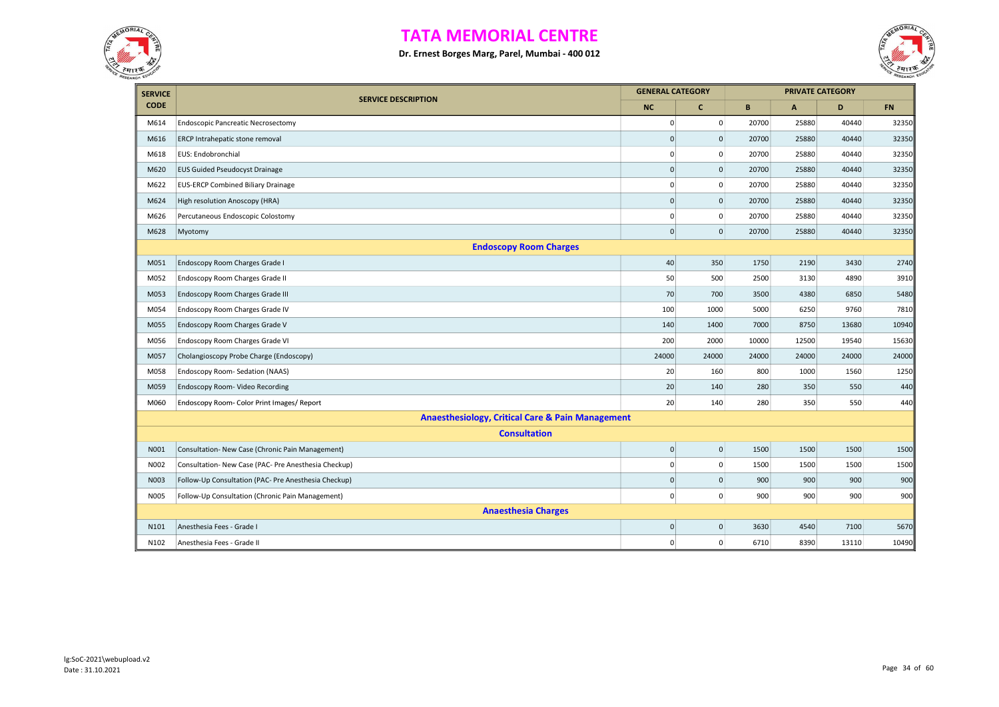



| <b>SERVICE</b> | <b>SERVICE DESCRIPTION</b>                                  |             | <b>GENERAL CATEGORY</b> |       |              | <b>PRIVATE CATEGORY</b> |           |
|----------------|-------------------------------------------------------------|-------------|-------------------------|-------|--------------|-------------------------|-----------|
| <b>CODE</b>    |                                                             | <b>NC</b>   | $\mathbf{C}$            | B     | $\mathbf{A}$ | D                       | <b>FN</b> |
| M614           | <b>Endoscopic Pancreatic Necrosectomy</b>                   | $\pmb{0}$   | $\mathbf{0}$            | 20700 | 25880        | 40440                   | 32350     |
| M616           | ERCP Intrahepatic stone removal                             | $\Omega$    | $\mathbf{0}$            | 20700 | 25880        | 40440                   | 32350     |
| M618           | EUS: Endobronchial                                          | $\mathbf 0$ | 0                       | 20700 | 25880        | 40440                   | 32350     |
| M620           | <b>EUS Guided Pseudocyst Drainage</b>                       | $\mathbf 0$ | $\mathsf 0$             | 20700 | 25880        | 40440                   | 32350     |
| M622           | <b>EUS-ERCP Combined Biliary Drainage</b>                   | $\mathbf 0$ | $\mathbf 0$             | 20700 | 25880        | 40440                   | 32350     |
| M624           | High resolution Anoscopy (HRA)                              | $\Omega$    | $\mathbf{0}$            | 20700 | 25880        | 40440                   | 32350     |
| M626           | Percutaneous Endoscopic Colostomy                           | $\mathbf 0$ | $\pmb{0}$               | 20700 | 25880        | 40440                   | 32350     |
| M628           | Myotomy                                                     | $\pmb{0}$   | $\pmb{0}$               | 20700 | 25880        | 40440                   | 32350     |
|                | <b>Endoscopy Room Charges</b>                               |             |                         |       |              |                         |           |
| M051           | Endoscopy Room Charges Grade I                              | 40          | 350                     | 1750  | 2190         | 3430                    | 2740      |
| M052           | Endoscopy Room Charges Grade II                             | 50          | 500                     | 2500  | 3130         | 4890                    | 3910      |
| M053           | Endoscopy Room Charges Grade III                            | 70          | 700                     | 3500  | 4380         | 6850                    | 5480      |
| M054           | Endoscopy Room Charges Grade IV                             | 100         | 1000                    | 5000  | 6250         | 9760                    | 7810      |
| M055           | Endoscopy Room Charges Grade V                              | 140         | 1400                    | 7000  | 8750         | 13680                   | 10940     |
| M056           | Endoscopy Room Charges Grade VI                             | 200         | 2000                    | 10000 | 12500        | 19540                   | 15630     |
| M057           | Cholangioscopy Probe Charge (Endoscopy)                     | 24000       | 24000                   | 24000 | 24000        | 24000                   | 24000     |
| M058           | Endoscopy Room- Sedation (NAAS)                             | 20          | 160                     | 800   | 1000         | 1560                    | 1250      |
| M059           | Endoscopy Room- Video Recording                             | 20          | 140                     | 280   | 350          | 550                     | 440       |
| M060           | Endoscopy Room- Color Print Images/ Report                  | 20          | 140                     | 280   | 350          | 550                     | 440       |
|                | <b>Anaesthesiology, Critical Care &amp; Pain Management</b> |             |                         |       |              |                         |           |
|                | <b>Consultation</b>                                         |             |                         |       |              |                         |           |
| N001           | Consultation- New Case (Chronic Pain Management)            | $\pmb{0}$   | $\pmb{0}$               | 1500  | 1500         | 1500                    | 1500      |
| N002           | Consultation- New Case (PAC- Pre Anesthesia Checkup)        | $\mathbf 0$ | $\mathsf 0$             | 1500  | 1500         | 1500                    | 1500      |
| N003           | Follow-Up Consultation (PAC- Pre Anesthesia Checkup)        | $\pmb{0}$   | $\mathbf 0$             | 900   | 900          | 900                     | 900       |
| N005           | Follow-Up Consultation (Chronic Pain Management)            | $\pmb{0}$   | $\pmb{0}$               | 900   | 900          | 900                     | 900       |
|                | <b>Anaesthesia Charges</b>                                  |             |                         |       |              |                         |           |
| N101           | Anesthesia Fees - Grade I                                   | $\mathbf 0$ | $\mathsf{O}\xspace$     | 3630  | 4540         | 7100                    | 5670      |
| N102           | Anesthesia Fees - Grade II                                  | $\pmb{0}$   | $\mathsf 0$             | 6710  | 8390         | 13110                   | 10490     |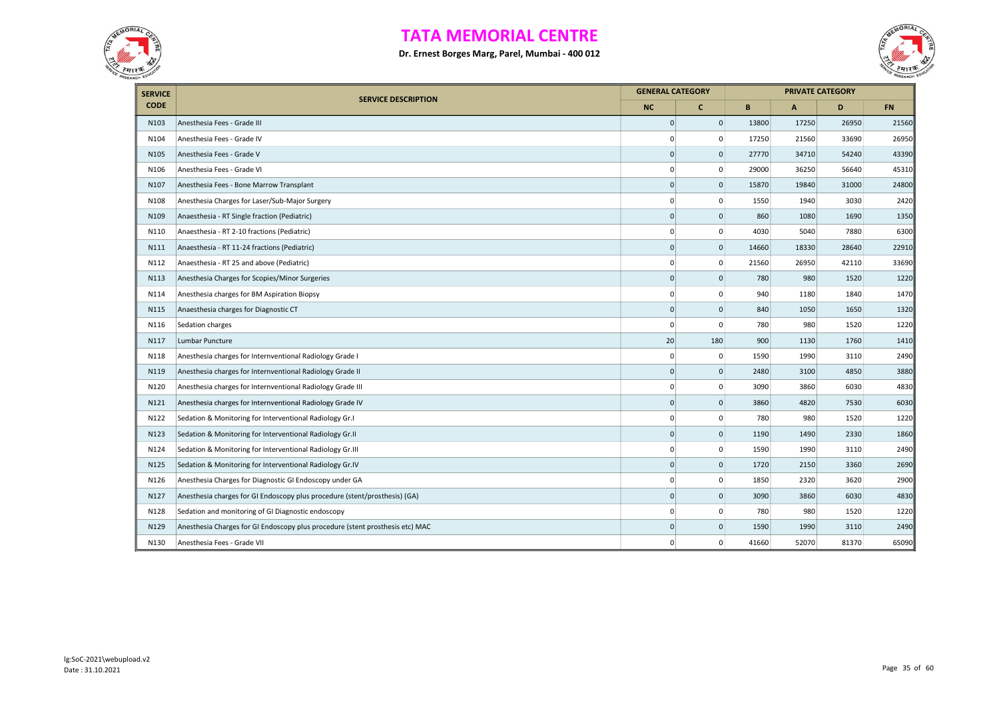



| <b>SERVICE</b> | <b>SERVICE DESCRIPTION</b>                                                    |                     | <b>GENERAL CATEGORY</b> |       | <b>PRIVATE CATEGORY</b> |       |           |
|----------------|-------------------------------------------------------------------------------|---------------------|-------------------------|-------|-------------------------|-------|-----------|
| <b>CODE</b>    |                                                                               | <b>NC</b>           | c                       | B     | $\mathbf{A}$            | D     | <b>FN</b> |
| N103           | Anesthesia Fees - Grade III                                                   | $\mathsf{O}\xspace$ | $\mathbf{0}$            | 13800 | 17250                   | 26950 | 21560     |
| N104           | Anesthesia Fees - Grade IV                                                    | $\mathbf 0$         | 0                       | 17250 | 21560                   | 33690 | 26950     |
| N105           | Anesthesia Fees - Grade V                                                     | $\Omega$            | $\mathbf 0$             | 27770 | 34710                   | 54240 | 43390     |
| N106           | Anesthesia Fees - Grade VI                                                    | $\mathbf 0$         | 0                       | 29000 | 36250                   | 56640 | 45310     |
| N107           | Anesthesia Fees - Bone Marrow Transplant                                      | $\mathbf 0$         | $\mathbf 0$             | 15870 | 19840                   | 31000 | 24800     |
| N108           | Anesthesia Charges for Laser/Sub-Major Surgery                                | $\mathbf 0$         | 0                       | 1550  | 1940                    | 3030  | 2420      |
| N109           | Anaesthesia - RT Single fraction (Pediatric)                                  | $\Omega$            | $\mathbf 0$             | 860   | 1080                    | 1690  | 1350      |
| N110           | Anaesthesia - RT 2-10 fractions (Pediatric)                                   | $\mathbf 0$         | 0                       | 4030  | 5040                    | 7880  | 6300      |
| N111           | Anaesthesia - RT 11-24 fractions (Pediatric)                                  | $\mathbf 0$         | $\mathsf{O}\xspace$     | 14660 | 18330                   | 28640 | 22910     |
| N112           | Anaesthesia - RT 25 and above (Pediatric)                                     | $\mathbf 0$         | 0                       | 21560 | 26950                   | 42110 | 33690     |
| N113           | Anesthesia Charges for Scopies/Minor Surgeries                                | $\mathbf 0$         | $\mathbf 0$             | 780   | 980                     | 1520  | 1220      |
| N114           | Anesthesia charges for BM Aspiration Biopsy                                   | 0                   | 0                       | 940   | 1180                    | 1840  | 1470      |
| N115           | Anaesthesia charges for Diagnostic CT                                         | $\mathsf{O}\xspace$ | $\mathbf 0$             | 840   | 1050                    | 1650  | 1320      |
| N116           | Sedation charges                                                              | $\mathbf 0$         | $\mathbf 0$             | 780   | 980                     | 1520  | 1220      |
| N117           | Lumbar Puncture                                                               | 20                  | 180                     | 900   | 1130                    | 1760  | 1410      |
| N118           | Anesthesia charges for Internventional Radiology Grade I                      | $\mathbf 0$         | 0                       | 1590  | 1990                    | 3110  | 2490      |
| N119           | Anesthesia charges for Internventional Radiology Grade II                     | $\mathbf 0$         | $\mathsf{O}\xspace$     | 2480  | 3100                    | 4850  | 3880      |
| N120           | Anesthesia charges for Internventional Radiology Grade III                    | $\mathbf 0$         | 0                       | 3090  | 3860                    | 6030  | 4830      |
| N121           | Anesthesia charges for Internventional Radiology Grade IV                     | $\mathbf 0$         | 0                       | 3860  | 4820                    | 7530  | 6030      |
| N122           | Sedation & Monitoring for Interventional Radiology Gr.I                       | $\Omega$            | 0                       | 780   | 980                     | 1520  | 1220      |
| N123           | Sedation & Monitoring for Interventional Radiology Gr.II                      | $\mathbf 0$         | $\mathbf 0$             | 1190  | 1490                    | 2330  | 1860      |
| N124           | Sedation & Monitoring for Interventional Radiology Gr.III                     | $\mathbf 0$         | 0                       | 1590  | 1990                    | 3110  | 2490      |
| N125           | Sedation & Monitoring for Interventional Radiology Gr.IV                      | $\Omega$            | $\mathbf 0$             | 1720  | 2150                    | 3360  | 2690      |
| N126           | Anesthesia Charges for Diagnostic GI Endoscopy under GA                       | $\mathbf 0$         | $\mathbf 0$             | 1850  | 2320                    | 3620  | 2900      |
| N127           | Anesthesia charges for GI Endoscopy plus procedure (stent/prosthesis) (GA)    | $\Omega$            | $\mathsf{O}\xspace$     | 3090  | 3860                    | 6030  | 4830      |
| N128           | Sedation and monitoring of GI Diagnostic endoscopy                            | $\Omega$            | 0                       | 780   | 980                     | 1520  | 1220      |
| N129           | Anesthesia Charges for GI Endoscopy plus procedure (stent prosthesis etc) MAC | $\mathbf 0$         | $\mathbf{0}$            | 1590  | 1990                    | 3110  | 2490      |
| N130           | Anesthesia Fees - Grade VII                                                   | $\mathbf 0$         | 0                       | 41660 | 52070                   | 81370 | 65090     |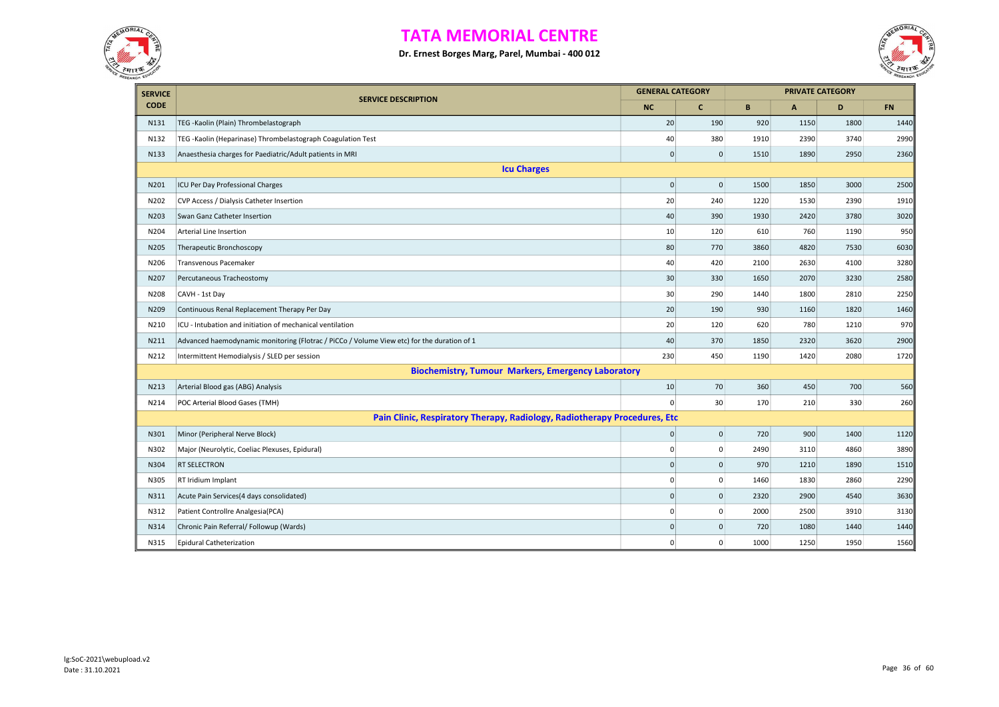



| <b>SERVICE</b> |                                                                                            | <b>GENERAL CATEGORY</b> |                 |      |              | <b>PRIVATE CATEGORY</b> |           |
|----------------|--------------------------------------------------------------------------------------------|-------------------------|-----------------|------|--------------|-------------------------|-----------|
| <b>CODE</b>    | <b>SERVICE DESCRIPTION</b>                                                                 | <b>NC</b>               | $\mathbf{C}$    | B    | $\mathsf{A}$ | D                       | <b>FN</b> |
| N131           | TEG - Kaolin (Plain) Thrombelastograph                                                     | 20                      | 190             | 920  | 1150         | 1800                    | 1440      |
| N132           | TEG - Kaolin (Heparinase) Thrombelastograph Coagulation Test                               | 40                      | 380             | 1910 | 2390         | 3740                    | 2990      |
| N133           | Anaesthesia charges for Paediatric/Adult patients in MRI                                   | $\mathbf 0$             | $\mathbf{0}$    | 1510 | 1890         | 2950                    | 2360      |
|                | <b>Icu Charges</b>                                                                         |                         |                 |      |              |                         |           |
| N201           | ICU Per Day Professional Charges                                                           | $\pmb{0}$               | $\vert 0 \vert$ | 1500 | 1850         | 3000                    | 2500      |
| N202           | CVP Access / Dialysis Catheter Insertion                                                   | 20                      | 240             | 1220 | 1530         | 2390                    | 1910      |
| N203           | Swan Ganz Catheter Insertion                                                               | 40                      | 390             | 1930 | 2420         | 3780                    | 3020      |
| N204           | Arterial Line Insertion                                                                    | 10                      | 120             | 610  | 760          | 1190                    | 950       |
| N205           | Therapeutic Bronchoscopy                                                                   | 80                      | 770             | 3860 | 4820         | 7530                    | 6030      |
| N206           | Transvenous Pacemaker                                                                      | 40                      | 420             | 2100 | 2630         | 4100                    | 3280      |
| N207           | Percutaneous Tracheostomy                                                                  | 30                      | 330             | 1650 | 2070         | 3230                    | 2580      |
| N208           | CAVH - 1st Day                                                                             | 30                      | 290             | 1440 | 1800         | 2810                    | 2250      |
| N209           | Continuous Renal Replacement Therapy Per Day                                               | 20                      | 190             | 930  | 1160         | 1820                    | 1460      |
| N210           | ICU - Intubation and initiation of mechanical ventilation                                  | 20                      | 120             | 620  | 780          | 1210                    | 970       |
| N211           | Advanced haemodynamic monitoring (Flotrac / PiCCo / Volume View etc) for the duration of 1 | 40                      | 370             | 1850 | 2320         | 3620                    | 2900      |
| N212           | Intermittent Hemodialysis / SLED per session                                               | 230                     | 450             | 1190 | 1420         | 2080                    | 1720      |
|                | <b>Biochemistry, Tumour Markers, Emergency Laboratory</b>                                  |                         |                 |      |              |                         |           |
| N213           | Arterial Blood gas (ABG) Analysis                                                          | 10                      | 70              | 360  | 450          | 700                     | 560       |
| N214           | POC Arterial Blood Gases (TMH)                                                             | $\Omega$                | 30 <sup>°</sup> | 170  | 210          | 330                     | 260       |
|                | Pain Clinic, Respiratory Therapy, Radiology, Radiotherapy Procedures, Etc                  |                         |                 |      |              |                         |           |
| N301           | Minor (Peripheral Nerve Block)                                                             | $\mathbf 0$             | $\mathbf{0}$    | 720  | 900          | 1400                    | 1120      |
| N302           | Major (Neurolytic, Coeliac Plexuses, Epidural)                                             | $\Omega$                | $\overline{0}$  | 2490 | 3110         | 4860                    | 3890      |
| N304           | <b>RT SELECTRON</b>                                                                        | $\mathbf 0$             | $\overline{0}$  | 970  | 1210         | 1890                    | 1510      |
| N305           | RT Iridium Implant                                                                         | 0                       | $\mathbf{0}$    | 1460 | 1830         | 2860                    | 2290      |
| N311           | Acute Pain Services(4 days consolidated)                                                   | $\mathbf 0$             | $\mathbf 0$     | 2320 | 2900         | 4540                    | 3630      |
| N312           | Patient Controllre Analgesia(PCA)                                                          | $\Omega$                | 0               | 2000 | 2500         | 3910                    | 3130      |
| N314           | Chronic Pain Referral/ Followup (Wards)                                                    | $\mathbf{0}$            | $\mathbf{0}$    | 720  | 1080         | 1440                    | 1440      |
| N315           | <b>Epidural Catheterization</b>                                                            | 0                       | 0               | 1000 | 1250         | 1950                    | 1560      |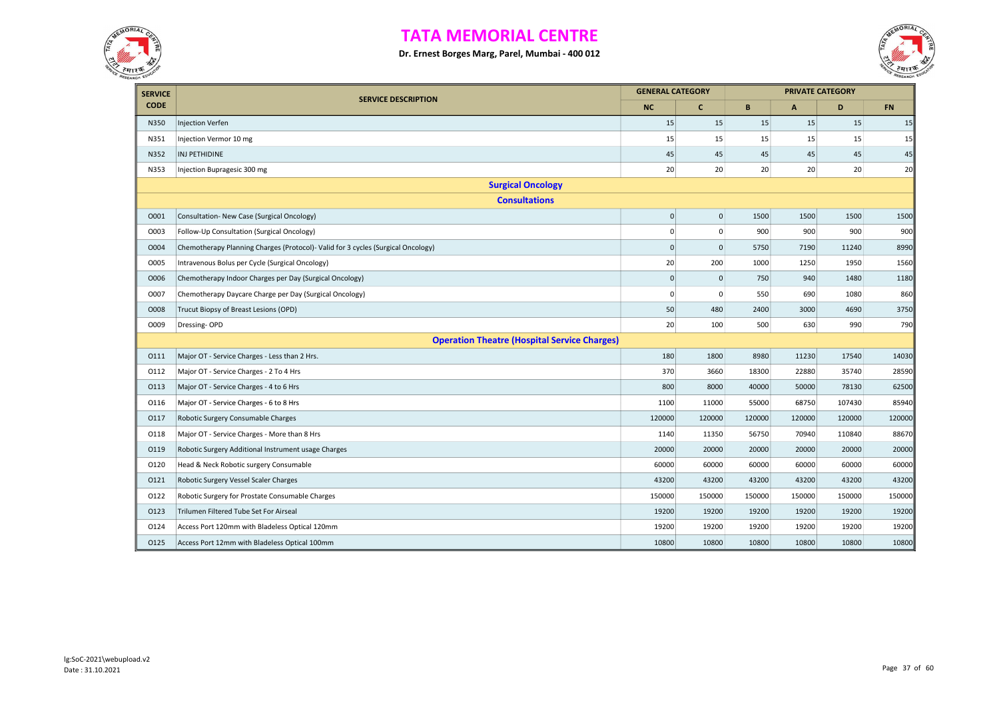



| <b>SERVICE</b> |                                                                                  | <b>GENERAL CATEGORY</b> |                |        |              | <b>PRIVATE CATEGORY</b> |           |  |  |  |
|----------------|----------------------------------------------------------------------------------|-------------------------|----------------|--------|--------------|-------------------------|-----------|--|--|--|
| <b>CODE</b>    | <b>SERVICE DESCRIPTION</b>                                                       | <b>NC</b>               | c              | B      | $\mathbf{A}$ | D                       | <b>FN</b> |  |  |  |
| N350           | <b>Injection Verfen</b>                                                          | 15                      | 15             | 15     | 15           | 15                      | 15        |  |  |  |
| N351           | Injection Vermor 10 mg                                                           | 15                      | 15             | 15     | 15           | 15                      | 15        |  |  |  |
| N352           | INJ PETHIDINE                                                                    | 45                      | 45             | 45     | 45           | 45                      | 45        |  |  |  |
| N353           | Injection Bupragesic 300 mg                                                      | 20                      | 20             | 20     | 20           | 20                      | 20        |  |  |  |
|                | <b>Surgical Oncology</b>                                                         |                         |                |        |              |                         |           |  |  |  |
|                | <b>Consultations</b>                                                             |                         |                |        |              |                         |           |  |  |  |
| 0001           | Consultation- New Case (Surgical Oncology)                                       | $\pmb{0}$               | $\overline{0}$ | 1500   | 1500         | 1500                    | 1500      |  |  |  |
| 0003           | Follow-Up Consultation (Surgical Oncology)                                       | 0                       | $\mathsf 0$    | 900    | 900          | 900                     | 900       |  |  |  |
| O004           | Chemotherapy Planning Charges (Protocol)- Valid for 3 cycles (Surgical Oncology) | $\mathsf{O}\xspace$     | $\mathbf 0$    | 5750   | 7190         | 11240                   | 8990      |  |  |  |
| O005           | Intravenous Bolus per Cycle (Surgical Oncology)                                  | 20                      | 200            | 1000   | 1250         | 1950                    | 1560      |  |  |  |
| O006           | Chemotherapy Indoor Charges per Day (Surgical Oncology)                          | $\pmb{0}$               | $\mathsf 0$    | 750    | 940          | 1480                    | 1180      |  |  |  |
| O007           | Chemotherapy Daycare Charge per Day (Surgical Oncology)                          | $\mathbf 0$             | $\mathsf 0$    | 550    | 690          | 1080                    | 860       |  |  |  |
| O008           | Trucut Biopsy of Breast Lesions (OPD)                                            | 50                      | 480            | 2400   | 3000         | 4690                    | 3750      |  |  |  |
| O009           | Dressing-OPD                                                                     | 20                      | 100            | 500    | 630          | 990                     | 790       |  |  |  |
|                | <b>Operation Theatre (Hospital Service Charges)</b>                              |                         |                |        |              |                         |           |  |  |  |
| 0111           | Major OT - Service Charges - Less than 2 Hrs.                                    | 180                     | 1800           | 8980   | 11230        | 17540                   | 14030     |  |  |  |
| 0112           | Major OT - Service Charges - 2 To 4 Hrs                                          | 370                     | 3660           | 18300  | 22880        | 35740                   | 28590     |  |  |  |
| 0113           | Major OT - Service Charges - 4 to 6 Hrs                                          | 800                     | 8000           | 40000  | 50000        | 78130                   | 62500     |  |  |  |
| 0116           | Major OT - Service Charges - 6 to 8 Hrs                                          | 1100                    | 11000          | 55000  | 68750        | 107430                  | 85940     |  |  |  |
| 0117           | Robotic Surgery Consumable Charges                                               | 120000                  | 120000         | 120000 | 120000       | 120000                  | 120000    |  |  |  |
| 0118           | Major OT - Service Charges - More than 8 Hrs                                     | 1140                    | 11350          | 56750  | 70940        | 110840                  | 88670     |  |  |  |
| 0119           | Robotic Surgery Additional Instrument usage Charges                              | 20000                   | 20000          | 20000  | 20000        | 20000                   | 20000     |  |  |  |
| 0120           | Head & Neck Robotic surgery Consumable                                           | 60000                   | 60000          | 60000  | 60000        | 60000                   | 60000     |  |  |  |
| 0121           | Robotic Surgery Vessel Scaler Charges                                            | 43200                   | 43200          | 43200  | 43200        | 43200                   | 43200     |  |  |  |
| 0122           | Robotic Surgery for Prostate Consumable Charges                                  | 150000                  | 150000         | 150000 | 150000       | 150000                  | 150000    |  |  |  |
| 0123           | Trilumen Filtered Tube Set For Airseal                                           | 19200                   | 19200          | 19200  | 19200        | 19200                   | 19200     |  |  |  |
| 0124           | Access Port 120mm with Bladeless Optical 120mm                                   | 19200                   | 19200          | 19200  | 19200        | 19200                   | 19200     |  |  |  |
| 0125           | Access Port 12mm with Bladeless Optical 100mm                                    | 10800                   | 10800          | 10800  | 10800        | 10800                   | 10800     |  |  |  |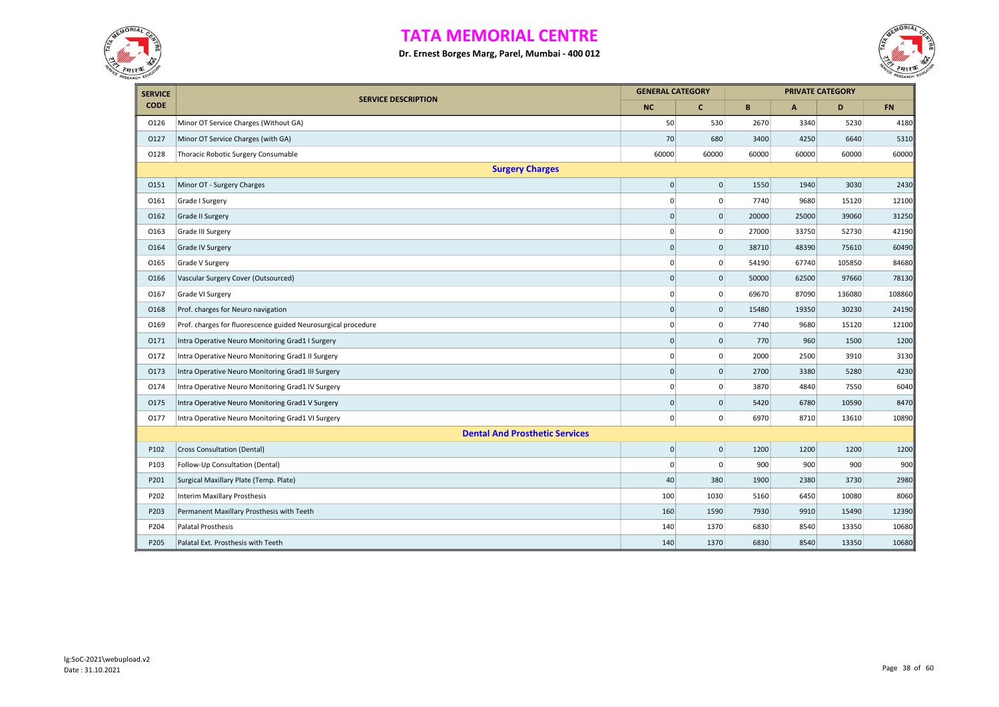



| <b>SERVICE</b> |                                                               | <b>GENERAL CATEGORY</b> |                     |       |              | <b>PRIVATE CATEGORY</b> |           |
|----------------|---------------------------------------------------------------|-------------------------|---------------------|-------|--------------|-------------------------|-----------|
| <b>CODE</b>    | <b>SERVICE DESCRIPTION</b>                                    | NC                      | $\mathbf{C}$        | B     | $\mathbf{A}$ | D                       | <b>FN</b> |
| 0126           | Minor OT Service Charges (Without GA)                         | 50                      | 530                 | 2670  | 3340         | 5230                    | 4180      |
| 0127           | Minor OT Service Charges (with GA)                            | 70                      | 680                 | 3400  | 4250         | 6640                    | 5310      |
| 0128           | Thoracic Robotic Surgery Consumable                           | 60000                   | 60000               | 60000 | 60000        | 60000                   | 60000     |
|                | <b>Surgery Charges</b>                                        |                         |                     |       |              |                         |           |
| 0151           | Minor OT - Surgery Charges                                    | $\pmb{0}$               | $\pmb{0}$           | 1550  | 1940         | 3030                    | 2430      |
| 0161           | Grade I Surgery                                               | $\mathbf 0$             | $\pmb{0}$           | 7740  | 9680         | 15120                   | 12100     |
| 0162           | Grade II Surgery                                              | $\mathbf 0$             | $\mathsf{O}\xspace$ | 20000 | 25000        | 39060                   | 31250     |
| 0163           | Grade III Surgery                                             | $\mathbf 0$             | 0                   | 27000 | 33750        | 52730                   | 42190     |
| 0164           | Grade IV Surgery                                              | $\mathbf 0$             | $\pmb{0}$           | 38710 | 48390        | 75610                   | 60490     |
| 0165           | Grade V Surgery                                               | $\mathbf 0$             | 0                   | 54190 | 67740        | 105850                  | 84680     |
| 0166           | Vascular Surgery Cover (Outsourced)                           | $\mathbf 0$             | $\mathbf 0$         | 50000 | 62500        | 97660                   | 78130     |
| 0167           | Grade VI Surgery                                              | $\mathbf 0$             | $\mathbf 0$         | 69670 | 87090        | 136080                  | 108860    |
| 0168           | Prof. charges for Neuro navigation                            | $\mathbf 0$             | $\mathsf 0$         | 15480 | 19350        | 30230                   | 24190     |
| 0169           | Prof. charges for fluorescence guided Neurosurgical procedure | $\mathbf 0$             | 0                   | 7740  | 9680         | 15120                   | 12100     |
| 0171           | Intra Operative Neuro Monitoring Grad1 I Surgery              | $\mathbf 0$             | $\mathsf 0$         | 770   | 960          | 1500                    | 1200      |
| 0172           | Intra Operative Neuro Monitoring Grad1 II Surgery             | $\mathbf 0$             | 0                   | 2000  | 2500         | 3910                    | 3130      |
| 0173           | Intra Operative Neuro Monitoring Grad1 III Surgery            | $\mathbf 0$             | $\mathbf{0}$        | 2700  | 3380         | 5280                    | 4230      |
| 0174           | Intra Operative Neuro Monitoring Grad1 IV Surgery             | $\mathbf 0$             | 0                   | 3870  | 4840         | 7550                    | 6040      |
| 0175           | Intra Operative Neuro Monitoring Grad1 V Surgery              | $\mathbf 0$             | $\mathsf 0$         | 5420  | 6780         | 10590                   | 8470      |
| 0177           | Intra Operative Neuro Monitoring Grad1 VI Surgery             | $\mathbf 0$             | 0                   | 6970  | 8710         | 13610                   | 10890     |
|                | <b>Dental And Prosthetic Services</b>                         |                         |                     |       |              |                         |           |
| P102           | Cross Consultation (Dental)                                   | $\mathbf 0$             | $\mathsf 0$         | 1200  | 1200         | 1200                    | 1200      |
| P103           | Follow-Up Consultation (Dental)                               | $\mathbf 0$             | 0                   | 900   | 900          | 900                     | 900       |
| P201           | Surgical Maxillary Plate (Temp. Plate)                        | 40                      | 380                 | 1900  | 2380         | 3730                    | 2980      |
| P202           | <b>Interim Maxillary Prosthesis</b>                           | 100                     | 1030                | 5160  | 6450         | 10080                   | 8060      |
| P203           | Permanent Maxillary Prosthesis with Teeth                     | 160                     | 1590                | 7930  | 9910         | 15490                   | 12390     |
| P204           | Palatal Prosthesis                                            | 140                     | 1370                | 6830  | 8540         | 13350                   | 10680     |
| P205           | Palatal Ext. Prosthesis with Teeth                            | 140                     | 1370                | 6830  | 8540         | 13350                   | 10680     |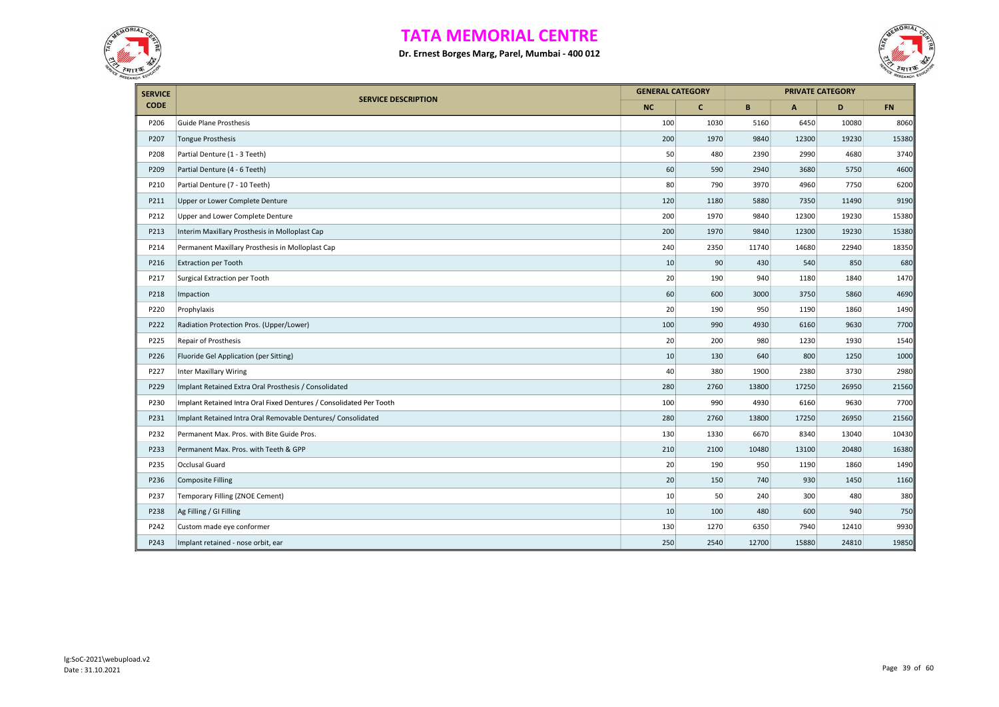



| <b>SERVICE</b> |                                                                     | <b>GENERAL CATEGORY</b> |              |       |              | <b>PRIVATE CATEGORY</b> |           |
|----------------|---------------------------------------------------------------------|-------------------------|--------------|-------|--------------|-------------------------|-----------|
| <b>CODE</b>    | <b>SERVICE DESCRIPTION</b>                                          | <b>NC</b>               | $\mathbf{C}$ | B     | $\mathbf{A}$ | D                       | <b>FN</b> |
| P206           | Guide Plane Prosthesis                                              | 100                     | 1030         | 5160  | 6450         | 10080                   | 8060      |
| P207           | Tongue Prosthesis                                                   | 200                     | 1970         | 9840  | 12300        | 19230                   | 15380     |
| P208           | Partial Denture (1 - 3 Teeth)                                       | 50                      | 480          | 2390  | 2990         | 4680                    | 3740      |
| P209           | Partial Denture (4 - 6 Teeth)                                       | 60                      | 590          | 2940  | 3680         | 5750                    | 4600      |
| P210           | Partial Denture (7 - 10 Teeth)                                      | 80                      | 790          | 3970  | 4960         | 7750                    | 6200      |
| P211           | Upper or Lower Complete Denture                                     | 120                     | 1180         | 5880  | 7350         | 11490                   | 9190      |
| P212           | Upper and Lower Complete Denture                                    | 200                     | 1970         | 9840  | 12300        | 19230                   | 15380     |
| P213           | Interim Maxillary Prosthesis in Molloplast Cap                      | 200                     | 1970         | 9840  | 12300        | 19230                   | 15380     |
| P214           | Permanent Maxillary Prosthesis in Molloplast Cap                    | 240                     | 2350         | 11740 | 14680        | 22940                   | 18350     |
| P216           | <b>Extraction per Tooth</b>                                         | 10                      | 90           | 430   | 540          | 850                     | 680       |
| P217           | Surgical Extraction per Tooth                                       | 20                      | 190          | 940   | 1180         | 1840                    | 1470      |
| P218           | Impaction                                                           | 60                      | 600          | 3000  | 3750         | 5860                    | 4690      |
| P220           | Prophylaxis                                                         | 20                      | 190          | 950   | 1190         | 1860                    | 1490      |
| P222           | Radiation Protection Pros. (Upper/Lower)                            | 100                     | 990          | 4930  | 6160         | 9630                    | 7700      |
| P225           | Repair of Prosthesis                                                | 20                      | 200          | 980   | 1230         | 1930                    | 1540      |
| P226           | Fluoride Gel Application (per Sitting)                              | 10                      | 130          | 640   | 800          | 1250                    | 1000      |
| P227           | <b>Inter Maxillary Wiring</b>                                       | 40                      | 380          | 1900  | 2380         | 3730                    | 2980      |
| P229           | Implant Retained Extra Oral Prosthesis / Consolidated               | 280                     | 2760         | 13800 | 17250        | 26950                   | 21560     |
| P230           | Implant Retained Intra Oral Fixed Dentures / Consolidated Per Tooth | 100                     | 990          | 4930  | 6160         | 9630                    | 7700      |
| P231           | Implant Retained Intra Oral Removable Dentures/ Consolidated        | 280                     | 2760         | 13800 | 17250        | 26950                   | 21560     |
| P232           | Permanent Max. Pros. with Bite Guide Pros.                          | 130                     | 1330         | 6670  | 8340         | 13040                   | 10430     |
| P233           | Permanent Max. Pros. with Teeth & GPP                               | 210                     | 2100         | 10480 | 13100        | 20480                   | 16380     |
| P235           | Occlusal Guard                                                      | 20                      | 190          | 950   | 1190         | 1860                    | 1490      |
| P236           | <b>Composite Filling</b>                                            | 20                      | 150          | 740   | 930          | 1450                    | 1160      |
| P237           | Temporary Filling (ZNOE Cement)                                     | 10                      | 50           | 240   | 300          | 480                     | 380       |
| P238           | Ag Filling / GI Filling                                             | 10                      | 100          | 480   | 600          | 940                     | 750       |
| P242           | Custom made eye conformer                                           | 130                     | 1270         | 6350  | 7940         | 12410                   | 9930      |
| P243           | Implant retained - nose orbit, ear                                  | 250                     | 2540         | 12700 | 15880        | 24810                   | 19850     |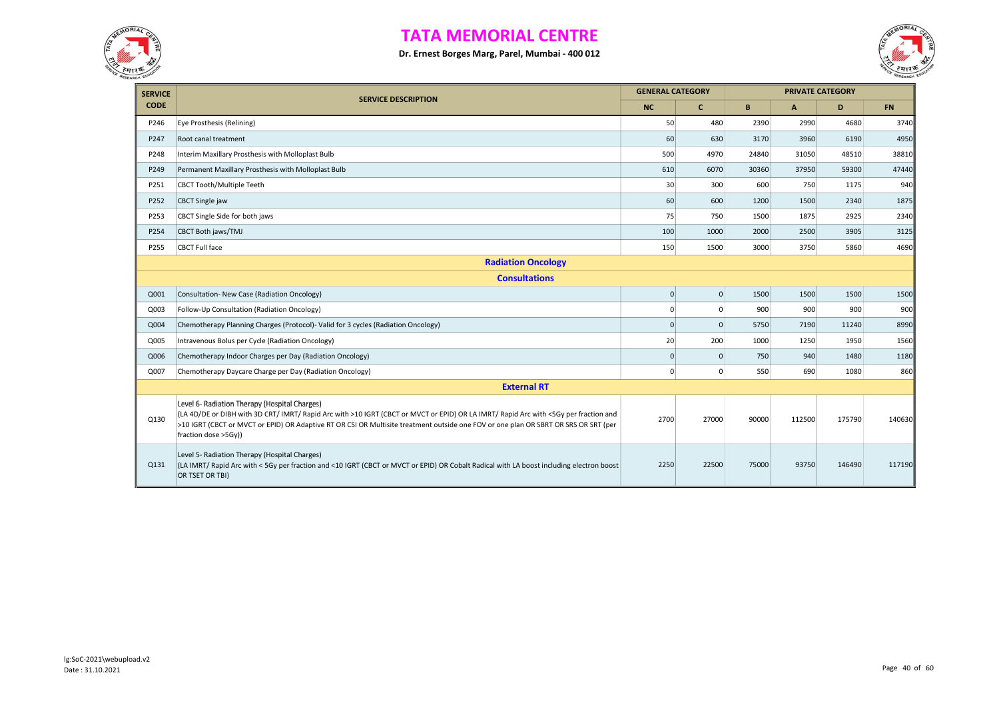



| <b>SERVICE</b> |                                                                                                                                                                                                                                                                                                                                                      | <b>GENERAL CATEGORY</b> |                |       |        | <b>PRIVATE CATEGORY</b> |           |  |  |  |  |
|----------------|------------------------------------------------------------------------------------------------------------------------------------------------------------------------------------------------------------------------------------------------------------------------------------------------------------------------------------------------------|-------------------------|----------------|-------|--------|-------------------------|-----------|--|--|--|--|
| <b>CODE</b>    | <b>SERVICE DESCRIPTION</b>                                                                                                                                                                                                                                                                                                                           | <b>NC</b>               | $\mathbf{C}$   | B     | A      | D                       | <b>FN</b> |  |  |  |  |
| P246           | Eye Prosthesis (Relining)                                                                                                                                                                                                                                                                                                                            | 50                      | 480            | 2390  | 2990   | 4680                    | 3740      |  |  |  |  |
| P247           | Root canal treatment                                                                                                                                                                                                                                                                                                                                 | 60                      | 630            | 3170  | 3960   | 6190                    | 4950      |  |  |  |  |
| P248           | Interim Maxillary Prosthesis with Molloplast Bulb                                                                                                                                                                                                                                                                                                    | 500                     | 4970           | 24840 | 31050  | 48510                   | 38810     |  |  |  |  |
| P249           | Permanent Maxillary Prosthesis with Molloplast Bulb                                                                                                                                                                                                                                                                                                  | 610                     | 6070           | 30360 | 37950  | 59300                   | 47440     |  |  |  |  |
| P251           | <b>CBCT Tooth/Multiple Teeth</b>                                                                                                                                                                                                                                                                                                                     | 30                      | 300            | 600   | 750    | 1175                    | 940       |  |  |  |  |
| P252           | <b>CBCT Single jaw</b>                                                                                                                                                                                                                                                                                                                               | 60                      | 600            | 1200  | 1500   | 2340                    | 1875      |  |  |  |  |
| P253           | CBCT Single Side for both jaws                                                                                                                                                                                                                                                                                                                       | 75                      | 750            | 1500  | 1875   | 2925                    | 2340      |  |  |  |  |
| P254           | CBCT Both jaws/TMJ                                                                                                                                                                                                                                                                                                                                   | 100                     | 1000           | 2000  | 2500   | 3905                    | 3125      |  |  |  |  |
| P255           | <b>CBCT Full face</b>                                                                                                                                                                                                                                                                                                                                | 150                     | 1500           | 3000  | 3750   | 5860                    | 4690      |  |  |  |  |
|                | <b>Radiation Oncology</b>                                                                                                                                                                                                                                                                                                                            |                         |                |       |        |                         |           |  |  |  |  |
|                | <b>Consultations</b>                                                                                                                                                                                                                                                                                                                                 |                         |                |       |        |                         |           |  |  |  |  |
| Q001           | Consultation- New Case (Radiation Oncology)                                                                                                                                                                                                                                                                                                          | $\mathbf 0$             | $\mathbf 0$    | 1500  | 1500   | 1500                    | 1500      |  |  |  |  |
| Q003           | Follow-Up Consultation (Radiation Oncology)                                                                                                                                                                                                                                                                                                          | $\Omega$                | $\Omega$       | 900   | 900    | 900                     | 900       |  |  |  |  |
| Q004           | Chemotherapy Planning Charges (Protocol)- Valid for 3 cycles (Radiation Oncology)                                                                                                                                                                                                                                                                    | $\Omega$                | $\Omega$       | 5750  | 7190   | 11240                   | 8990      |  |  |  |  |
| Q005           | Intravenous Bolus per Cycle (Radiation Oncology)                                                                                                                                                                                                                                                                                                     | 20                      | 200            | 1000  | 1250   | 1950                    | 1560      |  |  |  |  |
| Q006           | Chemotherapy Indoor Charges per Day (Radiation Oncology)                                                                                                                                                                                                                                                                                             | $\mathbf{0}$            | $\mathbf 0$    | 750   | 940    | 1480                    | 1180      |  |  |  |  |
| Q007           | Chemotherapy Daycare Charge per Day (Radiation Oncology)                                                                                                                                                                                                                                                                                             | $\mathbf 0$             | $\overline{0}$ | 550   | 690    | 1080                    | 860       |  |  |  |  |
|                | <b>External RT</b>                                                                                                                                                                                                                                                                                                                                   |                         |                |       |        |                         |           |  |  |  |  |
| Q130           | Level 6- Radiation Therapy (Hospital Charges)<br>(LA 4D/DE or DIBH with 3D CRT/ IMRT/ Rapid Arc with >10 IGRT (CBCT or MVCT or EPID) OR LA IMRT/ Rapid Arc with <5Gy per fraction and<br>>10 IGRT (CBCT or MVCT or EPID) OR Adaptive RT OR CSI OR Multisite treatment outside one FOV or one plan OR SBRT OR SRS OR SRT (per<br>fraction dose >5Gy)) | 2700                    | 27000          | 90000 | 112500 | 175790                  | 140630    |  |  |  |  |
| Q131           | Level 5- Radiation Therapy (Hospital Charges)<br>(LA IMRT/ Rapid Arc with < 5Gy per fraction and <10 IGRT (CBCT or MVCT or EPID) OR Cobalt Radical with LA boost including electron boost<br>OR TSET OR TBI)                                                                                                                                         | 2250                    | 22500          | 75000 | 93750  | 146490                  | 117190    |  |  |  |  |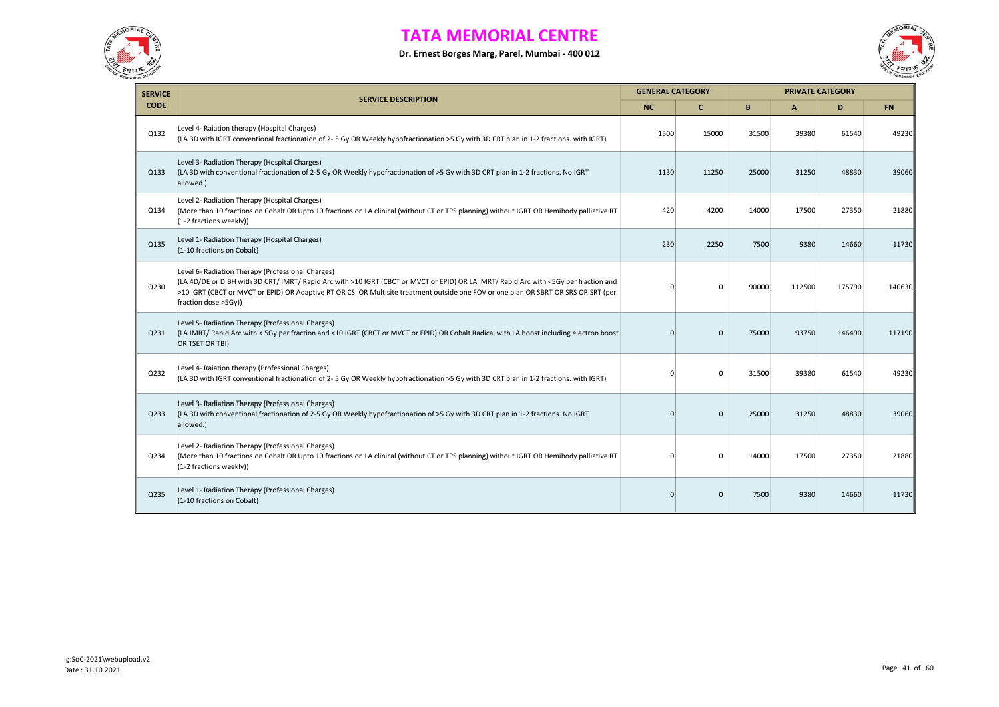



| <b>SERVICE</b> |                                                                                                                                                                                                                                                                                                                                                          | <b>GENERAL CATEGORY</b> |              |       |        | <b>PRIVATE CATEGORY</b> |           |
|----------------|----------------------------------------------------------------------------------------------------------------------------------------------------------------------------------------------------------------------------------------------------------------------------------------------------------------------------------------------------------|-------------------------|--------------|-------|--------|-------------------------|-----------|
| <b>CODE</b>    | <b>SERVICE DESCRIPTION</b>                                                                                                                                                                                                                                                                                                                               | NC.                     | $\mathbf{C}$ | B     | A      | D                       | <b>FN</b> |
| Q132           | Level 4- Raiation therapy (Hospital Charges)<br>(LA 3D with IGRT conventional fractionation of 2-5 Gy OR Weekly hypofractionation >5 Gy with 3D CRT plan in 1-2 fractions. with IGRT)                                                                                                                                                                    | 1500                    | 15000        | 31500 | 39380  | 61540                   | 49230     |
| Q133           | Level 3- Radiation Therapy (Hospital Charges)<br>(LA 3D with conventional fractionation of 2-5 Gy OR Weekly hypofractionation of >5 Gy with 3D CRT plan in 1-2 fractions. No IGRT<br>allowed.)                                                                                                                                                           | 1130                    | 11250        | 25000 | 31250  | 48830                   | 39060     |
| Q134           | Level 2- Radiation Therapy (Hospital Charges)<br>(More than 10 fractions on Cobalt OR Upto 10 fractions on LA clinical (without CT or TPS planning) without IGRT OR Hemibody palliative RT<br>(1-2 fractions weekly))                                                                                                                                    | 420                     | 4200         | 14000 | 17500  | 27350                   | 21880     |
| Q135           | Level 1- Radiation Therapy (Hospital Charges)<br>(1-10 fractions on Cobalt)                                                                                                                                                                                                                                                                              | 230                     | 2250         | 7500  | 9380   | 14660                   | 11730     |
| Q230           | Level 6- Radiation Therapy (Professional Charges)<br>(LA 4D/DE or DIBH with 3D CRT/ IMRT/ Rapid Arc with >10 IGRT (CBCT or MVCT or EPID) OR LA IMRT/ Rapid Arc with <5Gy per fraction and<br>>10 IGRT (CBCT or MVCT or EPID) OR Adaptive RT OR CSI OR Multisite treatment outside one FOV or one plan OR SBRT OR SRS OR SRT (per<br>fraction dose >5Gy)) | $\Omega$                | $\Omega$     | 90000 | 112500 | 175790                  | 140630    |
| Q231           | Level 5- Radiation Therapy (Professional Charges)<br>(LA IMRT/ Rapid Arc with < 5Gy per fraction and <10 IGRT (CBCT or MVCT or EPID) OR Cobalt Radical with LA boost including electron boost<br>OR TSET OR TBI)                                                                                                                                         | $\Omega$                | $\Omega$     | 75000 | 93750  | 146490                  | 117190    |
| Q232           | Level 4- Raiation therapy (Professional Charges)<br>(LA 3D with IGRT conventional fractionation of 2-5 Gy OR Weekly hypofractionation >5 Gy with 3D CRT plan in 1-2 fractions. with IGRT)                                                                                                                                                                | $\Omega$                | $\Omega$     | 31500 | 39380  | 61540                   | 49230     |
| Q233           | Level 3- Radiation Therapy (Professional Charges)<br>(LA 3D with conventional fractionation of 2-5 Gy OR Weekly hypofractionation of >5 Gy with 3D CRT plan in 1-2 fractions. No IGRT<br>allowed.)                                                                                                                                                       | $\mathbf{0}$            | $\Omega$     | 25000 | 31250  | 48830                   | 39060     |
| Q234           | Level 2- Radiation Therapy (Professional Charges)<br>(More than 10 fractions on Cobalt OR Upto 10 fractions on LA clinical (without CT or TPS planning) without IGRT OR Hemibody palliative RT<br>(1-2 fractions weekly))                                                                                                                                | $\Omega$                | $\Omega$     | 14000 | 17500  | 27350                   | 21880     |
| Q235           | Level 1- Radiation Therapy (Professional Charges)<br>(1-10 fractions on Cobalt)                                                                                                                                                                                                                                                                          | $\mathbf{0}$            | $\mathbf{0}$ | 7500  | 9380   | 14660                   | 11730     |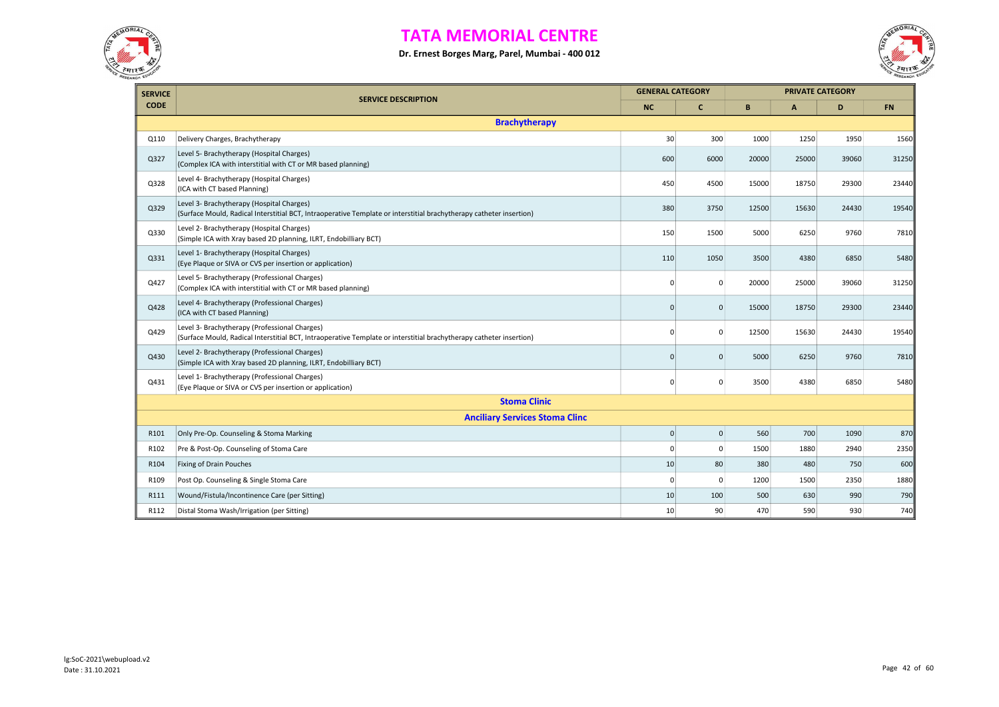



| <b>SERVICE</b>   |                                                                                                                                                                      | <b>GENERAL CATEGORY</b> |                |       |       | <b>PRIVATE CATEGORY</b> |           |
|------------------|----------------------------------------------------------------------------------------------------------------------------------------------------------------------|-------------------------|----------------|-------|-------|-------------------------|-----------|
| <b>CODE</b>      | <b>SERVICE DESCRIPTION</b>                                                                                                                                           | <b>NC</b>               | $\mathbf{C}$   | B     | A     | D                       | <b>FN</b> |
|                  | <b>Brachytherapy</b>                                                                                                                                                 |                         |                |       |       |                         |           |
| Q110             | Delivery Charges, Brachytherapy                                                                                                                                      | 30                      | 300            | 1000  | 1250  | 1950                    | 1560      |
| Q327             | Level 5- Brachytherapy (Hospital Charges)<br>(Complex ICA with interstitial with CT or MR based planning)                                                            | 600                     | 6000           | 20000 | 25000 | 39060                   | 31250     |
| Q328             | Level 4- Brachytherapy (Hospital Charges)<br>(ICA with CT based Planning)                                                                                            | 450                     | 4500           | 15000 | 18750 | 29300                   | 23440     |
| Q329             | Level 3- Brachytherapy (Hospital Charges)<br>(Surface Mould, Radical Interstitial BCT, Intraoperative Template or interstitial brachytherapy catheter insertion)     | 380                     | 3750           | 12500 | 15630 | 24430                   | 19540     |
| Q330             | Level 2- Brachytherapy (Hospital Charges)<br>(Simple ICA with Xray based 2D planning, ILRT, Endobilliary BCT)                                                        | 150                     | 1500           | 5000  | 6250  | 9760                    | 7810      |
| Q331             | Level 1- Brachytherapy (Hospital Charges)<br>(Eye Plaque or SIVA or CVS per insertion or application)                                                                | 110                     | 1050           | 3500  | 4380  | 6850                    | 5480      |
| Q427             | Level 5- Brachytherapy (Professional Charges)<br>(Complex ICA with interstitial with CT or MR based planning)                                                        | $\Omega$                | $\Omega$       | 20000 | 25000 | 39060                   | 31250     |
| Q428             | Level 4- Brachytherapy (Professional Charges)<br>(ICA with CT based Planning)                                                                                        | $\mathbf{0}$            | $\overline{0}$ | 15000 | 18750 | 29300                   | 23440     |
| Q429             | Level 3- Brachytherapy (Professional Charges)<br>(Surface Mould, Radical Interstitial BCT, Intraoperative Template or interstitial brachytherapy catheter insertion) | $\Omega$                | $\overline{0}$ | 12500 | 15630 | 24430                   | 19540     |
| Q430             | Level 2- Brachytherapy (Professional Charges)<br>(Simple ICA with Xray based 2D planning, ILRT, Endobilliary BCT)                                                    | $\mathbf{0}$            | $\Omega$       | 5000  | 6250  | 9760                    | 7810      |
| Q431             | Level 1- Brachytherapy (Professional Charges)<br>(Eye Plaque or SIVA or CVS per insertion or application)                                                            | 0                       | $\Omega$       | 3500  | 4380  | 6850                    | 5480      |
|                  | <b>Stoma Clinic</b>                                                                                                                                                  |                         |                |       |       |                         |           |
|                  | <b>Anciliary Services Stoma Clinc</b>                                                                                                                                |                         |                |       |       |                         |           |
| R <sub>101</sub> | Only Pre-Op. Counseling & Stoma Marking                                                                                                                              | $\pmb{0}$               | $\pmb{0}$      | 560   | 700   | 1090                    | 870       |
| R102             | Pre & Post-Op. Counseling of Stoma Care                                                                                                                              | $\Omega$                | $\mathbf 0$    | 1500  | 1880  | 2940                    | 2350      |
| R104             | <b>Fixing of Drain Pouches</b>                                                                                                                                       | 10                      | 80             | 380   | 480   | 750                     | 600       |
| R <sub>109</sub> | Post Op. Counseling & Single Stoma Care                                                                                                                              | $\Omega$                | $\Omega$       | 1200  | 1500  | 2350                    | 1880      |
| R111             | Wound/Fistula/Incontinence Care (per Sitting)                                                                                                                        | 10                      | 100            | 500   | 630   | 990                     | 790       |
| R112             | Distal Stoma Wash/Irrigation (per Sitting)                                                                                                                           | 10                      | 90             | 470   | 590   | 930                     | 740       |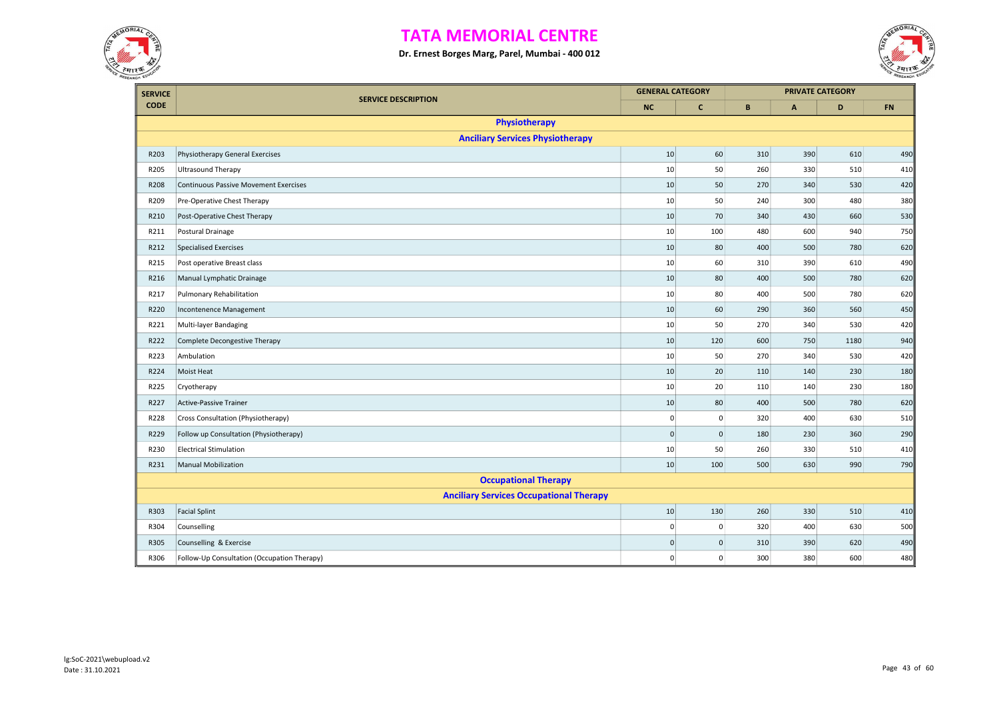



| <b>SERVICE</b> |                                                | <b>GENERAL CATEGORY</b> |              |              |              | <b>PRIVATE CATEGORY</b> |            |
|----------------|------------------------------------------------|-------------------------|--------------|--------------|--------------|-------------------------|------------|
| <b>CODE</b>    | <b>SERVICE DESCRIPTION</b>                     | <b>NC</b>               | $\mathbf{C}$ | $\mathbf{B}$ | $\mathsf{A}$ | D                       | ${\sf FN}$ |
|                | <b>Physiotherapy</b>                           |                         |              |              |              |                         |            |
|                | <b>Anciliary Services Physiotherapy</b>        |                         |              |              |              |                         |            |
| R203           | Physiotherapy General Exercises                | 10                      | 60           | 310          | 390          | 610                     | 490        |
| R205           | <b>Ultrasound Therapy</b>                      | 10                      | 50           | 260          | 330          | 510                     | 410        |
| R208           | <b>Continuous Passive Movement Exercises</b>   | 10                      | 50           | 270          | 340          | 530                     | 420        |
| R209           | Pre-Operative Chest Therapy                    | $10\,$                  | 50           | 240          | 300          | 480                     | 380        |
| R210           | Post-Operative Chest Therapy                   | 10                      | 70           | 340          | 430          | 660                     | 530        |
| R211           | Postural Drainage                              | 10                      | 100          | 480          | 600          | 940                     | 750        |
| R212           | <b>Specialised Exercises</b>                   | 10                      | 80           | 400          | 500          | 780                     | 620        |
| R215           | Post operative Breast class                    | 10                      | 60           | 310          | 390          | 610                     | 490        |
| R216           | Manual Lymphatic Drainage                      | 10                      | 80           | 400          | 500          | 780                     | 620        |
| R217           | Pulmonary Rehabilitation                       | 10                      | 80           | 400          | 500          | 780                     | 620        |
| R220           | Incontenence Management                        | 10                      | 60           | 290          | 360          | 560                     | 450        |
| R221           | Multi-layer Bandaging                          | 10                      | 50           | 270          | 340          | 530                     | 420        |
| R222           | Complete Decongestive Therapy                  | 10                      | 120          | 600          | 750          | 1180                    | 940        |
| R223           | Ambulation                                     | 10                      | 50           | 270          | 340          | 530                     | 420        |
| R224           | Moist Heat                                     | 10                      | 20           | 110          | 140          | 230                     | 180        |
| R225           | Cryotherapy                                    | 10                      | 20           | 110          | 140          | 230                     | 180        |
| R227           | <b>Active-Passive Trainer</b>                  | 10                      | 80           | 400          | 500          | 780                     | 620        |
| R228           | Cross Consultation (Physiotherapy)             | $\mathbf 0$             | $\mathbf 0$  | 320          | 400          | 630                     | 510        |
| R229           | Follow up Consultation (Physiotherapy)         | $\mathbf 0$             | $\mathbf 0$  | 180          | 230          | 360                     | 290        |
| R230           | <b>Electrical Stimulation</b>                  | 10                      | 50           | 260          | 330          | 510                     | 410        |
| R231           | <b>Manual Mobilization</b>                     | 10                      | 100          | 500          | 630          | 990                     | 790        |
|                | <b>Occupational Therapy</b>                    |                         |              |              |              |                         |            |
|                | <b>Anciliary Services Occupational Therapy</b> |                         |              |              |              |                         |            |
| R303           | <b>Facial Splint</b>                           | $10\,$                  | 130          | 260          | 330          | 510                     | 410        |
| R304           | Counselling                                    | $\mathbf 0$             | $\mathbf 0$  | 320          | 400          | 630                     | 500        |
| R305           | Counselling & Exercise                         | $\mathbf 0$             | $\mathbf 0$  | 310          | 390          | 620                     | 490        |
| R306           | Follow-Up Consultation (Occupation Therapy)    | $\mathbf 0$             | $\mathsf 0$  | 300          | 380          | 600                     | 480        |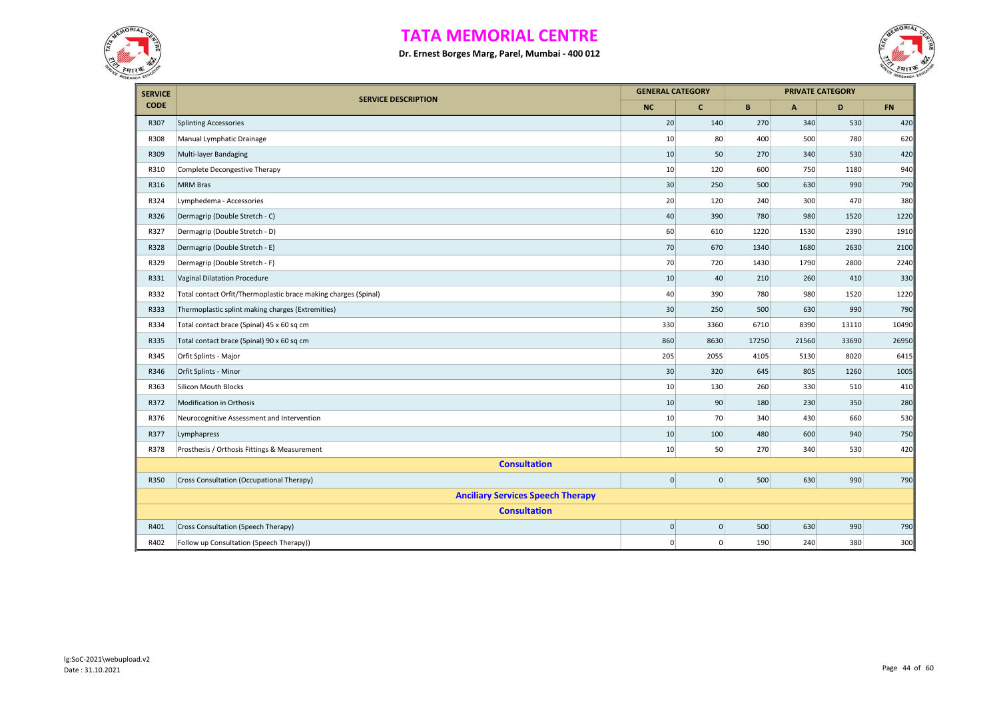



| <b>SERVICE</b> |                                                                 | <b>GENERAL CATEGORY</b> |                |       | <b>PRIVATE CATEGORY</b>   |       |           |
|----------------|-----------------------------------------------------------------|-------------------------|----------------|-------|---------------------------|-------|-----------|
| <b>CODE</b>    | <b>SERVICE DESCRIPTION</b>                                      | <b>NC</b>               | $\mathbf{C}$   | B     | $\boldsymbol{\mathsf{A}}$ | D     | <b>FN</b> |
| R307           | <b>Splinting Accessories</b>                                    | 20                      | 140            | 270   | 340                       | 530   | 420       |
| R308           | Manual Lymphatic Drainage                                       | 10                      | 80             | 400   | 500                       | 780   | 620       |
| R309           | Multi-layer Bandaging                                           | 10                      | 50             | 270   | 340                       | 530   | 420       |
| R310           | Complete Decongestive Therapy                                   | 10                      | 120            | 600   | 750                       | 1180  | 940       |
| R316           | <b>MRM Bras</b>                                                 | 30                      | 250            | 500   | 630                       | 990   | 790       |
| R324           | Lymphedema - Accessories                                        | 20                      | 120            | 240   | 300                       | 470   | 380       |
| R326           | Dermagrip (Double Stretch - C)                                  | 40                      | 390            | 780   | 980                       | 1520  | 1220      |
| R327           | Dermagrip (Double Stretch - D)                                  | 60                      | 610            | 1220  | 1530                      | 2390  | 1910      |
| R328           | Dermagrip (Double Stretch - E)                                  | 70                      | 670            | 1340  | 1680                      | 2630  | 2100      |
| R329           | Dermagrip (Double Stretch - F)                                  | 70                      | 720            | 1430  | 1790                      | 2800  | 2240      |
| R331           | Vaginal Dilatation Procedure                                    | 10                      | 40             | 210   | 260                       | 410   | 330       |
| R332           | Total contact Orfit/Thermoplastic brace making charges (Spinal) | 40                      | 390            | 780   | 980                       | 1520  | 1220      |
| R333           | Thermoplastic splint making charges (Extremities)               | 30                      | 250            | 500   | 630                       | 990   | 790       |
| R334           | Total contact brace (Spinal) 45 x 60 sq cm                      | 330                     | 3360           | 6710  | 8390                      | 13110 | 10490     |
| R335           | Total contact brace (Spinal) 90 x 60 sq cm                      | 860                     | 8630           | 17250 | 21560                     | 33690 | 26950     |
| R345           | Orfit Splints - Major                                           | 205                     | 2055           | 4105  | 5130                      | 8020  | 6415      |
| R346           | Orfit Splints - Minor                                           | 30                      | 320            | 645   | 805                       | 1260  | 1005      |
| R363           | <b>Silicon Mouth Blocks</b>                                     | 10                      | 130            | 260   | 330                       | 510   | 410       |
| R372           | Modification in Orthosis                                        | 10                      | 90             | 180   | 230                       | 350   | 280       |
| R376           | Neurocognitive Assessment and Intervention                      | 10                      | 70             | 340   | 430                       | 660   | 530       |
| R377           | Lymphapress                                                     | 10                      | 100            | 480   | 600                       | 940   | 750       |
| R378           | Prosthesis / Orthosis Fittings & Measurement                    | 10                      | 50             | 270   | 340                       | 530   | 420       |
|                | <b>Consultation</b>                                             |                         |                |       |                           |       |           |
| R350           | Cross Consultation (Occupational Therapy)                       | $\mathbf 0$             | $\overline{0}$ | 500   | 630                       | 990   | 790       |
|                | <b>Anciliary Services Speech Therapy</b>                        |                         |                |       |                           |       |           |
|                | <b>Consultation</b>                                             |                         |                |       |                           |       |           |
| R401           | Cross Consultation (Speech Therapy)                             | $\pmb{0}$               | $\overline{0}$ | 500   | 630                       | 990   | 790       |
| R402           | Follow up Consultation (Speech Therapy))                        | $\pmb{0}$               | $\overline{0}$ | 190   | 240                       | 380   | 300       |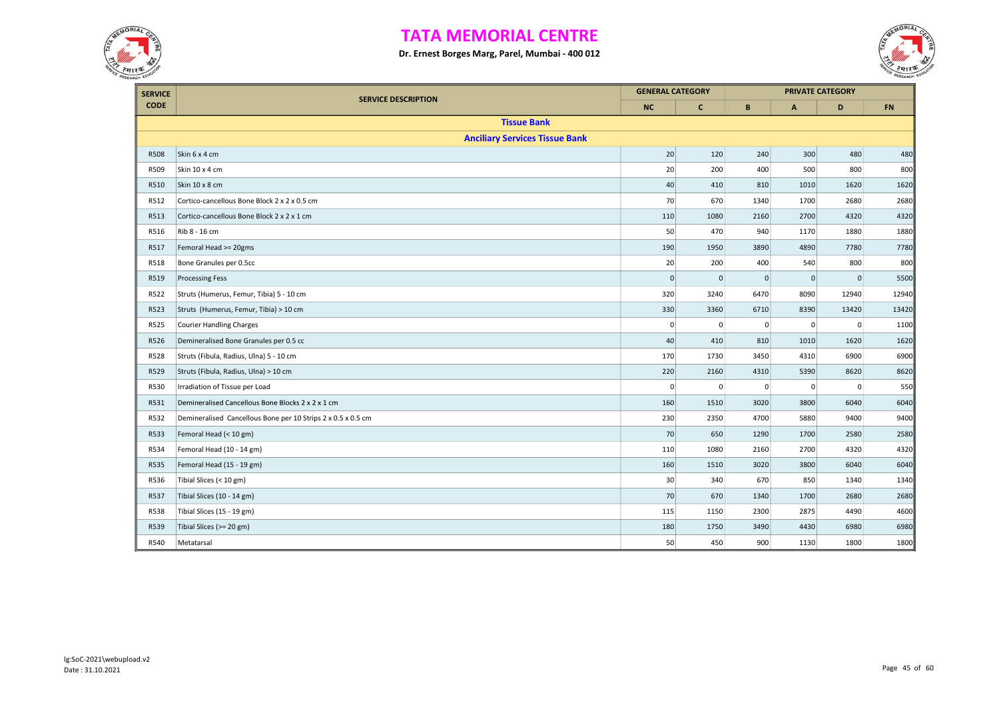



| <b>SERVICE</b> |                                                              | <b>GENERAL CATEGORY</b> |              |             |                | <b>PRIVATE CATEGORY</b> |       |
|----------------|--------------------------------------------------------------|-------------------------|--------------|-------------|----------------|-------------------------|-------|
| <b>CODE</b>    | <b>SERVICE DESCRIPTION</b>                                   | <b>NC</b>               | $\mathbf{C}$ | B           | $\mathsf{A}$   | D                       | FN    |
|                | <b>Tissue Bank</b>                                           |                         |              |             |                |                         |       |
|                | <b>Anciliary Services Tissue Bank</b>                        |                         |              |             |                |                         |       |
| <b>R508</b>    | Skin 6 x 4 cm                                                | 20                      | 120          | 240         | 300            | 480                     | 480   |
| R509           | Skin 10 x 4 cm                                               | 20                      | 200          | 400         | 500            | 800                     | 800   |
| R510           | Skin 10 x 8 cm                                               | 40                      | 410          | 810         | 1010           | 1620                    | 1620  |
| R512           | Cortico-cancellous Bone Block 2 x 2 x 0.5 cm                 | 70                      | 670          | 1340        | 1700           | 2680                    | 2680  |
| R513           | Cortico-cancellous Bone Block 2 x 2 x 1 cm                   | 110                     | 1080         | 2160        | 2700           | 4320                    | 4320  |
| R516           | Rib 8 - 16 cm                                                | 50                      | 470          | 940         | 1170           | 1880                    | 1880  |
| R517           | Femoral Head >= 20gms                                        | 190                     | 1950         | 3890        | 4890           | 7780                    | 7780  |
| R518           | Bone Granules per 0.5cc                                      | 20                      | 200          | 400         | 540            | 800                     | 800   |
| R519           | <b>Processing Fess</b>                                       | $\mathbf 0$             | $\mathbf 0$  | $\mathbf 0$ | $\overline{0}$ | $\mathbf 0$             | 5500  |
| R522           | Struts (Humerus, Femur, Tibia) 5 - 10 cm                     | 320                     | 3240         | 6470        | 8090           | 12940                   | 12940 |
| R523           | Struts (Humerus, Femur, Tibia) > 10 cm                       | 330                     | 3360         | 6710        | 8390           | 13420                   | 13420 |
| R525           | <b>Courier Handling Charges</b>                              | 0                       | 0            | 0           | 0              | $\mathbf 0$             | 1100  |
| R526           | Demineralised Bone Granules per 0.5 cc                       | 40                      | 410          | 810         | 1010           | 1620                    | 1620  |
| R528           | Struts (Fibula, Radius, Ulna) 5 - 10 cm                      | 170                     | 1730         | 3450        | 4310           | 6900                    | 6900  |
| R529           | Struts (Fibula, Radius, Ulna) > 10 cm                        | 220                     | 2160         | 4310        | 5390           | 8620                    | 8620  |
| R530           | Irradiation of Tissue per Load                               | $\mathbf 0$             | 0            | 0           | 0              | $\mathbf 0$             | 550   |
| R531           | Demineralised Cancellous Bone Blocks 2 x 2 x 1 cm            | 160                     | 1510         | 3020        | 3800           | 6040                    | 6040  |
| R532           | Demineralised Cancellous Bone per 10 Strips 2 x 0.5 x 0.5 cm | 230                     | 2350         | 4700        | 5880           | 9400                    | 9400  |
| R533           | Femoral Head (< 10 gm)                                       | 70                      | 650          | 1290        | 1700           | 2580                    | 2580  |
| R534           | Femoral Head (10 - 14 gm)                                    | 110                     | 1080         | 2160        | 2700           | 4320                    | 4320  |
| R535           | Femoral Head (15 - 19 gm)                                    | 160                     | 1510         | 3020        | 3800           | 6040                    | 6040  |
| R536           | Tibial Slices (< 10 gm)                                      | 30                      | 340          | 670         | 850            | 1340                    | 1340  |
| R537           | Tibial Slices (10 - 14 gm)                                   | 70                      | 670          | 1340        | 1700           | 2680                    | 2680  |
| R538           | Tibial Slices (15 - 19 gm)                                   | 115                     | 1150         | 2300        | 2875           | 4490                    | 4600  |
| R539           | Tibial Slices (>= 20 gm)                                     | 180                     | 1750         | 3490        | 4430           | 6980                    | 6980  |
| R540           | Metatarsal                                                   | 50                      | 450          | 900         | 1130           | 1800                    | 1800  |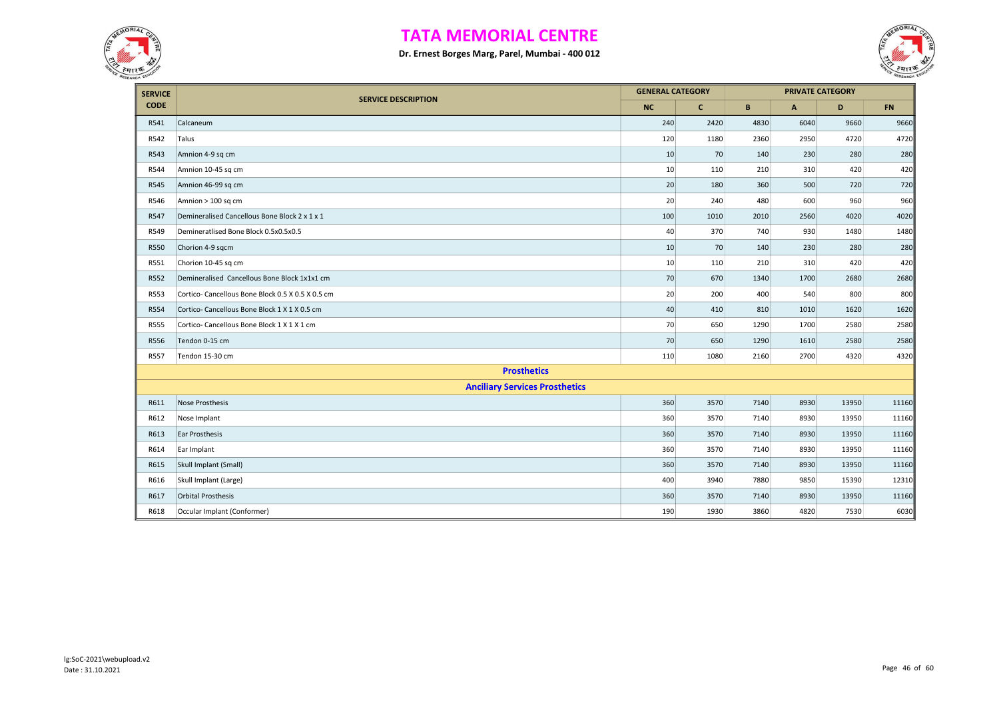



| <b>SERVICE</b> |                                                  | <b>GENERAL CATEGORY</b> |              |              |                | <b>PRIVATE CATEGORY</b> |           |
|----------------|--------------------------------------------------|-------------------------|--------------|--------------|----------------|-------------------------|-----------|
| <b>CODE</b>    | <b>SERVICE DESCRIPTION</b>                       | <b>NC</b>               | $\mathbf{C}$ | $\mathbf{B}$ | $\overline{A}$ | D                       | <b>FN</b> |
| R541           | Calcaneum                                        | 240                     | 2420         | 4830         | 6040           | 9660                    | 9660      |
| R542           | Talus                                            | 120                     | 1180         | 2360         | 2950           | 4720                    | 4720      |
| R543           | Amnion 4-9 sq cm                                 | 10                      | 70           | 140          | 230            | 280                     | 280       |
| R544           | Amnion 10-45 sq cm                               | 10                      | 110          | 210          | 310            | 420                     | 420       |
| R545           | Amnion 46-99 sq cm                               | 20                      | 180          | 360          | 500            | 720                     | 720       |
| R546           | Amnion > 100 sq cm                               | 20                      | 240          | 480          | 600            | 960                     | 960       |
| R547           | Demineralised Cancellous Bone Block 2 x 1 x 1    | 100                     | 1010         | 2010         | 2560           | 4020                    | 4020      |
| R549           | Demineratlised Bone Block 0.5x0.5x0.5            | 40                      | 370          | 740          | 930            | 1480                    | 1480      |
| R550           | Chorion 4-9 sqcm                                 | 10                      | 70           | 140          | 230            | 280                     | 280       |
| R551           | Chorion 10-45 sq cm                              | 10                      | 110          | 210          | 310            | 420                     | 420       |
| R552           | Demineralised Cancellous Bone Block 1x1x1 cm     | 70                      | 670          | 1340         | 1700           | 2680                    | 2680      |
| R553           | Cortico-Cancellous Bone Block 0.5 X 0.5 X 0.5 cm | 20                      | 200          | 400          | 540            | 800                     | 800       |
| R554           | Cortico-Cancellous Bone Block 1 X 1 X 0.5 cm     | 40                      | 410          | 810          | 1010           | 1620                    | 1620      |
| R555           | Cortico-Cancellous Bone Block 1 X 1 X 1 cm       | 70                      | 650          | 1290         | 1700           | 2580                    | 2580      |
| R556           | Tendon 0-15 cm                                   | 70                      | 650          | 1290         | 1610           | 2580                    | 2580      |
| <b>R557</b>    | Tendon 15-30 cm                                  | 110                     | 1080         | 2160         | 2700           | 4320                    | 4320      |
|                | <b>Prosthetics</b>                               |                         |              |              |                |                         |           |
|                | <b>Anciliary Services Prosthetics</b>            |                         |              |              |                |                         |           |
| R611           | <b>Nose Prosthesis</b>                           | 360                     | 3570         | 7140         | 8930           | 13950                   | 11160     |
| R612           | Nose Implant                                     | 360                     | 3570         | 7140         | 8930           | 13950                   | 11160     |
| R613           | Ear Prosthesis                                   | 360                     | 3570         | 7140         | 8930           | 13950                   | 11160     |
| R614           | Ear Implant                                      | 360                     | 3570         | 7140         | 8930           | 13950                   | 11160     |
| R615           | Skull Implant (Small)                            | 360                     | 3570         | 7140         | 8930           | 13950                   | 11160     |
| R616           | Skull Implant (Large)                            | 400                     | 3940         | 7880         | 9850           | 15390                   | 12310     |
| R617           | <b>Orbital Prosthesis</b>                        | 360                     | 3570         | 7140         | 8930           | 13950                   | 11160     |
| R618           | Occular Implant (Conformer)                      | 190                     | 1930         | 3860         | 4820           | 7530                    | 6030      |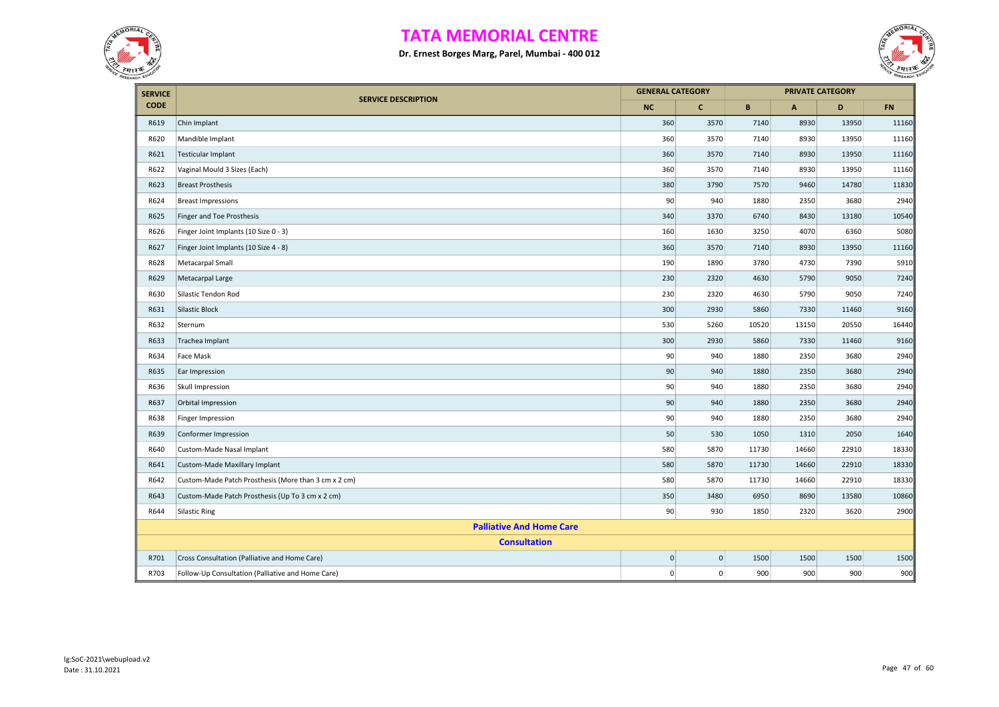



| <b>SERVICE</b> |                                                      | <b>GENERAL CATEGORY</b> |                |       | <b>PRIVATE CATEGORY</b> |       |           |  |
|----------------|------------------------------------------------------|-------------------------|----------------|-------|-------------------------|-------|-----------|--|
| <b>CODE</b>    | <b>SERVICE DESCRIPTION</b>                           | <b>NC</b>               | $\mathbf{C}$   | B     | $\mathsf{A}$            | D     | <b>FN</b> |  |
| R619           | Chin Implant                                         | 360                     | 3570           | 7140  | 8930                    | 13950 | 11160     |  |
| R620           | Mandible Implant                                     | 360                     | 3570           | 7140  | 8930                    | 13950 | 11160     |  |
| R621           | Testicular Implant                                   | 360                     | 3570           | 7140  | 8930                    | 13950 | 11160     |  |
| R622           | Vaginal Mould 3 Sizes (Each)                         | 360                     | 3570           | 7140  | 8930                    | 13950 | 11160     |  |
| R623           | <b>Breast Prosthesis</b>                             | 380                     | 3790           | 7570  | 9460                    | 14780 | 11830     |  |
| R624           | <b>Breast Impressions</b>                            | 90                      | 940            | 1880  | 2350                    | 3680  | 2940      |  |
| R625           | Finger and Toe Prosthesis                            | 340                     | 3370           | 6740  | 8430                    | 13180 | 10540     |  |
| R626           | Finger Joint Implants (10 Size 0 - 3)                | 160                     | 1630           | 3250  | 4070                    | 6360  | 5080      |  |
| R627           | Finger Joint Implants (10 Size 4 - 8)                | 360                     | 3570           | 7140  | 8930                    | 13950 | 11160     |  |
| R628           | Metacarpal Small                                     | 190                     | 1890           | 3780  | 4730                    | 7390  | 5910      |  |
| R629           | Metacarpal Large                                     | 230                     | 2320           | 4630  | 5790                    | 9050  | 7240      |  |
| R630           | Silastic Tendon Rod                                  | 230                     | 2320           | 4630  | 5790                    | 9050  | 7240      |  |
| R631           | Silastic Block                                       | 300                     | 2930           | 5860  | 7330                    | 11460 | 9160      |  |
| R632           | Sternum                                              | 530                     | 5260           | 10520 | 13150                   | 20550 | 16440     |  |
| R633           | Trachea Implant                                      | 300                     | 2930           | 5860  | 7330                    | 11460 | 9160      |  |
| R634           | Face Mask                                            | 90                      | 940            | 1880  | 2350                    | 3680  | 2940      |  |
| R635           | Ear Impression                                       | 90                      | 940            | 1880  | 2350                    | 3680  | 2940      |  |
| R636           | Skull Impression                                     | 90                      | 940            | 1880  | 2350                    | 3680  | 2940      |  |
| R637           | Orbital Impression                                   | 90                      | 940            | 1880  | 2350                    | 3680  | 2940      |  |
| R638           | Finger Impression                                    | 90                      | 940            | 1880  | 2350                    | 3680  | 2940      |  |
| R639           | Conformer Impression                                 | 50                      | 530            | 1050  | 1310                    | 2050  | 1640      |  |
| R640           | Custom-Made Nasal Implant                            | 580                     | 5870           | 11730 | 14660                   | 22910 | 18330     |  |
| R641           | Custom-Made Maxillary Implant                        | 580                     | 5870           | 11730 | 14660                   | 22910 | 18330     |  |
| R642           | Custom-Made Patch Prosthesis (More than 3 cm x 2 cm) | 580                     | 5870           | 11730 | 14660                   | 22910 | 18330     |  |
| R643           | Custom-Made Patch Prosthesis (Up To 3 cm x 2 cm)     | 350                     | 3480           | 6950  | 8690                    | 13580 | 10860     |  |
| R644           | <b>Silastic Ring</b>                                 | 90                      | 930            | 1850  | 2320                    | 3620  | 2900      |  |
|                | <b>Palliative And Home Care</b>                      |                         |                |       |                         |       |           |  |
|                | <b>Consultation</b>                                  |                         |                |       |                         |       |           |  |
| R701           | Cross Consultation (Palliative and Home Care)        | $\pmb{0}$               | $\Omega$       | 1500  | 1500                    | 1500  | 1500      |  |
| R703           | Follow-Up Consultation (Palliative and Home Care)    | $\mathbf 0$             | $\overline{0}$ | 900   | 900                     | 900   | 900       |  |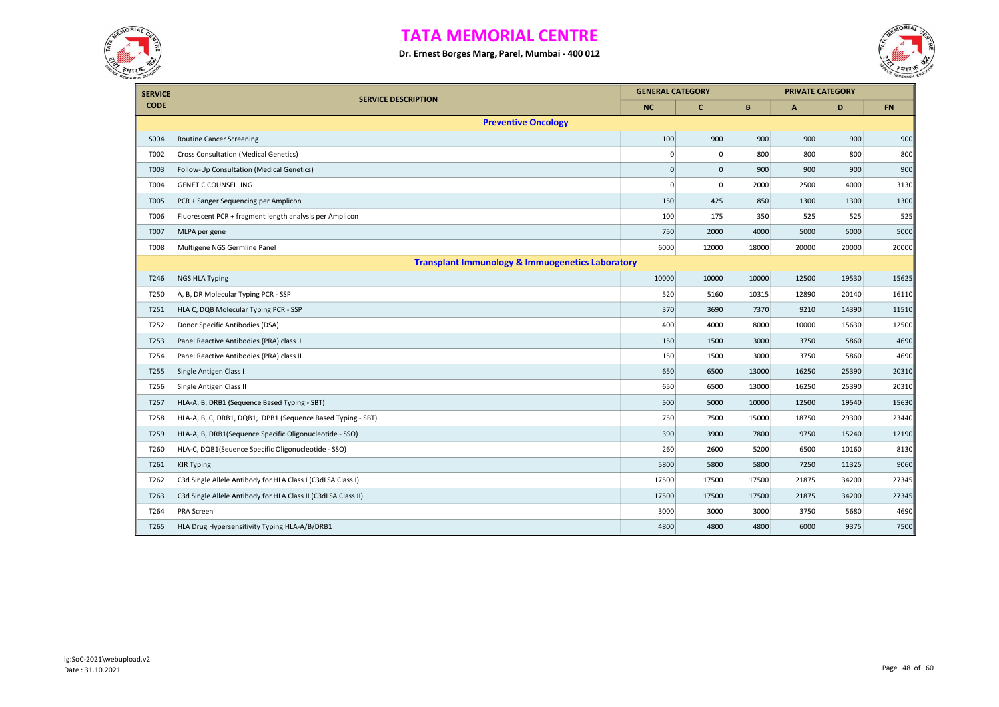



| <b>SERVICE</b> |                                                               | <b>GENERAL CATEGORY</b> |                     |       |       | <b>PRIVATE CATEGORY</b> |           |
|----------------|---------------------------------------------------------------|-------------------------|---------------------|-------|-------|-------------------------|-----------|
| <b>CODE</b>    | <b>SERVICE DESCRIPTION</b>                                    | <b>NC</b>               | $\mathbf{C}$        | B     | A     | D                       | <b>FN</b> |
|                | <b>Preventive Oncology</b>                                    |                         |                     |       |       |                         |           |
| S004           | <b>Routine Cancer Screening</b>                               | 100                     | 900                 | 900   | 900   | 900                     | 900       |
| T002           | <b>Cross Consultation (Medical Genetics)</b>                  | $\Omega$                | $\mathbf 0$         | 800   | 800   | 800                     | 800       |
| T003           | Follow-Up Consultation (Medical Genetics)                     | $\mathbf 0$             | $\mathsf{O}\xspace$ | 900   | 900   | 900                     | 900       |
| T004           | <b>GENETIC COUNSELLING</b>                                    | $\mathbf 0$             | 0                   | 2000  | 2500  | 4000                    | 3130      |
| T005           | PCR + Sanger Sequencing per Amplicon                          | 150                     | 425                 | 850   | 1300  | 1300                    | 1300      |
| T006           | Fluorescent PCR + fragment length analysis per Amplicon       | 100                     | 175                 | 350   | 525   | 525                     | 525       |
| T007           | MLPA per gene                                                 | 750                     | 2000                | 4000  | 5000  | 5000                    | 5000      |
| T008           | Multigene NGS Germline Panel                                  | 6000                    | 12000               | 18000 | 20000 | 20000                   | 20000     |
|                | <b>Transplant Immunology &amp; Immuogenetics Laboratory</b>   |                         |                     |       |       |                         |           |
| T246           | <b>NGS HLA Typing</b>                                         | 10000                   | 10000               | 10000 | 12500 | 19530                   | 15625     |
| T250           | A, B, DR Molecular Typing PCR - SSP                           | 520                     | 5160                | 10315 | 12890 | 20140                   | 16110     |
| T251           | HLA C, DQB Molecular Typing PCR - SSP                         | 370                     | 3690                | 7370  | 9210  | 14390                   | 11510     |
| T252           | Donor Specific Antibodies (DSA)                               | 400                     | 4000                | 8000  | 10000 | 15630                   | 12500     |
| T253           | Panel Reactive Antibodies (PRA) class I                       | 150                     | 1500                | 3000  | 3750  | 5860                    | 4690      |
| T254           | Panel Reactive Antibodies (PRA) class II                      | 150                     | 1500                | 3000  | 3750  | 5860                    | 4690      |
| T255           | Single Antigen Class I                                        | 650                     | 6500                | 13000 | 16250 | 25390                   | 20310     |
| T256           | Single Antigen Class II                                       | 650                     | 6500                | 13000 | 16250 | 25390                   | 20310     |
| T257           | HLA-A, B, DRB1 (Sequence Based Typing - SBT)                  | 500                     | 5000                | 10000 | 12500 | 19540                   | 15630     |
| T258           | HLA-A, B, C, DRB1, DQB1, DPB1 (Sequence Based Typing - SBT)   | 750                     | 7500                | 15000 | 18750 | 29300                   | 23440     |
| T259           | HLA-A, B, DRB1(Sequence Specific Oligonucleotide - SSO)       | 390                     | 3900                | 7800  | 9750  | 15240                   | 12190     |
| T260           | HLA-C, DQB1(Seuence Specific Oligonucleotide - SSO)           | 260                     | 2600                | 5200  | 6500  | 10160                   | 8130      |
| T261           | <b>KIR Typing</b>                                             | 5800                    | 5800                | 5800  | 7250  | 11325                   | 9060      |
| T262           | C3d Single Allele Antibody for HLA Class I (C3dLSA Class I)   | 17500                   | 17500               | 17500 | 21875 | 34200                   | 27345     |
| T263           | C3d Single Allele Antibody for HLA Class II (C3dLSA Class II) | 17500                   | 17500               | 17500 | 21875 | 34200                   | 27345     |
| T264           | <b>PRA Screen</b>                                             | 3000                    | 3000                | 3000  | 3750  | 5680                    | 4690      |
| T265           | HLA Drug Hypersensitivity Typing HLA-A/B/DRB1                 | 4800                    | 4800                | 4800  | 6000  | 9375                    | 7500      |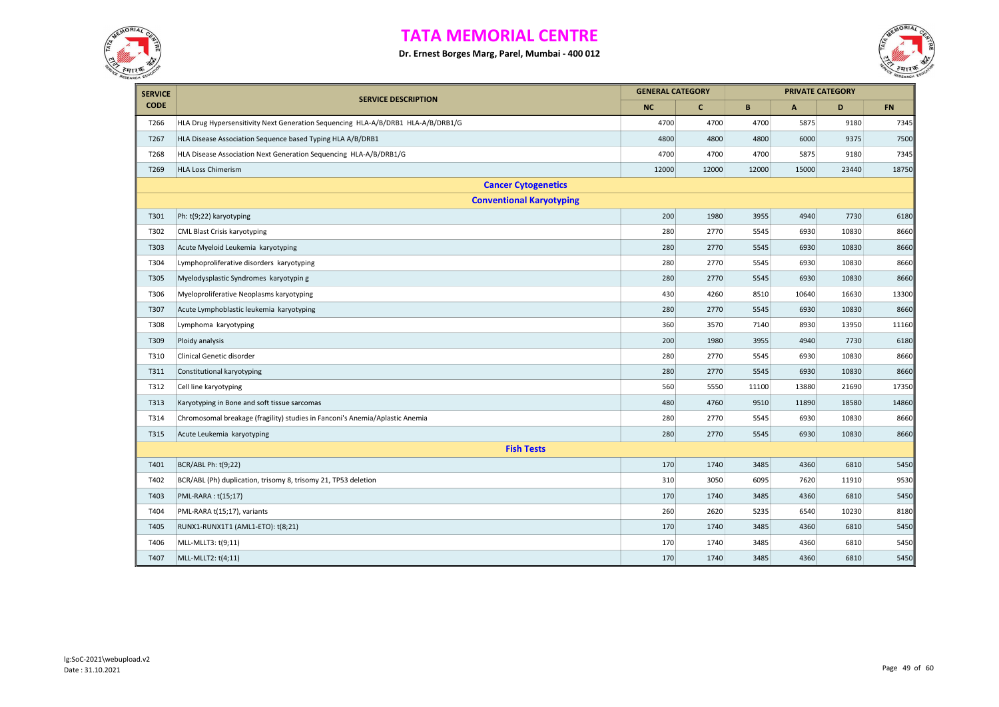



| <b>SERVICE</b> |                                                                                  |           | <b>GENERAL CATEGORY</b> |       |       | <b>PRIVATE CATEGORY</b> |            |  |
|----------------|----------------------------------------------------------------------------------|-----------|-------------------------|-------|-------|-------------------------|------------|--|
| <b>CODE</b>    | <b>SERVICE DESCRIPTION</b>                                                       | <b>NC</b> | $\mathbf{C}$            | B     | A     | D                       | ${\sf FN}$ |  |
| T266           | HLA Drug Hypersensitivity Next Generation Sequencing HLA-A/B/DRB1 HLA-A/B/DRB1/G | 4700      | 4700                    | 4700  | 5875  | 9180                    | 7345       |  |
| T267           | HLA Disease Association Sequence based Typing HLA A/B/DRB1                       | 4800      | 4800                    | 4800  | 6000  | 9375                    | 7500       |  |
| T268           | HLA Disease Association Next Generation Sequencing HLA-A/B/DRB1/G                | 4700      | 4700                    | 4700  | 5875  | 9180                    | 7345       |  |
| T269           | <b>HLA Loss Chimerism</b>                                                        | 12000     | 12000                   | 12000 | 15000 | 23440                   | 18750      |  |
|                | <b>Cancer Cytogenetics</b>                                                       |           |                         |       |       |                         |            |  |
|                | <b>Conventional Karyotyping</b>                                                  |           |                         |       |       |                         |            |  |
| T301           | Ph: t(9;22) karyotyping                                                          | 200       | 1980                    | 3955  | 4940  | 7730                    | 6180       |  |
| T302           | <b>CML Blast Crisis karyotyping</b>                                              | 280       | 2770                    | 5545  | 6930  | 10830                   | 8660       |  |
| T303           | Acute Myeloid Leukemia karyotyping                                               | 280       | 2770                    | 5545  | 6930  | 10830                   | 8660       |  |
| T304           | Lymphoproliferative disorders karyotyping                                        | 280       | 2770                    | 5545  | 6930  | 10830                   | 8660       |  |
| T305           | Myelodysplastic Syndromes karyotypin g                                           | 280       | 2770                    | 5545  | 6930  | 10830                   | 8660       |  |
| T306           | Myeloproliferative Neoplasms karyotyping                                         | 430       | 4260                    | 8510  | 10640 | 16630                   | 13300      |  |
| T307           | Acute Lymphoblastic leukemia karyotyping                                         | 280       | 2770                    | 5545  | 6930  | 10830                   | 8660       |  |
| T308           | Lymphoma karyotyping                                                             | 360       | 3570                    | 7140  | 8930  | 13950                   | 11160      |  |
| T309           | Ploidy analysis                                                                  | 200       | 1980                    | 3955  | 4940  | 7730                    | 6180       |  |
| T310           | Clinical Genetic disorder                                                        | 280       | 2770                    | 5545  | 6930  | 10830                   | 8660       |  |
| T311           | Constitutional karyotyping                                                       | 280       | 2770                    | 5545  | 6930  | 10830                   | 8660       |  |
| T312           | Cell line karyotyping                                                            | 560       | 5550                    | 11100 | 13880 | 21690                   | 17350      |  |
| T313           | Karyotyping in Bone and soft tissue sarcomas                                     | 480       | 4760                    | 9510  | 11890 | 18580                   | 14860      |  |
| T314           | Chromosomal breakage (fragility) studies in Fanconi's Anemia/Aplastic Anemia     | 280       | 2770                    | 5545  | 6930  | 10830                   | 8660       |  |
| T315           | Acute Leukemia karyotyping                                                       | 280       | 2770                    | 5545  | 6930  | 10830                   | 8660       |  |
|                | <b>Fish Tests</b>                                                                |           |                         |       |       |                         |            |  |
| T401           | BCR/ABL Ph: t(9;22)                                                              | 170       | 1740                    | 3485  | 4360  | 6810                    | 5450       |  |
| T402           | BCR/ABL (Ph) duplication, trisomy 8, trisomy 21, TP53 deletion                   | 310       | 3050                    | 6095  | 7620  | 11910                   | 9530       |  |
| T403           | PML-RARA : t(15;17)                                                              | 170       | 1740                    | 3485  | 4360  | 6810                    | 5450       |  |
| T404           | PML-RARA t(15;17), variants                                                      | 260       | 2620                    | 5235  | 6540  | 10230                   | 8180       |  |
| T405           | RUNX1-RUNX1T1 (AML1-ETO): t(8;21)                                                | 170       | 1740                    | 3485  | 4360  | 6810                    | 5450       |  |
| T406           | MLL-MLLT3: t(9;11)                                                               | 170       | 1740                    | 3485  | 4360  | 6810                    | 5450       |  |
| T407           | MLL-MLLT2: t(4;11)                                                               | 170       | 1740                    | 3485  | 4360  | 6810                    | 5450       |  |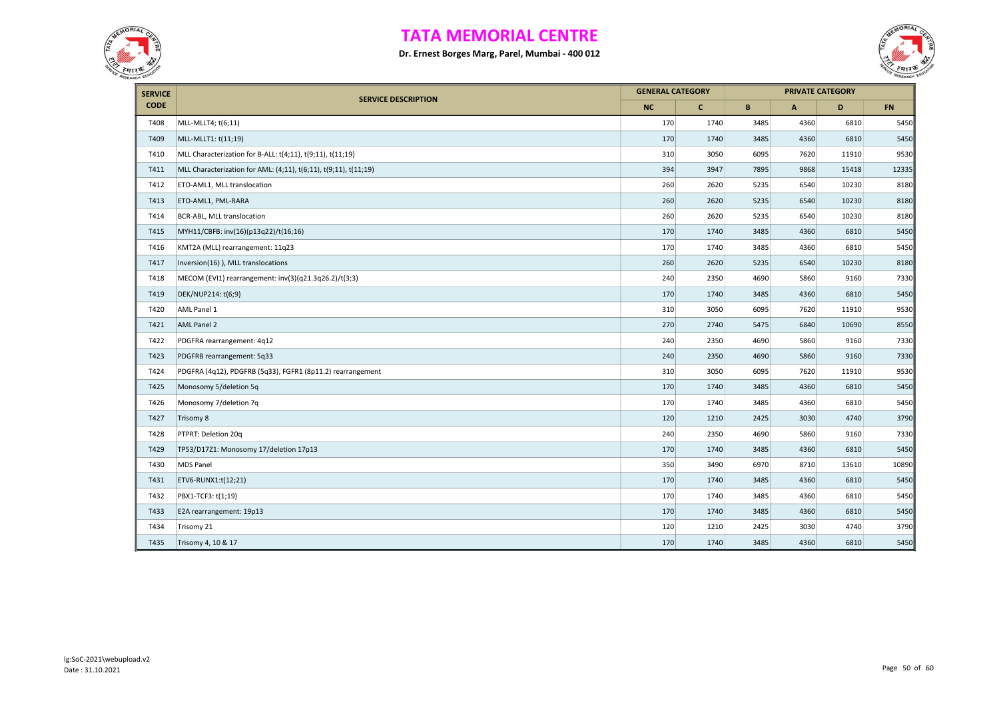



| <b>SERVICE</b> |                                                                  |           | <b>GENERAL CATEGORY</b> |             | <b>PRIVATE CATEGORY</b>   |       |           |
|----------------|------------------------------------------------------------------|-----------|-------------------------|-------------|---------------------------|-------|-----------|
| <b>CODE</b>    | <b>SERVICE DESCRIPTION</b>                                       | <b>NC</b> | $\mathbf{C}$            | $\mathbf B$ | $\boldsymbol{\mathsf{A}}$ | D     | <b>FN</b> |
| T408           | MLL-MLLT4; t(6;11)                                               | 170       | 1740                    | 3485        | 4360                      | 6810  | 5450      |
| T409           | MLL-MLLT1: t(11;19)                                              | 170       | 1740                    | 3485        | 4360                      | 6810  | 5450      |
| T410           | MLL Characterization for B-ALL: t(4;11), t(9;11), t(11;19)       | 310       | 3050                    | 6095        | 7620                      | 11910 | 9530      |
| T411           | MLL Characterization for AML: (4;11), t(6;11), t(9;11), t(11;19) | 394       | 3947                    | 7895        | 9868                      | 15418 | 12335     |
| T412           | ETO-AML1, MLL translocation                                      | 260       | 2620                    | 5235        | 6540                      | 10230 | 8180      |
| T413           | ETO-AML1, PML-RARA                                               | 260       | 2620                    | 5235        | 6540                      | 10230 | 8180      |
| T414           | BCR-ABL, MLL translocation                                       | 260       | 2620                    | 5235        | 6540                      | 10230 | 8180      |
| T415           | MYH11/CBFB: inv(16)(p13q22)/t(16;16)                             | 170       | 1740                    | 3485        | 4360                      | 6810  | 5450      |
| T416           | KMT2A (MLL) rearrangement: 11q23                                 | 170       | 1740                    | 3485        | 4360                      | 6810  | 5450      |
| T417           | Inversion(16)), MLL translocations                               | 260       | 2620                    | 5235        | 6540                      | 10230 | 8180      |
| T418           | MECOM (EVI1) rearrangement: inv(3)(q21.3q26.2)/t(3;3)            | 240       | 2350                    | 4690        | 5860                      | 9160  | 7330      |
| T419           | DEK/NUP214: t(6;9)                                               | 170       | 1740                    | 3485        | 4360                      | 6810  | 5450      |
| T420           | AML Panel 1                                                      | 310       | 3050                    | 6095        | 7620                      | 11910 | 9530      |
| T421           | <b>AML Panel 2</b>                                               | 270       | 2740                    | 5475        | 6840                      | 10690 | 8550      |
| T422           | PDGFRA rearrangement: 4q12                                       | 240       | 2350                    | 4690        | 5860                      | 9160  | 7330      |
| T423           | PDGFRB rearrangement: 5q33                                       | 240       | 2350                    | 4690        | 5860                      | 9160  | 7330      |
| T424           | PDGFRA (4q12), PDGFRB (5q33), FGFR1 (8p11.2) rearrangement       | 310       | 3050                    | 6095        | 7620                      | 11910 | 9530      |
| T425           | Monosomy 5/deletion 5q                                           | 170       | 1740                    | 3485        | 4360                      | 6810  | 5450      |
| T426           | Monosomy 7/deletion 7q                                           | 170       | 1740                    | 3485        | 4360                      | 6810  | 5450      |
| T427           | Trisomy 8                                                        | 120       | 1210                    | 2425        | 3030                      | 4740  | 3790      |
| T428           | PTPRT: Deletion 20q                                              | 240       | 2350                    | 4690        | 5860                      | 9160  | 7330      |
| T429           | TP53/D17Z1: Monosomy 17/deletion 17p13                           | 170       | 1740                    | 3485        | 4360                      | 6810  | 5450      |
| T430           | <b>MDS Panel</b>                                                 | 350       | 3490                    | 6970        | 8710                      | 13610 | 10890     |
| T431           | ETV6-RUNX1:t(12;21)                                              | 170       | 1740                    | 3485        | 4360                      | 6810  | 5450      |
| T432           | PBX1-TCF3: t(1;19)                                               | 170       | 1740                    | 3485        | 4360                      | 6810  | 5450      |
| T433           | E2A rearrangement: 19p13                                         | 170       | 1740                    | 3485        | 4360                      | 6810  | 5450      |
| T434           | Trisomy 21                                                       | 120       | 1210                    | 2425        | 3030                      | 4740  | 3790      |
| T435           | Trisomy 4, 10 & 17                                               | 170       | 1740                    | 3485        | 4360                      | 6810  | 5450      |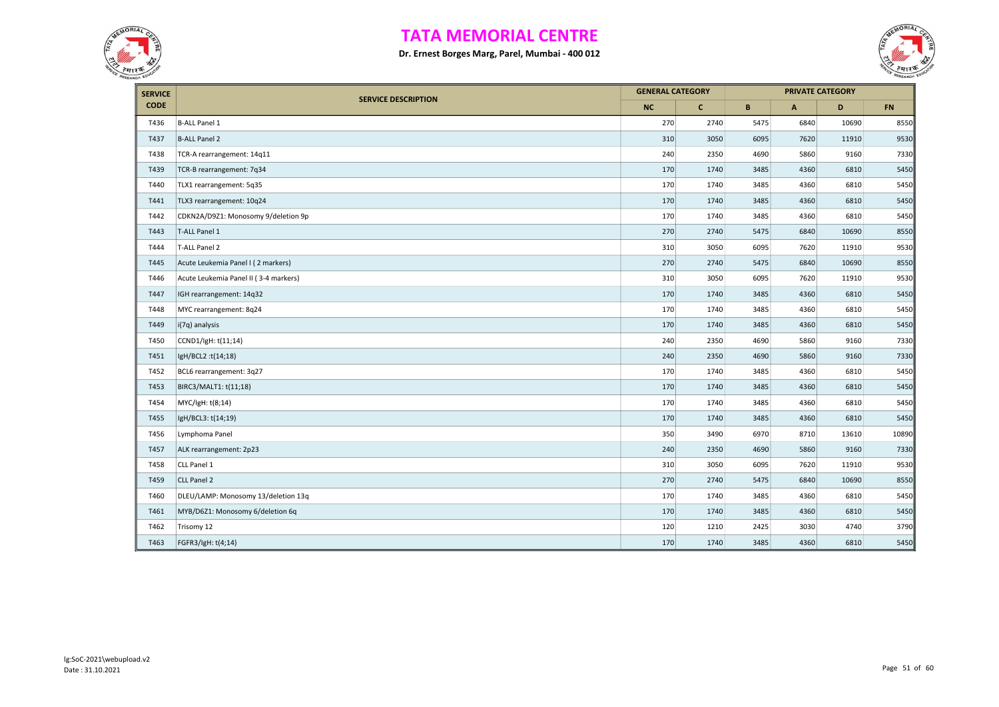



| <b>SERVICE</b> |                                       |     | <b>GENERAL CATEGORY</b> |      | <b>PRIVATE CATEGORY</b> |       |           |
|----------------|---------------------------------------|-----|-------------------------|------|-------------------------|-------|-----------|
| <b>CODE</b>    | <b>SERVICE DESCRIPTION</b>            | NC  | $\mathbf{C}$            | B    | $\mathsf{A}$            | D     | <b>FN</b> |
| T436           | <b>B-ALL Panel 1</b>                  | 270 | 2740                    | 5475 | 6840                    | 10690 | 8550      |
| T437           | <b>B-ALL Panel 2</b>                  | 310 | 3050                    | 6095 | 7620                    | 11910 | 9530      |
| T438           | TCR-A rearrangement: 14q11            | 240 | 2350                    | 4690 | 5860                    | 9160  | 7330      |
| T439           | TCR-B rearrangement: 7q34             | 170 | 1740                    | 3485 | 4360                    | 6810  | 5450      |
| T440           | TLX1 rearrangement: 5q35              | 170 | 1740                    | 3485 | 4360                    | 6810  | 5450      |
| T441           | TLX3 rearrangement: 10q24             | 170 | 1740                    | 3485 | 4360                    | 6810  | 5450      |
| T442           | CDKN2A/D9Z1: Monosomy 9/deletion 9p   | 170 | 1740                    | 3485 | 4360                    | 6810  | 5450      |
| T443           | T-ALL Panel 1                         | 270 | 2740                    | 5475 | 6840                    | 10690 | 8550      |
| T444           | T-ALL Panel 2                         | 310 | 3050                    | 6095 | 7620                    | 11910 | 9530      |
| T445           | Acute Leukemia Panel I (2 markers)    | 270 | 2740                    | 5475 | 6840                    | 10690 | 8550      |
| T446           | Acute Leukemia Panel II (3-4 markers) | 310 | 3050                    | 6095 | 7620                    | 11910 | 9530      |
| T447           | IGH rearrangement: 14q32              | 170 | 1740                    | 3485 | 4360                    | 6810  | 5450      |
| T448           | MYC rearrangement: 8q24               | 170 | 1740                    | 3485 | 4360                    | 6810  | 5450      |
| T449           | i(7q) analysis                        | 170 | 1740                    | 3485 | 4360                    | 6810  | 5450      |
| T450           | CCND1/lgH: t(11;14)                   | 240 | 2350                    | 4690 | 5860                    | 9160  | 7330      |
| T451           | lgH/BCL2 :t(14;18)                    | 240 | 2350                    | 4690 | 5860                    | 9160  | 7330      |
| T452           | BCL6 rearrangement: 3q27              | 170 | 1740                    | 3485 | 4360                    | 6810  | 5450      |
| T453           | BIRC3/MALT1: t(11;18)                 | 170 | 1740                    | 3485 | 4360                    | 6810  | 5450      |
| T454           | MYC/IgH: t(8;14)                      | 170 | 1740                    | 3485 | 4360                    | 6810  | 5450      |
| T455           | IgH/BCL3: t(14;19)                    | 170 | 1740                    | 3485 | 4360                    | 6810  | 5450      |
| T456           | Lymphoma Panel                        | 350 | 3490                    | 6970 | 8710                    | 13610 | 10890     |
| T457           | ALK rearrangement: 2p23               | 240 | 2350                    | 4690 | 5860                    | 9160  | 7330      |
| T458           | CLL Panel 1                           | 310 | 3050                    | 6095 | 7620                    | 11910 | 9530      |
| T459           | CLL Panel 2                           | 270 | 2740                    | 5475 | 6840                    | 10690 | 8550      |
| T460           | DLEU/LAMP: Monosomy 13/deletion 13q   | 170 | 1740                    | 3485 | 4360                    | 6810  | 5450      |
| T461           | MYB/D6Z1: Monosomy 6/deletion 6q      | 170 | 1740                    | 3485 | 4360                    | 6810  | 5450      |
| T462           | Trisomy 12                            | 120 | 1210                    | 2425 | 3030                    | 4740  | 3790      |
| T463           | FGFR3/IgH: t(4;14)                    | 170 | 1740                    | 3485 | 4360                    | 6810  | 5450      |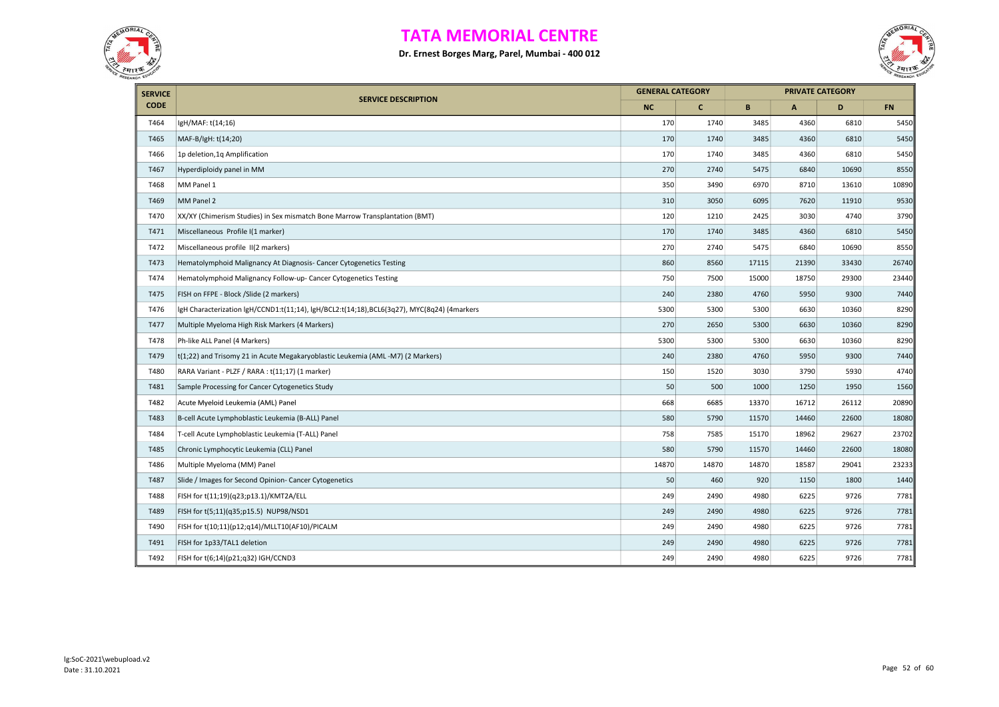



| <b>SERVICE</b> | <b>GENERAL CATEGORY</b>                                                                    |           |              |       | <b>PRIVATE CATEGORY</b> |       |           |
|----------------|--------------------------------------------------------------------------------------------|-----------|--------------|-------|-------------------------|-------|-----------|
| <b>CODE</b>    | <b>SERVICE DESCRIPTION</b>                                                                 | <b>NC</b> | $\mathbf{C}$ | B     | $\mathsf{A}$            | D     | <b>FN</b> |
| T464           | IgH/MAF: t(14;16)                                                                          | 170       | 1740         | 3485  | 4360                    | 6810  | 5450      |
| T465           | MAF-B/IgH: t(14;20)                                                                        | 170       | 1740         | 3485  | 4360                    | 6810  | 5450      |
| T466           | 1p deletion, 1q Amplification                                                              | 170       | 1740         | 3485  | 4360                    | 6810  | 5450      |
| T467           | Hyperdiploidy panel in MM                                                                  | 270       | 2740         | 5475  | 6840                    | 10690 | 8550      |
| T468           | MM Panel 1                                                                                 | 350       | 3490         | 6970  | 8710                    | 13610 | 10890     |
| T469           | MM Panel 2                                                                                 | 310       | 3050         | 6095  | 7620                    | 11910 | 9530      |
| T470           | XX/XY (Chimerism Studies) in Sex mismatch Bone Marrow Transplantation (BMT)                | 120       | 1210         | 2425  | 3030                    | 4740  | 3790      |
| T471           | Miscellaneous Profile I(1 marker)                                                          | 170       | 1740         | 3485  | 4360                    | 6810  | 5450      |
| T472           | Miscellaneous profile II(2 markers)                                                        | 270       | 2740         | 5475  | 6840                    | 10690 | 8550      |
| T473           | Hematolymphoid Malignancy At Diagnosis- Cancer Cytogenetics Testing                        | 860       | 8560         | 17115 | 21390                   | 33430 | 26740     |
| T474           | Hematolymphoid Malignancy Follow-up- Cancer Cytogenetics Testing                           | 750       | 7500         | 15000 | 18750                   | 29300 | 23440     |
| T475           | FISH on FFPE - Block /Slide (2 markers)                                                    | 240       | 2380         | 4760  | 5950                    | 9300  | 7440      |
| T476           | lgH Characterization lgH/CCND1:t(11;14), lgH/BCL2:t(14;18),BCL6(3q27), MYC(8q24) (4markers | 5300      | 5300         | 5300  | 6630                    | 10360 | 8290      |
| T477           | Multiple Myeloma High Risk Markers (4 Markers)                                             | 270       | 2650         | 5300  | 6630                    | 10360 | 8290      |
| T478           | Ph-like ALL Panel (4 Markers)                                                              | 5300      | 5300         | 5300  | 6630                    | 10360 | 8290      |
| T479           | t(1;22) and Trisomy 21 in Acute Megakaryoblastic Leukemia (AML-M7) (2 Markers)             | 240       | 2380         | 4760  | 5950                    | 9300  | 7440      |
| T480           | RARA Variant - PLZF / RARA : t(11;17) (1 marker)                                           | 150       | 1520         | 3030  | 3790                    | 5930  | 4740      |
| T481           | Sample Processing for Cancer Cytogenetics Study                                            | 50        | 500          | 1000  | 1250                    | 1950  | 1560      |
| T482           | Acute Myeloid Leukemia (AML) Panel                                                         | 668       | 6685         | 13370 | 16712                   | 26112 | 20890     |
| T483           | B-cell Acute Lymphoblastic Leukemia (B-ALL) Panel                                          | 580       | 5790         | 11570 | 14460                   | 22600 | 18080     |
| T484           | T-cell Acute Lymphoblastic Leukemia (T-ALL) Panel                                          | 758       | 7585         | 15170 | 18962                   | 29627 | 23702     |
| T485           | Chronic Lymphocytic Leukemia (CLL) Panel                                                   | 580       | 5790         | 11570 | 14460                   | 22600 | 18080     |
| T486           | Multiple Myeloma (MM) Panel                                                                | 14870     | 14870        | 14870 | 18587                   | 29041 | 23233     |
| T487           | Slide / Images for Second Opinion- Cancer Cytogenetics                                     | 50        | 460          | 920   | 1150                    | 1800  | 1440      |
| T488           | FISH for t(11;19)(q23;p13.1)/KMT2A/ELL                                                     | 249       | 2490         | 4980  | 6225                    | 9726  | 7781      |
| T489           | FISH for t(5;11)(q35;p15.5) NUP98/NSD1                                                     | 249       | 2490         | 4980  | 6225                    | 9726  | 7781      |
| T490           | FISH for t(10;11)(p12;q14)/MLLT10(AF10)/PICALM                                             | 249       | 2490         | 4980  | 6225                    | 9726  | 7781      |
| T491           | FISH for 1p33/TAL1 deletion                                                                | 249       | 2490         | 4980  | 6225                    | 9726  | 7781      |
| T492           | FISH for t(6;14)(p21;q32) IGH/CCND3                                                        | 249       | 2490         | 4980  | 6225                    | 9726  | 7781      |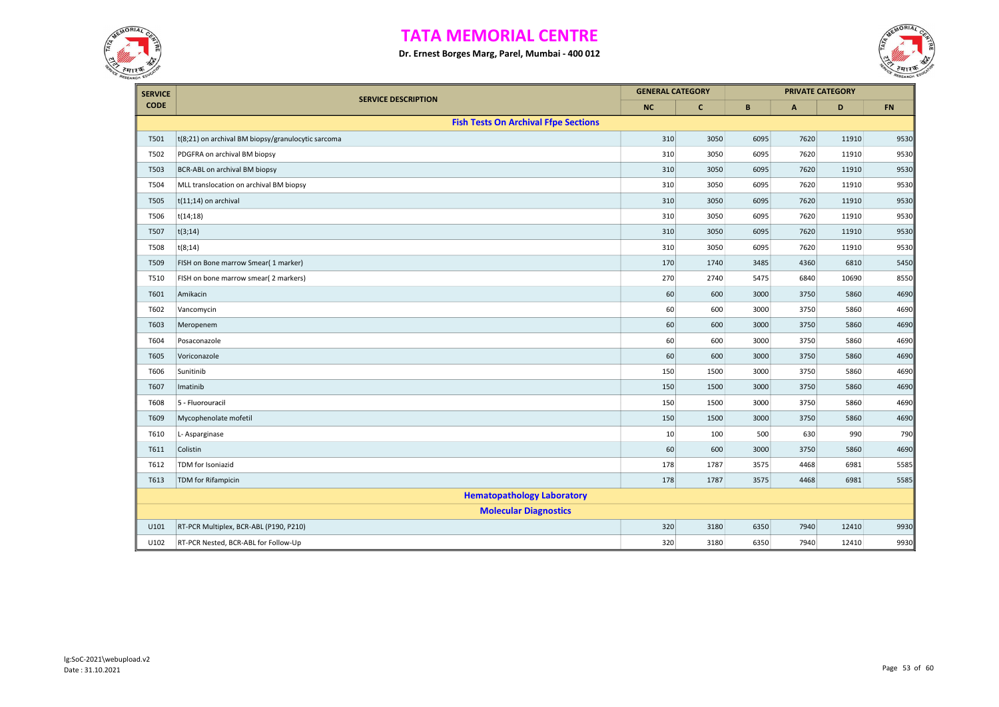



| <b>SERVICE</b> |                                                    | <b>GENERAL CATEGORY</b> |              |      |              | <b>PRIVATE CATEGORY</b> |      |
|----------------|----------------------------------------------------|-------------------------|--------------|------|--------------|-------------------------|------|
| <b>CODE</b>    | <b>SERVICE DESCRIPTION</b>                         | <b>NC</b>               | $\mathbf{C}$ | B    | $\mathsf{A}$ | D                       | FN   |
|                | <b>Fish Tests On Archival Ffpe Sections</b>        |                         |              |      |              |                         |      |
| T501           | t(8;21) on archival BM biopsy/granulocytic sarcoma | 310                     | 3050         | 6095 | 7620         | 11910                   | 9530 |
| T502           | PDGFRA on archival BM biopsy                       | 310                     | 3050         | 6095 | 7620         | 11910                   | 9530 |
| T503           | BCR-ABL on archival BM biopsy                      | 310                     | 3050         | 6095 | 7620         | 11910                   | 9530 |
| T504           | MLL translocation on archival BM biopsy            | 310                     | 3050         | 6095 | 7620         | 11910                   | 9530 |
| T505           | $t(11;14)$ on archival                             | 310                     | 3050         | 6095 | 7620         | 11910                   | 9530 |
| T506           | t(14;18)                                           | 310                     | 3050         | 6095 | 7620         | 11910                   | 9530 |
| T507           | t(3;14)                                            | 310                     | 3050         | 6095 | 7620         | 11910                   | 9530 |
| <b>T508</b>    | t(8;14)                                            | 310                     | 3050         | 6095 | 7620         | 11910                   | 9530 |
| T509           | FISH on Bone marrow Smear( 1 marker)               | 170                     | 1740         | 3485 | 4360         | 6810                    | 5450 |
| T510           | FISH on bone marrow smear( 2 markers)              | 270                     | 2740         | 5475 | 6840         | 10690                   | 8550 |
| T601           | Amikacin                                           | 60                      | 600          | 3000 | 3750         | 5860                    | 4690 |
| T602           | Vancomycin                                         | 60                      | 600          | 3000 | 3750         | 5860                    | 4690 |
| T603           | Meropenem                                          | 60                      | 600          | 3000 | 3750         | 5860                    | 4690 |
| T604           | Posaconazole                                       | 60                      | 600          | 3000 | 3750         | 5860                    | 4690 |
| T605           | Voriconazole                                       | 60                      | 600          | 3000 | 3750         | 5860                    | 4690 |
| T606           | Sunitinib                                          | 150                     | 1500         | 3000 | 3750         | 5860                    | 4690 |
| T607           | Imatinib                                           | 150                     | 1500         | 3000 | 3750         | 5860                    | 4690 |
| <b>T608</b>    | 5 - Fluorouracil                                   | 150                     | 1500         | 3000 | 3750         | 5860                    | 4690 |
| T609           | Mycophenolate mofetil                              | 150                     | 1500         | 3000 | 3750         | 5860                    | 4690 |
| T610           | L-Asparginase                                      | 10                      | 100          | 500  | 630          | 990                     | 790  |
| T611           | Colistin                                           | 60                      | 600          | 3000 | 3750         | 5860                    | 4690 |
| T612           | TDM for Isoniazid                                  | 178                     | 1787         | 3575 | 4468         | 6981                    | 5585 |
| T613           | <b>TDM</b> for Rifampicin                          | 178                     | 1787         | 3575 | 4468         | 6981                    | 5585 |
|                | <b>Hematopathology Laboratory</b>                  |                         |              |      |              |                         |      |
|                | <b>Molecular Diagnostics</b>                       |                         |              |      |              |                         |      |
| U101           | RT-PCR Multiplex, BCR-ABL (P190, P210)             | 320                     | 3180         | 6350 | 7940         | 12410                   | 9930 |
| U102           | RT-PCR Nested, BCR-ABL for Follow-Up               | 320                     | 3180         | 6350 | 7940         | 12410                   | 9930 |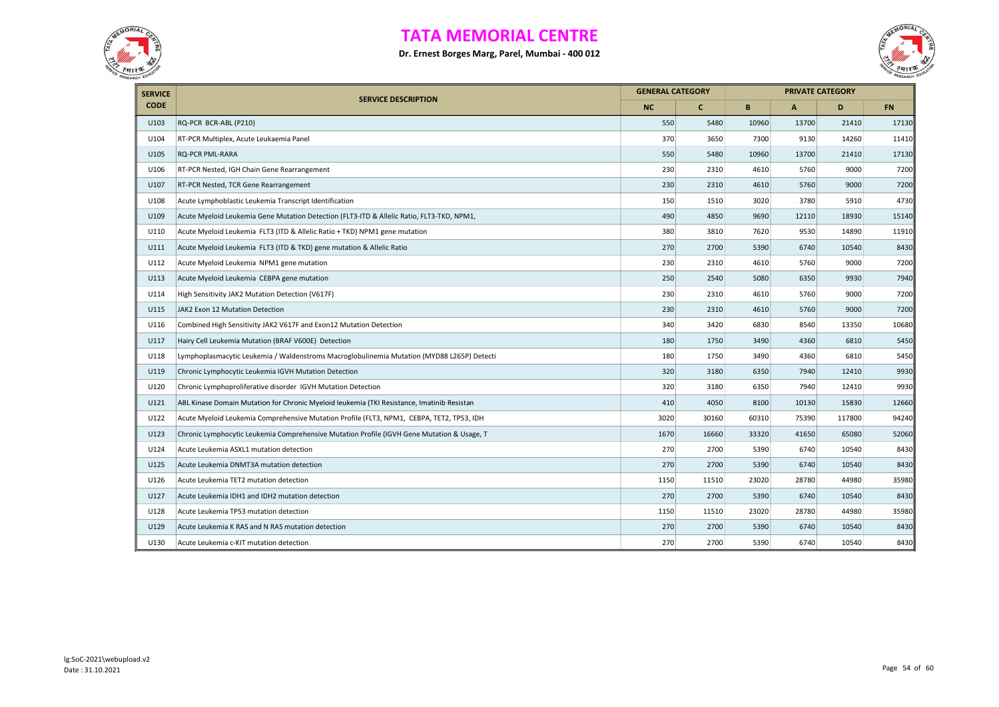



| <b>SERVICE</b> |                                                                                            |      | <b>GENERAL CATEGORY</b> |       |              | <b>PRIVATE CATEGORY</b> |           |
|----------------|--------------------------------------------------------------------------------------------|------|-------------------------|-------|--------------|-------------------------|-----------|
| <b>CODE</b>    | <b>SERVICE DESCRIPTION</b>                                                                 | NC   | $\mathbf{C}$            | B     | $\mathsf{A}$ | D                       | <b>FN</b> |
| U103           | RQ-PCR BCR-ABL (P210)                                                                      | 550  | 5480                    | 10960 | 13700        | 21410                   | 17130     |
| U104           | RT-PCR Multiplex, Acute Leukaemia Panel                                                    | 370  | 3650                    | 7300  | 9130         | 14260                   | 11410     |
| U105           | <b>RQ-PCR PML-RARA</b>                                                                     | 550  | 5480                    | 10960 | 13700        | 21410                   | 17130     |
| U106           | RT-PCR Nested, IGH Chain Gene Rearrangement                                                | 230  | 2310                    | 4610  | 5760         | 9000                    | 7200      |
| U107           | RT-PCR Nested, TCR Gene Rearrangement                                                      | 230  | 2310                    | 4610  | 5760         | 9000                    | 7200      |
| U108           | Acute Lymphoblastic Leukemia Transcript Identification                                     | 150  | 1510                    | 3020  | 3780         | 5910                    | 4730      |
| U109           | Acute Myeloid Leukemia Gene Mutation Detection (FLT3-ITD & Allelic Ratio, FLT3-TKD, NPM1,  | 490  | 4850                    | 9690  | 12110        | 18930                   | 15140     |
| U110           | Acute Myeloid Leukemia FLT3 (ITD & Allelic Ratio + TKD) NPM1 gene mutation                 | 380  | 3810                    | 7620  | 9530         | 14890                   | 11910     |
| U111           | Acute Myeloid Leukemia FLT3 (ITD & TKD) gene mutation & Allelic Ratio                      | 270  | 2700                    | 5390  | 6740         | 10540                   | 8430      |
| U112           | Acute Myeloid Leukemia NPM1 gene mutation                                                  | 230  | 2310                    | 4610  | 5760         | 9000                    | 7200      |
| U113           | Acute Myeloid Leukemia CEBPA gene mutation                                                 | 250  | 2540                    | 5080  | 6350         | 9930                    | 7940      |
| U114           | High Sensitivity JAK2 Mutation Detection (V617F)                                           | 230  | 2310                    | 4610  | 5760         | 9000                    | 7200      |
| U115           | JAK2 Exon 12 Mutation Detection                                                            | 230  | 2310                    | 4610  | 5760         | 9000                    | 7200      |
| U116           | Combined High Sensitivity JAK2 V617F and Exon12 Mutation Detection                         | 340  | 3420                    | 6830  | 8540         | 13350                   | 10680     |
| U117           | Hairy Cell Leukemia Mutation (BRAF V600E) Detection                                        | 180  | 1750                    | 3490  | 4360         | 6810                    | 5450      |
| U118           | Lymphoplasmacytic Leukemia / Waldenstroms Macroglobulinemia Mutation (MYD88 L265P) Detecti | 180  | 1750                    | 3490  | 4360         | 6810                    | 5450      |
| U119           | Chronic Lymphocytic Leukemia IGVH Mutation Detection                                       | 320  | 3180                    | 6350  | 7940         | 12410                   | 9930      |
| U120           | Chronic Lymphoproliferative disorder IGVH Mutation Detection                               | 320  | 3180                    | 6350  | 7940         | 12410                   | 9930      |
| U121           | ABL Kinase Domain Mutation for Chronic Myeloid leukemia (TKI Resistance, Imatinib Resistan | 410  | 4050                    | 8100  | 10130        | 15830                   | 12660     |
| U122           | Acute Myeloid Leukemia Comprehensive Mutation Profile (FLT3, NPM1, CEBPA, TET2, TP53, IDH  | 3020 | 30160                   | 60310 | 75390        | 117800                  | 94240     |
| U123           | Chronic Lymphocytic Leukemia Comprehensive Mutation Profile (IGVH Gene Mutation & Usage, T | 1670 | 16660                   | 33320 | 41650        | 65080                   | 52060     |
| U124           | Acute Leukemia ASXL1 mutation detection                                                    | 270  | 2700                    | 5390  | 6740         | 10540                   | 8430      |
| U125           | Acute Leukemia DNMT3A mutation detection                                                   | 270  | 2700                    | 5390  | 6740         | 10540                   | 8430      |
| U126           | Acute Leukemia TET2 mutation detection                                                     | 1150 | 11510                   | 23020 | 28780        | 44980                   | 35980     |
| U127           | Acute Leukemia IDH1 and IDH2 mutation detection                                            | 270  | 2700                    | 5390  | 6740         | 10540                   | 8430      |
| U128           | Acute Leukemia TP53 mutation detection                                                     | 1150 | 11510                   | 23020 | 28780        | 44980                   | 35980     |
| U129           | Acute Leukemia K RAS and N RAS mutation detection                                          | 270  | 2700                    | 5390  | 6740         | 10540                   | 8430      |
| U130           | Acute Leukemia c-KIT mutation detection                                                    | 270  | 2700                    | 5390  | 6740         | 10540                   | 8430      |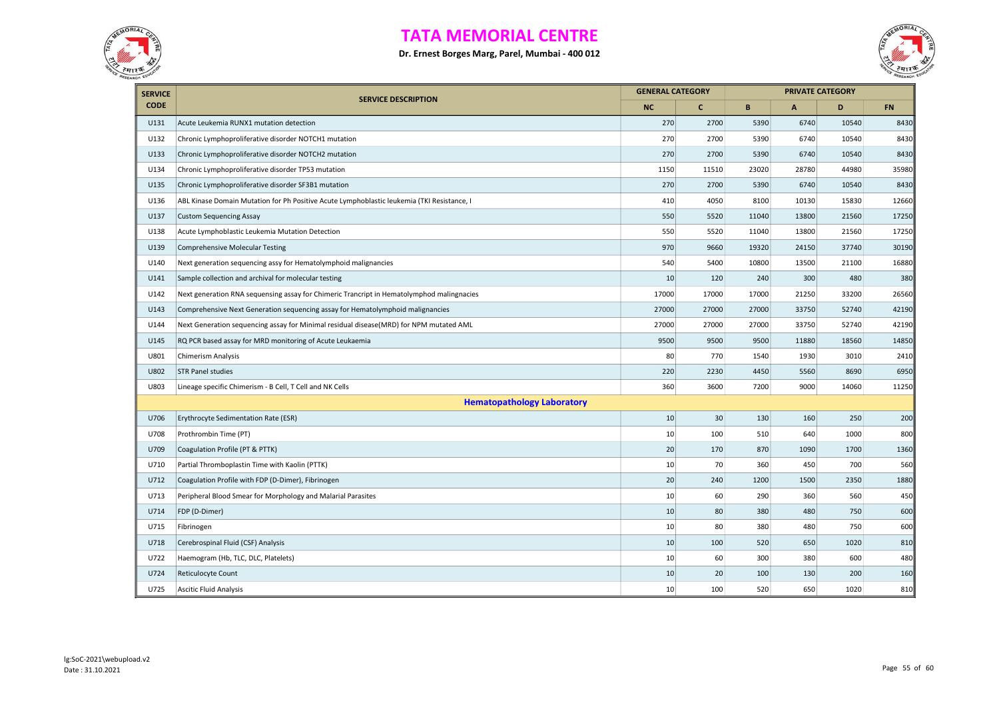



| <b>SERVICE</b> |                                                                                            | <b>GENERAL CATEGORY</b> |              |       |       | <b>PRIVATE CATEGORY</b> |           |  |  |
|----------------|--------------------------------------------------------------------------------------------|-------------------------|--------------|-------|-------|-------------------------|-----------|--|--|
| <b>CODE</b>    | <b>SERVICE DESCRIPTION</b>                                                                 | <b>NC</b>               | $\mathbf{C}$ | B     | A     | D                       | <b>FN</b> |  |  |
| U131           | Acute Leukemia RUNX1 mutation detection                                                    | 270                     | 2700         | 5390  | 6740  | 10540                   | 8430      |  |  |
| U132           | Chronic Lymphoproliferative disorder NOTCH1 mutation                                       | 270                     | 2700         | 5390  | 6740  | 10540                   | 8430      |  |  |
| U133           | Chronic Lymphoproliferative disorder NOTCH2 mutation                                       | 270                     | 2700         | 5390  | 6740  | 10540                   | 8430      |  |  |
| U134           | Chronic Lymphoproliferative disorder TP53 mutation                                         | 1150                    | 11510        | 23020 | 28780 | 44980                   | 35980     |  |  |
| U135           | Chronic Lymphoproliferative disorder SF3B1 mutation                                        | 270                     | 2700         | 5390  | 6740  | 10540                   | 8430      |  |  |
| U136           | ABL Kinase Domain Mutation for Ph Positive Acute Lymphoblastic leukemia (TKI Resistance, I | 410                     | 4050         | 8100  | 10130 | 15830                   | 12660     |  |  |
| U137           | <b>Custom Sequencing Assay</b>                                                             | 550                     | 5520         | 11040 | 13800 | 21560                   | 17250     |  |  |
| U138           | Acute Lymphoblastic Leukemia Mutation Detection                                            | 550                     | 5520         | 11040 | 13800 | 21560                   | 17250     |  |  |
| U139           | <b>Comprehensive Molecular Testing</b>                                                     | 970                     | 9660         | 19320 | 24150 | 37740                   | 30190     |  |  |
| U140           | Next generation sequencing assy for Hematolymphoid malignancies                            | 540                     | 5400         | 10800 | 13500 | 21100                   | 16880     |  |  |
| U141           | Sample collection and archival for molecular testing                                       | 10                      | 120          | 240   | 300   | 480                     | 380       |  |  |
| U142           | Next generation RNA sequensing assay for Chimeric Trancript in Hematolymphod malingnacies  | 17000                   | 17000        | 17000 | 21250 | 33200                   | 26560     |  |  |
| U143           | Comprehensive Next Generation sequencing assay for Hematolymphoid malignancies             | 27000                   | 27000        | 27000 | 33750 | 52740                   | 42190     |  |  |
| U144           | Next Generation sequencing assay for Minimal residual disease(MRD) for NPM mutated AML     | 27000                   | 27000        | 27000 | 33750 | 52740                   | 42190     |  |  |
| U145           | RQ PCR based assay for MRD monitoring of Acute Leukaemia                                   | 9500                    | 9500         | 9500  | 11880 | 18560                   | 14850     |  |  |
| U801           | Chimerism Analysis                                                                         | 80                      | 770          | 1540  | 1930  | 3010                    | 2410      |  |  |
| U802           | <b>STR Panel studies</b>                                                                   | 220                     | 2230         | 4450  | 5560  | 8690                    | 6950      |  |  |
| U803           | Lineage specific Chimerism - B Cell, T Cell and NK Cells                                   | 360                     | 3600         | 7200  | 9000  | 14060                   | 11250     |  |  |
|                | <b>Hematopathology Laboratory</b>                                                          |                         |              |       |       |                         |           |  |  |
| U706           | Erythrocyte Sedimentation Rate (ESR)                                                       | 10                      | 30           | 130   | 160   | 250                     | 200       |  |  |
| U708           | Prothrombin Time (PT)                                                                      | 10                      | 100          | 510   | 640   | 1000                    | 800       |  |  |
| U709           | Coagulation Profile (PT & PTTK)                                                            | 20                      | 170          | 870   | 1090  | 1700                    | 1360      |  |  |
| U710           | Partial Thromboplastin Time with Kaolin (PTTK)                                             | 10                      | 70           | 360   | 450   | 700                     | 560       |  |  |
| U712           | Coagulation Profile with FDP (D-Dimer), Fibrinogen                                         | 20                      | 240          | 1200  | 1500  | 2350                    | 1880      |  |  |
| U713           | Peripheral Blood Smear for Morphology and Malarial Parasites                               | 10                      | 60           | 290   | 360   | 560                     | 450       |  |  |
| U714           | FDP (D-Dimer)                                                                              | 10                      | 80           | 380   | 480   | 750                     | 600       |  |  |
| U715           | Fibrinogen                                                                                 | 10                      | 80           | 380   | 480   | 750                     | 600       |  |  |
| U718           | Cerebrospinal Fluid (CSF) Analysis                                                         | 10                      | 100          | 520   | 650   | 1020                    | 810       |  |  |
| U722           | Haemogram (Hb, TLC, DLC, Platelets)                                                        | 10                      | 60           | 300   | 380   | 600                     | 480       |  |  |
| U724           | Reticulocyte Count                                                                         | 10                      | 20           | 100   | 130   | 200                     | 160       |  |  |
| U725           | <b>Ascitic Fluid Analysis</b>                                                              | 10                      | 100          | 520   | 650   | 1020                    | 810       |  |  |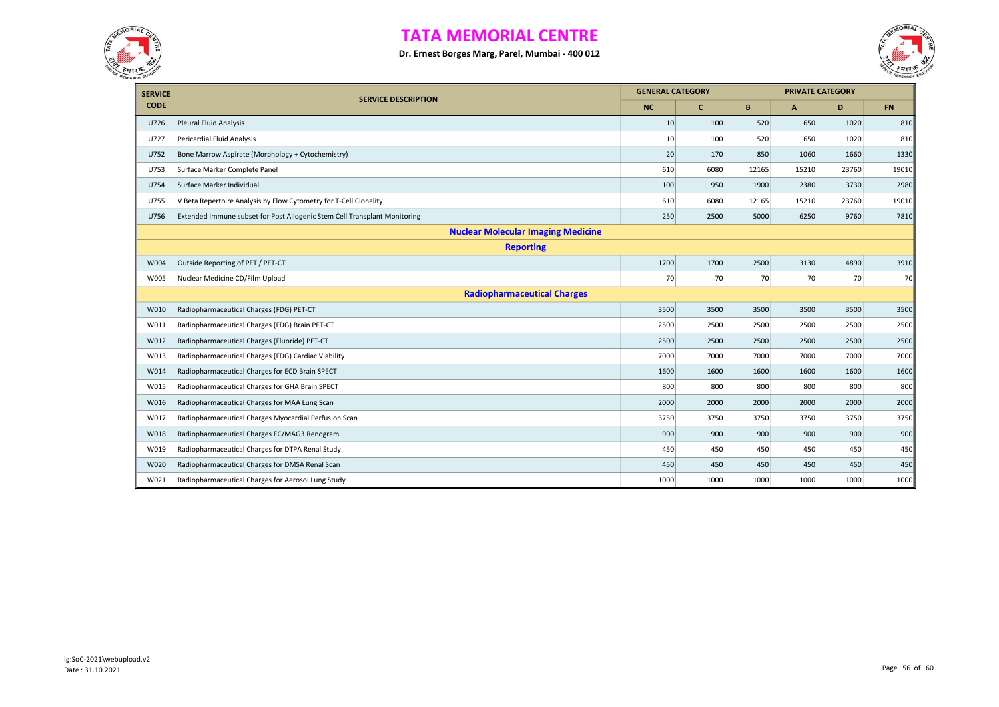



| <b>SERVICE</b> | <b>SERVICE DESCRIPTION</b>                                                |           | <b>GENERAL CATEGORY</b> |       |              | <b>PRIVATE CATEGORY</b> |           |
|----------------|---------------------------------------------------------------------------|-----------|-------------------------|-------|--------------|-------------------------|-----------|
| <b>CODE</b>    |                                                                           | <b>NC</b> | c                       | B     | $\mathbf{A}$ | D                       | <b>FN</b> |
| U726           | Pleural Fluid Analysis                                                    | 10        | 100                     | 520   | 650          | 1020                    | 810       |
| U727           | Pericardial Fluid Analysis                                                | 10        | 100                     | 520   | 650          | 1020                    | 810       |
| U752           | Bone Marrow Aspirate (Morphology + Cytochemistry)                         | 20        | 170                     | 850   | 1060         | 1660                    | 1330      |
| U753           | Surface Marker Complete Panel                                             | 610       | 6080                    | 12165 | 15210        | 23760                   | 19010     |
| U754           | Surface Marker Individual                                                 | 100       | 950                     | 1900  | 2380         | 3730                    | 2980      |
| U755           | V Beta Repertoire Analysis by Flow Cytometry for T-Cell Clonality         | 610       | 6080                    | 12165 | 15210        | 23760                   | 19010     |
| U756           | Extended Immune subset for Post Allogenic Stem Cell Transplant Monitoring | 250       | 2500                    | 5000  | 6250         | 9760                    | 7810      |
|                | <b>Nuclear Molecular Imaging Medicine</b>                                 |           |                         |       |              |                         |           |
|                | <b>Reporting</b>                                                          |           |                         |       |              |                         |           |
| W004           | Outside Reporting of PET / PET-CT                                         | 1700      | 1700                    | 2500  | 3130         | 4890                    | 3910      |
| W005           | Nuclear Medicine CD/Film Upload                                           | 70        | 70                      | 70    | 70           | 70                      | 70        |
|                | <b>Radiopharmaceutical Charges</b>                                        |           |                         |       |              |                         |           |
| W010           | Radiopharmaceutical Charges (FDG) PET-CT                                  | 3500      | 3500                    | 3500  | 3500         | 3500                    | 3500      |
| W011           | Radiopharmaceutical Charges (FDG) Brain PET-CT                            | 2500      | 2500                    | 2500  | 2500         | 2500                    | 2500      |
| W012           | Radiopharmaceutical Charges (Fluoride) PET-CT                             | 2500      | 2500                    | 2500  | 2500         | 2500                    | 2500      |
| W013           | Radiopharmaceutical Charges (FDG) Cardiac Viability                       | 7000      | 7000                    | 7000  | 7000         | 7000                    | 7000      |
| W014           | Radiopharmaceutical Charges for ECD Brain SPECT                           | 1600      | 1600                    | 1600  | 1600         | 1600                    | 1600      |
| W015           | Radiopharmaceutical Charges for GHA Brain SPECT                           | 800       | 800                     | 800   | 800          | 800                     | 800       |
| W016           | Radiopharmaceutical Charges for MAA Lung Scan                             | 2000      | 2000                    | 2000  | 2000         | 2000                    | 2000      |
| W017           | Radiopharmaceutical Charges Myocardial Perfusion Scan                     | 3750      | 3750                    | 3750  | 3750         | 3750                    | 3750      |
| W018           | Radiopharmaceutical Charges EC/MAG3 Renogram                              | 900       | 900                     | 900   | 900          | 900                     | 900       |
| W019           | Radiopharmaceutical Charges for DTPA Renal Study                          | 450       | 450                     | 450   | 450          | 450                     | 450       |
| W020           | Radiopharmaceutical Charges for DMSA Renal Scan                           | 450       | 450                     | 450   | 450          | 450                     | 450       |
| W021           | Radiopharmaceutical Charges for Aerosol Lung Study                        | 1000      | 1000                    | 1000  | 1000         | 1000                    | 1000      |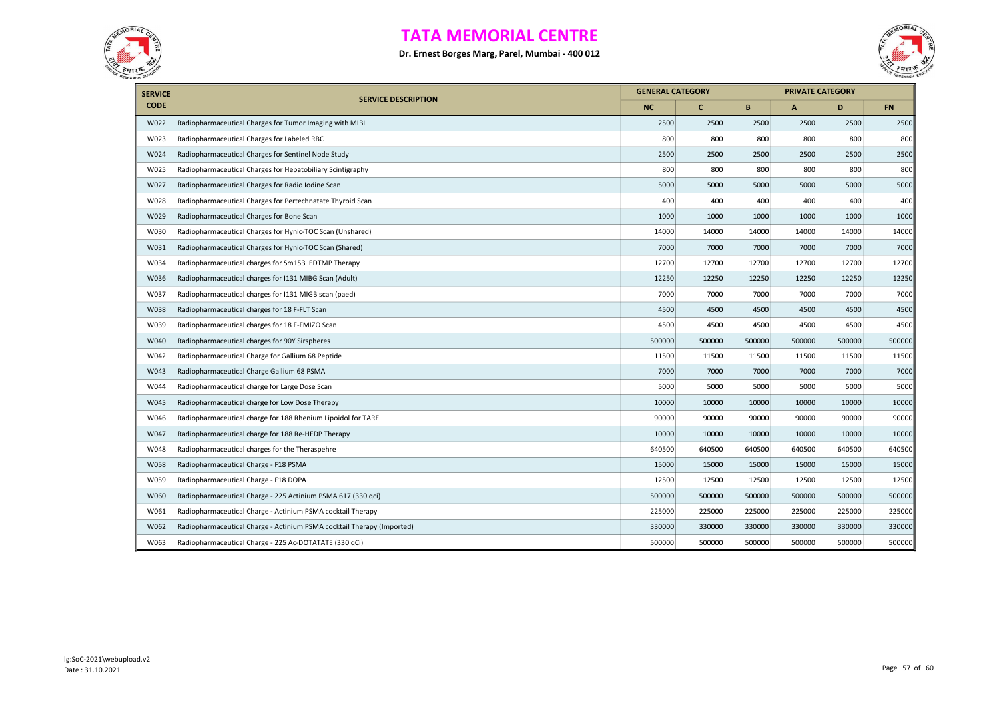



| <b>SERVICE</b> |                                                                        |           | <b>GENERAL CATEGORY</b> |        |        | <b>PRIVATE CATEGORY</b> |           |
|----------------|------------------------------------------------------------------------|-----------|-------------------------|--------|--------|-------------------------|-----------|
| <b>CODE</b>    | <b>SERVICE DESCRIPTION</b>                                             | <b>NC</b> | $\mathbf{C}$            | B      | A      | D                       | <b>FN</b> |
| W022           | Radiopharmaceutical Charges for Tumor Imaging with MIBI                | 2500      | 2500                    | 2500   | 2500   | 2500                    | 2500      |
| W023           | Radiopharmaceutical Charges for Labeled RBC                            | 800       | 800                     | 800    | 800    | 800                     | 800       |
| W024           | Radiopharmaceutical Charges for Sentinel Node Study                    | 2500      | 2500                    | 2500   | 2500   | 2500                    | 2500      |
| W025           | Radiopharmaceutical Charges for Hepatobiliary Scintigraphy             | 800       | 800                     | 800    | 800    | 800                     | 800       |
| W027           | Radiopharmaceutical Charges for Radio Iodine Scan                      | 5000      | 5000                    | 5000   | 5000   | 5000                    | 5000      |
| W028           | Radiopharmaceutical Charges for Pertechnatate Thyroid Scan             | 400       | 400                     | 400    | 400    | 400                     | 400       |
| W029           | Radiopharmaceutical Charges for Bone Scan                              | 1000      | 1000                    | 1000   | 1000   | 1000                    | 1000      |
| W030           | Radiopharmaceutical Charges for Hynic-TOC Scan (Unshared)              | 14000     | 14000                   | 14000  | 14000  | 14000                   | 14000     |
| W031           | Radiopharmaceutical Charges for Hynic-TOC Scan (Shared)                | 7000      | 7000                    | 7000   | 7000   | 7000                    | 7000      |
| W034           | Radiopharmaceutical charges for Sm153 EDTMP Therapy                    | 12700     | 12700                   | 12700  | 12700  | 12700                   | 12700     |
| W036           | Radiopharmaceutical charges for I131 MIBG Scan (Adult)                 | 12250     | 12250                   | 12250  | 12250  | 12250                   | 12250     |
| W037           | Radiopharmaceutical charges for I131 MIGB scan (paed)                  | 7000      | 7000                    | 7000   | 7000   | 7000                    | 7000      |
| W038           | Radiopharmaceutical charges for 18 F-FLT Scan                          | 4500      | 4500                    | 4500   | 4500   | 4500                    | 4500      |
| W039           | Radiopharmaceutical charges for 18 F-FMIZO Scan                        | 4500      | 4500                    | 4500   | 4500   | 4500                    | 4500      |
| W040           | Radiopharmaceutical charges for 90Y Sirspheres                         | 500000    | 500000                  | 500000 | 500000 | 500000                  | 500000    |
| W042           | Radiopharmaceutical Charge for Gallium 68 Peptide                      | 11500     | 11500                   | 11500  | 11500  | 11500                   | 11500     |
| W043           | Radiopharmaceutical Charge Gallium 68 PSMA                             | 7000      | 7000                    | 7000   | 7000   | 7000                    | 7000      |
| W044           | Radiopharmaceutical charge for Large Dose Scan                         | 5000      | 5000                    | 5000   | 5000   | 5000                    | 5000      |
| W045           | Radiopharmaceutical charge for Low Dose Therapy                        | 10000     | 10000                   | 10000  | 10000  | 10000                   | 10000     |
| W046           | Radiopharmaceutical charge for 188 Rhenium Lipoidol for TARE           | 90000     | 90000                   | 90000  | 90000  | 90000                   | 90000     |
| W047           | Radiopharmaceutical charge for 188 Re-HEDP Therapy                     | 10000     | 10000                   | 10000  | 10000  | 10000                   | 10000     |
| W048           | Radiopharmaceutical charges for the Theraspehre                        | 640500    | 640500                  | 640500 | 640500 | 640500                  | 640500    |
| W058           | Radiopharmaceutical Charge - F18 PSMA                                  | 15000     | 15000                   | 15000  | 15000  | 15000                   | 15000     |
| W059           | Radiopharmaceutical Charge - F18 DOPA                                  | 12500     | 12500                   | 12500  | 12500  | 12500                   | 12500     |
| W060           | Radiopharmaceutical Charge - 225 Actinium PSMA 617 (330 qci)           | 500000    | 500000                  | 500000 | 500000 | 500000                  | 500000    |
| W061           | Radiopharmaceutical Charge - Actinium PSMA cocktail Therapy            | 225000    | 225000                  | 225000 | 225000 | 225000                  | 225000    |
| W062           | Radiopharmaceutical Charge - Actinium PSMA cocktail Therapy (Imported) | 330000    | 330000                  | 330000 | 330000 | 330000                  | 330000    |
| W063           | Radiopharmaceutical Charge - 225 Ac-DOTATATE (330 qCi)                 | 500000    | 500000                  | 500000 | 500000 | 500000                  | 500000    |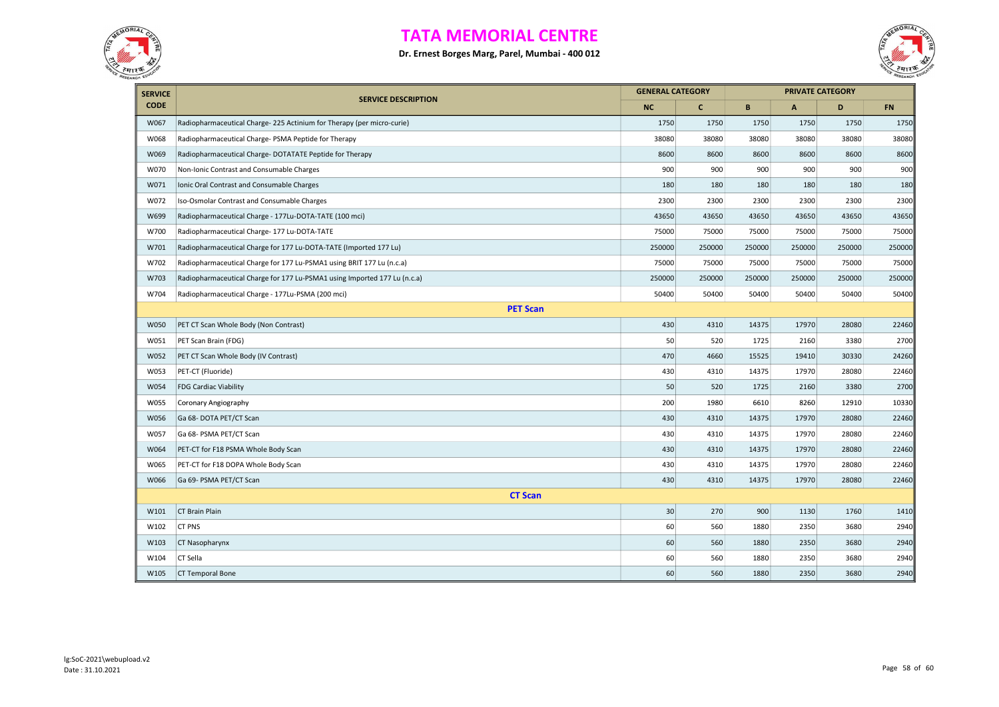



| <b>SERVICE</b> |                                                                           | <b>GENERAL CATEGORY</b> |              |        |              | <b>PRIVATE CATEGORY</b> |           |  |
|----------------|---------------------------------------------------------------------------|-------------------------|--------------|--------|--------------|-------------------------|-----------|--|
| <b>CODE</b>    | <b>SERVICE DESCRIPTION</b>                                                | <b>NC</b>               | $\mathbf{C}$ | B      | $\mathsf{A}$ | D                       | <b>FN</b> |  |
| W067           | Radiopharmaceutical Charge-225 Actinium for Therapy (per micro-curie)     | 1750                    | 1750         | 1750   | 1750         | 1750                    | 1750      |  |
| W068           | Radiopharmaceutical Charge- PSMA Peptide for Therapy                      | 38080                   | 38080        | 38080  | 38080        | 38080                   | 38080     |  |
| W069           | Radiopharmaceutical Charge-DOTATATE Peptide for Therapy                   | 8600                    | 8600         | 8600   | 8600         | 8600                    | 8600      |  |
| W070           | Non-Ionic Contrast and Consumable Charges                                 | 900                     | 900          | 900    | 900          | 900                     | 900       |  |
| W071           | Ionic Oral Contrast and Consumable Charges                                | 180                     | 180          | 180    | 180          | 180                     | 180       |  |
| W072           | Iso-Osmolar Contrast and Consumable Charges                               | 2300                    | 2300         | 2300   | 2300         | 2300                    | 2300      |  |
| W699           | Radiopharmaceutical Charge - 177Lu-DOTA-TATE (100 mci)                    | 43650                   | 43650        | 43650  | 43650        | 43650                   | 43650     |  |
| W700           | Radiopharmaceutical Charge-177 Lu-DOTA-TATE                               | 75000                   | 75000        | 75000  | 75000        | 75000                   | 75000     |  |
| W701           | Radiopharmaceutical Charge for 177 Lu-DOTA-TATE (Imported 177 Lu)         | 250000                  | 250000       | 250000 | 250000       | 250000                  | 250000    |  |
| W702           | Radiopharmaceutical Charge for 177 Lu-PSMA1 using BRIT 177 Lu (n.c.a)     | 75000                   | 75000        | 75000  | 75000        | 75000                   | 75000     |  |
| W703           | Radiopharmaceutical Charge for 177 Lu-PSMA1 using Imported 177 Lu (n.c.a) | 250000                  | 250000       | 250000 | 250000       | 250000                  | 250000    |  |
| W704           | Radiopharmaceutical Charge - 177Lu-PSMA (200 mci)                         | 50400                   | 50400        | 50400  | 50400        | 50400                   | 50400     |  |
|                | <b>PET Scan</b>                                                           |                         |              |        |              |                         |           |  |
| W050           | PET CT Scan Whole Body (Non Contrast)                                     | 430                     | 4310         | 14375  | 17970        | 28080                   | 22460     |  |
| W051           | PET Scan Brain (FDG)                                                      | 50                      | 520          | 1725   | 2160         | 3380                    | 2700      |  |
| W052           | PET CT Scan Whole Body (IV Contrast)                                      | 470                     | 4660         | 15525  | 19410        | 30330                   | 24260     |  |
| W053           | PET-CT (Fluoride)                                                         | 430                     | 4310         | 14375  | 17970        | 28080                   | 22460     |  |
| W054           | <b>FDG Cardiac Viability</b>                                              | 50                      | 520          | 1725   | 2160         | 3380                    | 2700      |  |
| W055           | Coronary Angiography                                                      | 200                     | 1980         | 6610   | 8260         | 12910                   | 10330     |  |
| W056           | Ga 68- DOTA PET/CT Scan                                                   | 430                     | 4310         | 14375  | 17970        | 28080                   | 22460     |  |
| W057           | Ga 68- PSMA PET/CT Scan                                                   | 430                     | 4310         | 14375  | 17970        | 28080                   | 22460     |  |
| W064           | PET-CT for F18 PSMA Whole Body Scan                                       | 430                     | 4310         | 14375  | 17970        | 28080                   | 22460     |  |
| W065           | PET-CT for F18 DOPA Whole Body Scan                                       | 430                     | 4310         | 14375  | 17970        | 28080                   | 22460     |  |
| W066           | Ga 69- PSMA PET/CT Scan                                                   | 430                     | 4310         | 14375  | 17970        | 28080                   | 22460     |  |
|                | <b>CT Scan</b>                                                            |                         |              |        |              |                         |           |  |
| W101           | <b>CT Brain Plain</b>                                                     | 30                      | 270          | 900    | 1130         | 1760                    | 1410      |  |
| W102           | <b>CT PNS</b>                                                             | 60                      | 560          | 1880   | 2350         | 3680                    | 2940      |  |
| W103           | CT Nasopharynx                                                            | 60                      | 560          | 1880   | 2350         | 3680                    | 2940      |  |
| W104           | CT Sella                                                                  | 60                      | 560          | 1880   | 2350         | 3680                    | 2940      |  |
| W105           | <b>CT Temporal Bone</b>                                                   | 60                      | 560          | 1880   | 2350         | 3680                    | 2940      |  |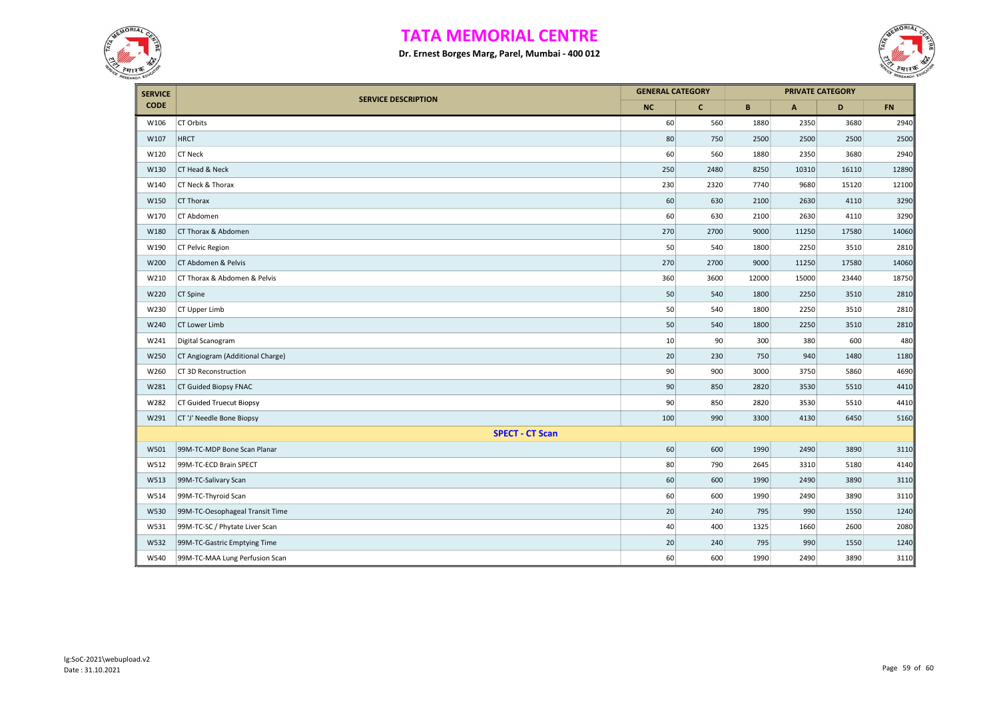



| <b>SERVICE</b> |                                  | <b>GENERAL CATEGORY</b> |              |       |       | <b>PRIVATE CATEGORY</b> |           |
|----------------|----------------------------------|-------------------------|--------------|-------|-------|-------------------------|-----------|
| <b>CODE</b>    | <b>SERVICE DESCRIPTION</b>       | <b>NC</b>               | $\mathbf{C}$ | B     | A     | D                       | <b>FN</b> |
| W106           | CT Orbits                        | 60                      | 560          | 1880  | 2350  | 3680                    | 2940      |
| W107           | <b>HRCT</b>                      | 80                      | 750          | 2500  | 2500  | 2500                    | 2500      |
| W120           | <b>CT Neck</b>                   | 60                      | 560          | 1880  | 2350  | 3680                    | 2940      |
| W130           | CT Head & Neck                   | 250                     | 2480         | 8250  | 10310 | 16110                   | 12890     |
| W140           | CT Neck & Thorax                 | 230                     | 2320         | 7740  | 9680  | 15120                   | 12100     |
| W150           | CT Thorax                        | 60                      | 630          | 2100  | 2630  | 4110                    | 3290      |
| W170           | CT Abdomen                       | 60                      | 630          | 2100  | 2630  | 4110                    | 3290      |
| W180           | CT Thorax & Abdomen              | 270                     | 2700         | 9000  | 11250 | 17580                   | 14060     |
| W190           | CT Pelvic Region                 | 50                      | 540          | 1800  | 2250  | 3510                    | 2810      |
| W200           | CT Abdomen & Pelvis              | 270                     | 2700         | 9000  | 11250 | 17580                   | 14060     |
| W210           | CT Thorax & Abdomen & Pelvis     | 360                     | 3600         | 12000 | 15000 | 23440                   | 18750     |
| W220           | CT Spine                         | 50                      | 540          | 1800  | 2250  | 3510                    | 2810      |
| W230           | CT Upper Limb                    | 50                      | 540          | 1800  | 2250  | 3510                    | 2810      |
| W240           | CT Lower Limb                    | 50                      | 540          | 1800  | 2250  | 3510                    | 2810      |
| W241           | Digital Scanogram                | 10                      | 90           | 300   | 380   | 600                     | 480       |
| W250           | CT Angiogram (Additional Charge) | 20                      | 230          | 750   | 940   | 1480                    | 1180      |
| W260           | CT 3D Reconstruction             | 90                      | 900          | 3000  | 3750  | 5860                    | 4690      |
| W281           | CT Guided Biopsy FNAC            | 90                      | 850          | 2820  | 3530  | 5510                    | 4410      |
| W282           | <b>CT Guided Truecut Biopsy</b>  | 90                      | 850          | 2820  | 3530  | 5510                    | 4410      |
| W291           | CT 'J' Needle Bone Biopsy        | 100                     | 990          | 3300  | 4130  | 6450                    | 5160      |
|                | <b>SPECT - CT Scan</b>           |                         |              |       |       |                         |           |
| W501           | 99M-TC-MDP Bone Scan Planar      | 60                      | 600          | 1990  | 2490  | 3890                    | 3110      |
| W512           | 99M-TC-ECD Brain SPECT           | 80                      | 790          | 2645  | 3310  | 5180                    | 4140      |
| W513           | 99M-TC-Salivary Scan             | 60                      | 600          | 1990  | 2490  | 3890                    | 3110      |
| W514           | 99M-TC-Thyroid Scan              | 60                      | 600          | 1990  | 2490  | 3890                    | 3110      |
| W530           | 99M-TC-Oesophageal Transit Time  | 20                      | 240          | 795   | 990   | 1550                    | 1240      |
| W531           | 99M-TC-SC / Phytate Liver Scan   | 40                      | 400          | 1325  | 1660  | 2600                    | 2080      |
| W532           | 99M-TC-Gastric Emptying Time     | 20                      | 240          | 795   | 990   | 1550                    | 1240      |
| W540           | 99M-TC-MAA Lung Perfusion Scan   | 60                      | 600          | 1990  | 2490  | 3890                    | 3110      |